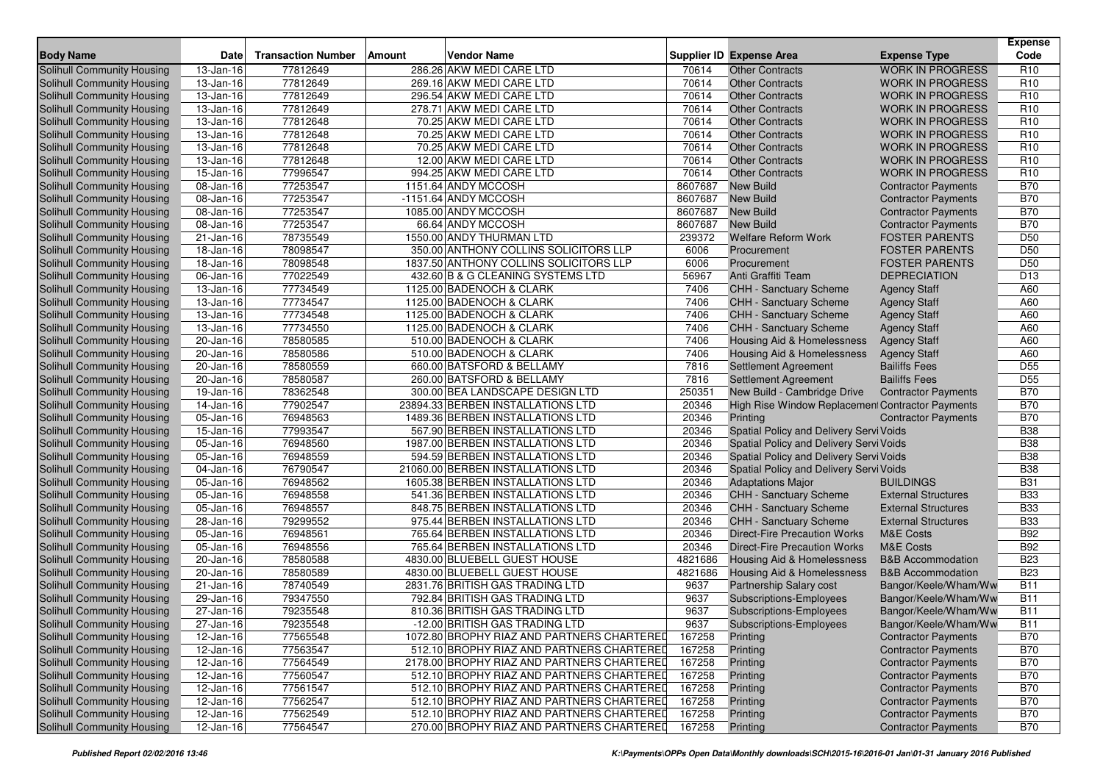|                                                                 |                         |                           |                                                      |              |                                                                |                                              | <b>Expense</b>                     |
|-----------------------------------------------------------------|-------------------------|---------------------------|------------------------------------------------------|--------------|----------------------------------------------------------------|----------------------------------------------|------------------------------------|
| <b>Body Name</b>                                                | <b>Date</b>             | <b>Transaction Number</b> | <b>Vendor Name</b><br><b>Amount</b>                  |              | Supplier ID Expense Area                                       | <b>Expense Type</b>                          | Code                               |
| Solihull Community Housing                                      | 13-Jan-16               | 77812649                  | 286.26 AKW MEDI CARE LTD                             | 70614        | <b>Other Contracts</b>                                         | <b>WORK IN PROGRESS</b>                      | R <sub>10</sub>                    |
| Solihull Community Housing                                      | 13-Jan-16               | 77812649                  | 269.16 AKW MEDI CARE LTD                             | 70614        | <b>Other Contracts</b>                                         | <b>WORK IN PROGRESS</b>                      | R <sub>10</sub>                    |
| Solihull Community Housing                                      | 13-Jan-16               | 77812649                  | 296.54 AKW MEDI CARE LTD                             | 70614        | <b>Other Contracts</b>                                         | <b>WORK IN PROGRESS</b>                      | R <sub>10</sub>                    |
| Solihull Community Housing                                      | 13-Jan-16               | 77812649                  | 278.71 AKW MEDI CARE LTD                             | 70614        | <b>Other Contracts</b>                                         | <b>WORK IN PROGRESS</b>                      | R <sub>10</sub>                    |
| Solihull Community Housing                                      | $13 - Jan - 16$         | 77812648                  | 70.25 AKW MEDI CARE LTD                              | 70614        | <b>Other Contracts</b>                                         | <b>WORK IN PROGRESS</b>                      | R <sub>10</sub>                    |
| Solihull Community Housing                                      | 13-Jan-16               | 77812648                  | 70.25 AKW MEDI CARE LTD                              | 70614        | <b>Other Contracts</b>                                         | <b>WORK IN PROGRESS</b>                      | R <sub>10</sub>                    |
| Solihull Community Housing                                      | 13-Jan-16               | 77812648                  | 70.25 AKW MEDI CARE LTD                              | 70614        | <b>Other Contracts</b>                                         | <b>WORK IN PROGRESS</b>                      | R <sub>10</sub>                    |
| Solihull Community Housing                                      | 13-Jan-16               | 77812648                  | 12.00 AKW MEDI CARE LTD                              | 70614        | <b>Other Contracts</b>                                         | <b>WORK IN PROGRESS</b>                      | R <sub>10</sub>                    |
| Solihull Community Housing                                      | 15-Jan-16               | 77996547                  | 994.25 AKW MEDI CARE LTD                             | 70614        | <b>Other Contracts</b>                                         | <b>WORK IN PROGRESS</b>                      | R <sub>10</sub>                    |
| Solihull Community Housing                                      | 08-Jan-16               | 77253547                  | 1151.64 ANDY MCCOSH                                  | 8607687      | <b>New Build</b>                                               | <b>Contractor Payments</b>                   | <b>B70</b>                         |
| Solihull Community Housing                                      | 08-Jan-16               | 77253547                  | -1151.64 ANDY MCCOSH                                 | 8607687      | <b>New Build</b>                                               | <b>Contractor Payments</b>                   | <b>B70</b>                         |
| Solihull Community Housing                                      | 08-Jan-16               | 77253547                  | 1085.00 ANDY MCCOSH                                  | 8607687      | <b>New Build</b>                                               | <b>Contractor Payments</b>                   | <b>B70</b>                         |
| Solihull Community Housing                                      | 08-Jan-16               | 77253547                  | 66.64 ANDY MCCOSH                                    | 8607687      | <b>New Build</b>                                               | <b>Contractor Payments</b>                   | <b>B70</b>                         |
| Solihull Community Housing                                      | 21-Jan-16               | 78735549                  | 1550.00 ANDY THURMAN LTD                             | 239372       | <b>Welfare Reform Work</b>                                     | <b>FOSTER PARENTS</b>                        | D <sub>50</sub>                    |
| Solihull Community Housing                                      | 18-Jan-16               | 78098547                  | 350.00 ANTHONY COLLINS SOLICITORS LLP                | 6006         | Procurement                                                    | <b>FOSTER PARENTS</b>                        | D <sub>50</sub>                    |
| Solihull Community Housing                                      | 18-Jan-16               | 78098548                  | 1837.50 ANTHONY COLLINS SOLICITORS LLP               | 6006         | Procurement                                                    | <b>FOSTER PARENTS</b><br><b>DEPRECIATION</b> | D <sub>50</sub><br>D <sub>13</sub> |
| Solihull Community Housing                                      | 06-Jan-16               | 77022549                  | 432.60 B & G CLEANING SYSTEMS LTD                    | 56967        | Anti Graffiti Team                                             |                                              |                                    |
| <b>Solihull Community Housing</b>                               | 13-Jan-16<br>13-Jan-16  | 77734549                  | 1125.00 BADENOCH & CLARK                             | 7406         | CHH - Sanctuary Scheme                                         | <b>Agency Staff</b>                          | A60                                |
| Solihull Community Housing                                      | 13-Jan-16               | 77734547<br>77734548      | 1125.00 BADENOCH & CLARK<br>1125.00 BADENOCH & CLARK | 7406<br>7406 | <b>CHH - Sanctuary Scheme</b><br><b>CHH - Sanctuary Scheme</b> | <b>Agency Staff</b>                          | A60<br>A60                         |
| Solihull Community Housing<br><b>Solihull Community Housing</b> | 13-Jan-16               | 77734550                  | 1125.00 BADENOCH & CLARK                             | 7406         | <b>CHH - Sanctuary Scheme</b>                                  | <b>Agency Staff</b>                          | A60                                |
| Solihull Community Housing                                      | 20-Jan-16               | 78580585                  | 510.00 BADENOCH & CLARK                              | 7406         | Housing Aid & Homelessness                                     | <b>Agency Staff</b><br><b>Agency Staff</b>   | A60                                |
| Solihull Community Housing                                      | 20-Jan-16               | 78580586                  | 510.00 BADENOCH & CLARK                              | 7406         | <b>Housing Aid &amp; Homelessness</b>                          | <b>Agency Staff</b>                          | A60                                |
| Solihull Community Housing                                      | 20-Jan-16               | 78580559                  | 660.00 BATSFORD & BELLAMY                            | 7816         | Settlement Agreement                                           | <b>Bailiffs Fees</b>                         | D <sub>55</sub>                    |
| Solihull Community Housing                                      | 20-Jan-16               | 78580587                  | 260.00 BATSFORD & BELLAMY                            | 7816         | Settlement Agreement                                           | <b>Bailiffs Fees</b>                         | D <sub>55</sub>                    |
| <b>Solihull Community Housing</b>                               | 19-Jan-16               | 78362548                  | 300.00 BEA LANDSCAPE DESIGN LTD                      | 250351       | New Build - Cambridge Drive                                    | <b>Contractor Payments</b>                   | <b>B70</b>                         |
| Solihull Community Housing                                      | 14-Jan-16               | 77902547                  | 23894.33 BERBEN INSTALLATIONS LTD                    | 20346        | High Rise Window Replacement Contractor Payments               |                                              | <b>B70</b>                         |
| Solihull Community Housing                                      | 05-Jan-16               | 76948563                  | 1489.36 BERBEN INSTALLATIONS LTD                     | 20346        | Printing                                                       | <b>Contractor Payments</b>                   | <b>B70</b>                         |
| Solihull Community Housing                                      | $\overline{15}$ -Jan-16 | 77993547                  | 567.90 BERBEN INSTALLATIONS LTD                      | 20346        | Spatial Policy and Delivery Servi Voids                        |                                              | <b>B38</b>                         |
| Solihull Community Housing                                      | 05-Jan-16               | 76948560                  | 1987.00 BERBEN INSTALLATIONS LTD                     | 20346        | Spatial Policy and Delivery Servi Voids                        |                                              | <b>B38</b>                         |
| Solihull Community Housing                                      | 05-Jan-16               | 76948559                  | 594.59 BERBEN INSTALLATIONS LTD                      | 20346        | Spatial Policy and Delivery Servi Voids                        |                                              | <b>B38</b>                         |
| Solihull Community Housing                                      | 04-Jan-16               | 76790547                  | 21060.00 BERBEN INSTALLATIONS LTD                    | 20346        | Spatial Policy and Delivery Servi Voids                        |                                              | <b>B38</b>                         |
| Solihull Community Housing                                      | 05-Jan-16               | 76948562                  | 1605.38 BERBEN INSTALLATIONS LTD                     | 20346        | <b>Adaptations Major</b>                                       | <b>BUILDINGS</b>                             | <b>B31</b>                         |
| Solihull Community Housing                                      | 05-Jan-16               | 76948558                  | 541.36 BERBEN INSTALLATIONS LTD                      | 20346        | CHH - Sanctuary Scheme                                         | <b>External Structures</b>                   | <b>B33</b>                         |
| Solihull Community Housing                                      | 05-Jan-16               | 76948557                  | 848.75 BERBEN INSTALLATIONS LTD                      | 20346        | CHH - Sanctuary Scheme                                         | <b>External Structures</b>                   | <b>B33</b>                         |
| Solihull Community Housing                                      | 28-Jan-16               | 79299552                  | 975.44 BERBEN INSTALLATIONS LTD                      | 20346        | CHH - Sanctuary Scheme                                         | <b>External Structures</b>                   | <b>B33</b>                         |
| Solihull Community Housing                                      | 05-Jan-16               | 76948561                  | 765.64 BERBEN INSTALLATIONS LTD                      | 20346        | Direct-Fire Precaution Works                                   | <b>M&amp;E Costs</b>                         | <b>B92</b>                         |
| Solihull Community Housing                                      | 05-Jan-16               | 76948556                  | 765.64 BERBEN INSTALLATIONS LTD                      | 20346        | <b>Direct-Fire Precaution Works</b>                            | <b>M&amp;E Costs</b>                         | <b>B92</b>                         |
| Solihull Community Housing                                      | 20-Jan-16               | 78580588                  | 4830.00 BLUEBELL GUEST HOUSE                         | 4821686      | <b>Housing Aid &amp; Homelessness</b>                          | <b>B&amp;B Accommodation</b>                 | <b>B23</b>                         |
| Solihull Community Housing                                      | 20-Jan-16               | 78580589                  | 4830.00 BLUEBELL GUEST HOUSE                         | 4821686      | Housing Aid & Homelessness                                     | <b>B&amp;B Accommodation</b>                 | <b>B23</b>                         |
| Solihull Community Housing                                      | 21-Jan-16               | 78740549                  | 2831.76 BRITISH GAS TRADING LTD                      | 9637         | Partnership Salary cost                                        | Bangor/Keele/Wham/Ww                         | <b>B11</b>                         |
| Solihull Community Housing                                      | $29 - Jan-16$           | 79347550                  | 792.84 BRITISH GAS TRADING LTD                       | 9637         | <b>Subscriptions-Employees</b>                                 | Bangor/Keele/Wham/Ww                         | <b>B11</b>                         |
| Solihull Community Housing                                      | 27-Jan-16               | 79235548                  | 810.36 BRITISH GAS TRADING LTD                       | 9637         | Subscriptions-Employees                                        | Bangor/Keele/Wham/Ww                         | <b>B11</b>                         |
| Solihull Community Housing                                      | $27 - Jan-16$           | 79235548                  | -12.00 BRITISH GAS TRADING LTD                       | 9637         | Subscriptions-Employees                                        | Bangor/Keele/Wham/Ww                         | <b>B11</b>                         |
| Solihull Community Housing                                      | 12-Jan-16               | 77565548                  | 1072.80 BROPHY RIAZ AND PARTNERS CHARTERED           | 167258       | Printing                                                       | <b>Contractor Payments</b>                   | <b>B70</b>                         |
| Solihull Community Housing                                      | $\overline{12}$ -Jan-16 | 77563547                  | 512.10 BROPHY RIAZ AND PARTNERS CHARTERED            | 167258       | Printing                                                       | <b>Contractor Payments</b>                   | <b>B70</b>                         |
| Solihull Community Housing                                      | 12-Jan-16               | 77564549                  | 2178.00 BROPHY RIAZ AND PARTNERS CHARTERED           | 167258       | Printing                                                       | <b>Contractor Payments</b>                   | <b>B70</b>                         |
| Solihull Community Housing                                      | 12-Jan-16               | 77560547                  | 512.10 BROPHY RIAZ AND PARTNERS CHARTERED            | 167258       | Printing                                                       | <b>Contractor Payments</b>                   | <b>B70</b>                         |
| Solihull Community Housing                                      | 12-Jan-16               | 77561547                  | 512.10 BROPHY RIAZ AND PARTNERS CHARTERED            | 167258       | Printing                                                       | <b>Contractor Payments</b>                   | <b>B70</b>                         |
| Solihull Community Housing                                      | 12-Jan-16               | 77562547                  | 512.10 BROPHY RIAZ AND PARTNERS CHARTERED            | 167258       | Printing                                                       | <b>Contractor Payments</b>                   | <b>B70</b>                         |
| <b>Solihull Community Housing</b>                               | 12-Jan-16               | 77562549                  | 512.10 BROPHY RIAZ AND PARTNERS CHARTERED            | 167258       | Printing                                                       | <b>Contractor Payments</b>                   | <b>B70</b>                         |
| Solihull Community Housing                                      | 12-Jan-16               | 77564547                  | 270.00 BROPHY RIAZ AND PARTNERS CHARTERED            | 167258       | Printing                                                       | <b>Contractor Payments</b>                   | <b>B70</b>                         |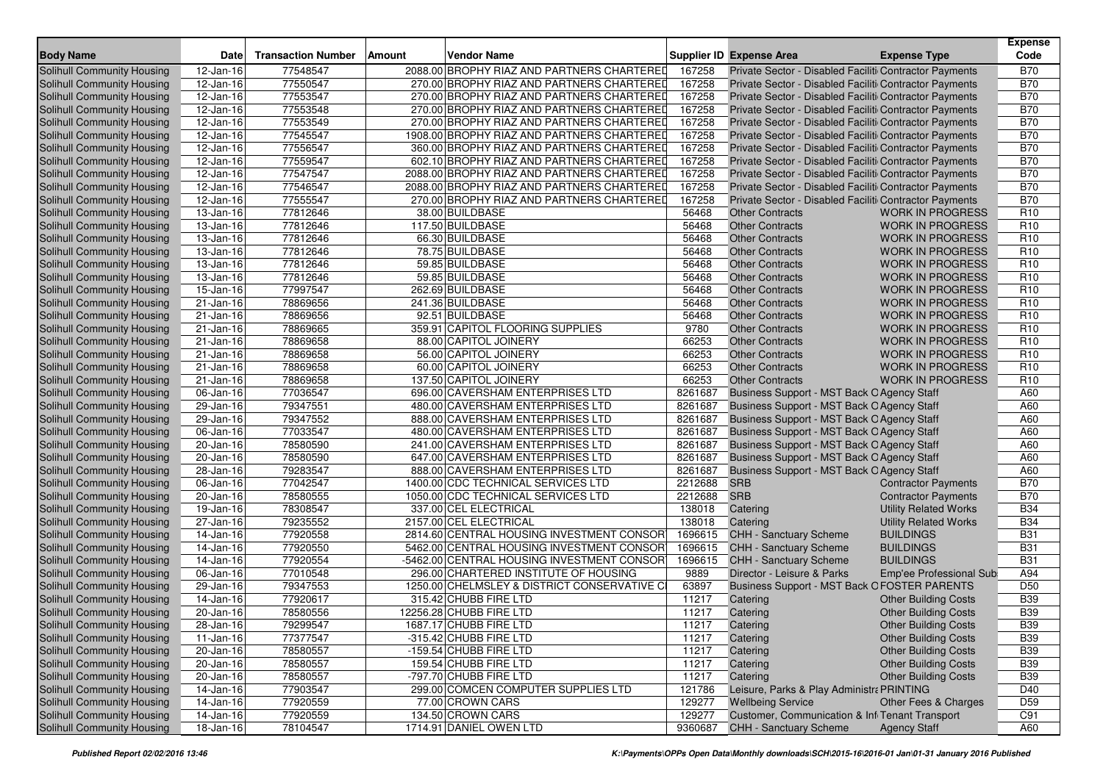| <b>Body Name</b>                  | Date                    | <b>Transaction Number</b> | Amount | Vendor Name                                 |         | Supplier ID Expense Area      | <b>Expense Type</b>                                    | <b>Expense</b><br>Code |
|-----------------------------------|-------------------------|---------------------------|--------|---------------------------------------------|---------|-------------------------------|--------------------------------------------------------|------------------------|
| <b>Solihull Community Housing</b> | 12-Jan-16               | 77548547                  |        | 2088.00 BROPHY RIAZ AND PARTNERS CHARTERED  | 167258  |                               | Private Sector - Disabled Faciliti Contractor Payments | <b>B70</b>             |
| Solihull Community Housing        | 12-Jan-16               | 77550547                  |        | 270.00 BROPHY RIAZ AND PARTNERS CHARTERED   | 167258  |                               | Private Sector - Disabled Faciliti Contractor Payments | <b>B70</b>             |
| Solihull Community Housing        | 12-Jan-16               | 77553547                  |        | 270.00 BROPHY RIAZ AND PARTNERS CHARTERED   | 167258  |                               | Private Sector - Disabled Faciliti Contractor Payments | <b>B70</b>             |
| Solihull Community Housing        | 12-Jan-16               | 77553548                  |        | 270.00 BROPHY RIAZ AND PARTNERS CHARTERED   | 167258  |                               | Private Sector - Disabled Faciliti Contractor Payments | <b>B70</b>             |
| <b>Solihull Community Housing</b> | 12-Jan-16               | 77553549                  |        | 270.00 BROPHY RIAZ AND PARTNERS CHARTERED   | 167258  |                               | Private Sector - Disabled Faciliti Contractor Payments | <b>B70</b>             |
| Solihull Community Housing        | 12-Jan-16               | 77545547                  |        | 1908.00 BROPHY RIAZ AND PARTNERS CHARTERED  | 167258  |                               | Private Sector - Disabled Faciliti Contractor Payments | <b>B70</b>             |
| Solihull Community Housing        | 12-Jan-16               | 77556547                  |        | 360.00 BROPHY RIAZ AND PARTNERS CHARTERED   | 167258  |                               | Private Sector - Disabled Faciliti Contractor Payments | <b>B70</b>             |
| Solihull Community Housing        | 12-Jan-16               | 77559547                  |        | 602.10 BROPHY RIAZ AND PARTNERS CHARTERED   | 167258  |                               | Private Sector - Disabled Faciliti Contractor Payments | <b>B70</b>             |
| <b>Solihull Community Housing</b> | 12-Jan-16               | 77547547                  |        | 2088.00 BROPHY RIAZ AND PARTNERS CHARTERED  | 167258  |                               | Private Sector - Disabled Faciliti Contractor Payments | <b>B70</b>             |
| Solihull Community Housing        | 12-Jan-16               | 77546547                  |        | 2088.00 BROPHY RIAZ AND PARTNERS CHARTERED  | 167258  |                               | Private Sector - Disabled Faciliti Contractor Payments | <b>B70</b>             |
| Solihull Community Housing        | 12-Jan-16               | 77555547                  |        | 270.00 BROPHY RIAZ AND PARTNERS CHARTERED   | 167258  |                               | Private Sector - Disabled Faciliti Contractor Payments | <b>B70</b>             |
| <b>Solihull Community Housing</b> | 13-Jan-16               | 77812646                  |        | 38.00 BUILDBASE                             | 56468   | <b>Other Contracts</b>        | <b>WORK IN PROGRESS</b>                                | R <sub>10</sub>        |
| Solihull Community Housing        | 13-Jan-16               | 77812646                  |        | 117.50 BUILDBASE                            | 56468   | <b>Other Contracts</b>        | <b>WORK IN PROGRESS</b>                                | R <sub>10</sub>        |
| Solihull Community Housing        | 13-Jan-16               | 77812646                  |        | 66.30 BUILDBASE                             | 56468   | <b>Other Contracts</b>        | <b>WORK IN PROGRESS</b>                                | R <sub>10</sub>        |
| <b>Solihull Community Housing</b> | 13-Jan-16               | 77812646                  |        | 78.75 BUILDBASE                             | 56468   | <b>Other Contracts</b>        | <b>WORK IN PROGRESS</b>                                | R <sub>10</sub>        |
| <b>Solihull Community Housing</b> | 13-Jan-16               | 77812646                  |        | 59.85 BUILDBASE                             | 56468   | <b>Other Contracts</b>        | <b>WORK IN PROGRESS</b>                                | R <sub>10</sub>        |
| Solihull Community Housing        | 13-Jan-16               | 77812646                  |        | 59.85 BUILDBASE                             | 56468   | <b>Other Contracts</b>        | <b>WORK IN PROGRESS</b>                                | R <sub>10</sub>        |
| <b>Solihull Community Housing</b> | 15-Jan-16               | 77997547                  |        | 262.69 BUILDBASE                            | 56468   | <b>Other Contracts</b>        | <b>WORK IN PROGRESS</b>                                | R <sub>10</sub>        |
| Solihull Community Housing        | 21-Jan-16               | 78869656                  |        | 241.36 BUILDBASE                            | 56468   | <b>Other Contracts</b>        | <b>WORK IN PROGRESS</b>                                | R <sub>10</sub>        |
| Solihull Community Housing        | 21-Jan-16               | 78869656                  |        | 92.51 BUILDBASE                             | 56468   | <b>Other Contracts</b>        | <b>WORK IN PROGRESS</b>                                | R <sub>10</sub>        |
| Solihull Community Housing        | 21-Jan-16               | 78869665                  |        | 359.91 CAPITOL FLOORING SUPPLIES            | 9780    | <b>Other Contracts</b>        | <b>WORK IN PROGRESS</b>                                | R <sub>10</sub>        |
| Solihull Community Housing        | 21-Jan-16               | 78869658                  |        | 88.00 CAPITOL JOINERY                       | 66253   | <b>Other Contracts</b>        | <b>WORK IN PROGRESS</b>                                | R <sub>10</sub>        |
| <b>Solihull Community Housing</b> | 21-Jan-16               | 78869658                  |        | 56.00 CAPITOL JOINERY                       | 66253   | <b>Other Contracts</b>        | <b>WORK IN PROGRESS</b>                                | R <sub>10</sub>        |
| Solihull Community Housing        | 21-Jan-16               | 78869658                  |        | 60.00 CAPITOL JOINERY                       | 66253   | <b>Other Contracts</b>        | <b>WORK IN PROGRESS</b>                                | R <sub>10</sub>        |
| Solihull Community Housing        | 21-Jan-16               | 78869658                  |        | 137.50 CAPITOL JOINERY                      | 66253   | <b>Other Contracts</b>        | <b>WORK IN PROGRESS</b>                                | R <sub>10</sub>        |
| Solihull Community Housing        | $\overline{06}$ -Jan-16 | 77036547                  |        | 696.00 CAVERSHAM ENTERPRISES LTD            | 8261687 |                               | Business Support - MST Back O Agency Staff             | A60                    |
| <b>Solihull Community Housing</b> | 29-Jan-16               | 79347551                  |        | 480.00 CAVERSHAM ENTERPRISES LTD            | 8261687 |                               | Business Support - MST Back O Agency Staff             | A60                    |
| Solihull Community Housing        | 29-Jan-16               | 79347552                  |        | 888.00 CAVERSHAM ENTERPRISES LTD            | 8261687 |                               | Business Support - MST Back O Agency Staff             | A60                    |
| Solihull Community Housing        | 06-Jan-16               | 77033547                  |        | 480.00 CAVERSHAM ENTERPRISES LTD            | 8261687 |                               | Business Support - MST Back O Agency Staff             | A60                    |
| Solihull Community Housing        | 20-Jan-16               | 78580590                  |        | 241.00 CAVERSHAM ENTERPRISES LTD            | 8261687 |                               | Business Support - MST Back O Agency Staff             | A60                    |
| Solihull Community Housing        | 20-Jan-16               | 78580590                  |        | 647.00 CAVERSHAM ENTERPRISES LTD            | 8261687 |                               | Business Support - MST Back O Agency Staff             | A60                    |
| Solihull Community Housing        | 28-Jan-16               | 79283547                  |        | 888.00 CAVERSHAM ENTERPRISES LTD            | 8261687 |                               | Business Support - MST Back O Agency Staff             | A60                    |
| Solihull Community Housing        | 06-Jan-16               | 77042547                  |        | 1400.00 CDC TECHNICAL SERVICES LTD          | 2212688 | <b>SRB</b>                    | <b>Contractor Payments</b>                             | <b>B70</b>             |
| <b>Solihull Community Housing</b> | 20-Jan-16               | 78580555                  |        | 1050.00 CDC TECHNICAL SERVICES LTD          | 2212688 | <b>SRB</b>                    | <b>Contractor Payments</b>                             | <b>B70</b>             |
| Solihull Community Housing        | 19-Jan-16               | 78308547                  |        | 337.00 CEL ELECTRICAL                       | 138018  | Catering                      | <b>Utility Related Works</b>                           | <b>B34</b>             |
| Solihull Community Housing        | 27-Jan-16               | 79235552                  |        | 2157.00 CEL ELECTRICAL                      | 138018  | Catering                      | <b>Utility Related Works</b>                           | <b>B34</b>             |
| <b>Solihull Community Housing</b> | 14-Jan-16               | 77920558                  |        | 2814.60 CENTRAL HOUSING INVESTMENT CONSOR   | 1696615 | <b>CHH - Sanctuary Scheme</b> | <b>BUILDINGS</b>                                       | <b>B31</b>             |
| Solihull Community Housing        | 14-Jan-16               | 77920550                  |        | 5462.00 CENTRAL HOUSING INVESTMENT CONSOR   | 1696615 | CHH - Sanctuary Scheme        | <b>BUILDINGS</b>                                       | <b>B31</b>             |
| <b>Solihull Community Housing</b> | 14-Jan-16               | 77920554                  |        | -5462.00 CENTRAL HOUSING INVESTMENT CONSOR  | 1696615 | <b>CHH - Sanctuary Scheme</b> | <b>BUILDINGS</b>                                       | <b>B31</b>             |
| Solihull Community Housing        | 06-Jan-16               | 77010548                  |        | 296.00 CHARTERED INSTITUTE OF HOUSING       | 9889    | Director - Leisure & Parks    | Emp'ee Professional Sub                                | A94                    |
| <b>Solihull Community Housing</b> | 29-Jan-16               | 79347553                  |        | 1250.00 CHELMSLEY & DISTRICT CONSERVATIVE C | 63897   |                               | <b>Business Support - MST Back OFOSTER PARENTS</b>     | D50                    |
| Solihull Community Housing        | 14-Jan-16               | 77920617                  |        | 315.42 CHUBB FIRE LTD                       | 11217   | Catering                      | <b>Other Building Costs</b>                            | <b>B39</b>             |
| Solihull Community Housing        | 20-Jan-16               | 78580556                  |        | 12256.28 CHUBB FIRE LTD                     | 11217   | Catering                      | <b>Other Building Costs</b>                            | <b>B39</b>             |
| Solihull Community Housing        | 28-Jan-16               | 79299547                  |        | 1687.17 CHUBB FIRE LTD                      | 11217   | Catering                      | <b>Other Building Costs</b>                            | <b>B39</b>             |
| Solihull Community Housing        | 11-Jan-16               | 77377547                  |        | -315.42 CHUBB FIRE LTD                      | 11217   | Catering                      | <b>Other Building Costs</b>                            | <b>B39</b>             |
| <b>Solihull Community Housing</b> | 20-Jan-16               | 78580557                  |        | -159.54 CHUBB FIRE LTD                      | 11217   | Catering                      | <b>Other Building Costs</b>                            | <b>B39</b>             |
| <b>Solihull Community Housing</b> | 20-Jan-16               | 78580557                  |        | 159.54 CHUBB FIRE LTD                       | 11217   | Catering                      | <b>Other Building Costs</b>                            | <b>B39</b>             |
| Solihull Community Housing        | $\overline{20}$ -Jan-16 | 78580557                  |        | -797.70 CHUBB FIRE LTD                      | 11217   | Catering                      | <b>Other Building Costs</b>                            | <b>B39</b>             |
| Solihull Community Housing        | 14-Jan-16               | 77903547                  |        | 299.00 COMCEN COMPUTER SUPPLIES LTD         | 121786  |                               | Leisure, Parks & Play Administra PRINTING              | D40                    |
| Solihull Community Housing        | 14-Jan-16               | 77920559                  |        | 77.00 CROWN CARS                            | 129277  | <b>Wellbeing Service</b>      | Other Fees & Charges                                   | D59                    |
| <b>Solihull Community Housing</b> | 14-Jan-16               | 77920559                  |        | 134.50 CROWN CARS                           | 129277  |                               | Customer, Communication & Infi Tenant Transport        | C91                    |
| Solihull Community Housing        | 18-Jan-16               | 78104547                  |        | 1714.91 DANIEL OWEN LTD                     | 9360687 | <b>CHH - Sanctuary Scheme</b> | <b>Agency Staff</b>                                    | A60                    |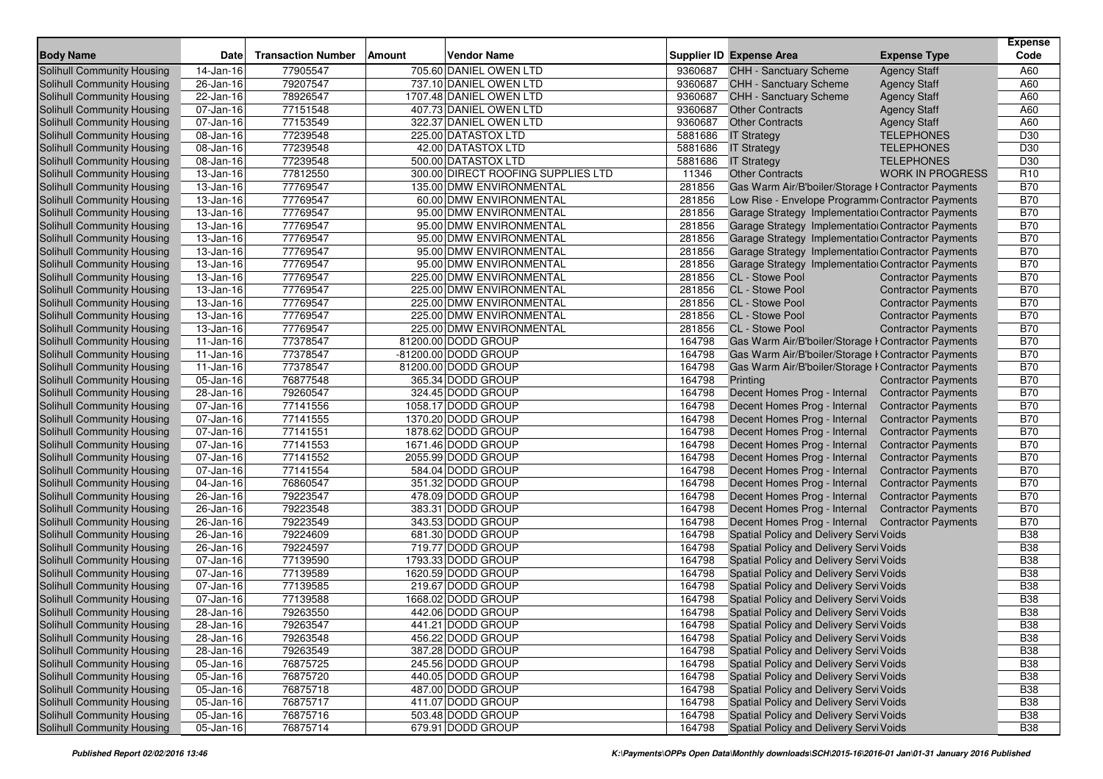|                                   |              |                           |                                    |         |                                                     |                            | <b>Expense</b>  |
|-----------------------------------|--------------|---------------------------|------------------------------------|---------|-----------------------------------------------------|----------------------------|-----------------|
| <b>Body Name</b>                  | <b>Date</b>  | <b>Transaction Number</b> | <b>Vendor Name</b><br>Amount       |         | <b>Supplier ID Expense Area</b>                     | <b>Expense Type</b>        | Code            |
| <b>Solihull Community Housing</b> | 14-Jan-16    | 77905547                  | 705.60 DANIEL OWEN LTD             | 9360687 | CHH - Sanctuary Scheme                              | <b>Agency Staff</b>        | A60             |
| Solihull Community Housing        | 26-Jan-16    | 79207547                  | 737.10 DANIEL OWEN LTD             | 9360687 | <b>CHH - Sanctuary Scheme</b>                       | <b>Agency Staff</b>        | A60             |
| Solihull Community Housing        | 22-Jan-16    | 78926547                  | 1707.48 DANIEL OWEN LTD            | 9360687 | <b>CHH - Sanctuary Scheme</b>                       | <b>Agency Staff</b>        | A60             |
| Solihull Community Housing        | 07-Jan-16    | 77151548                  | 407.73 DANIEL OWEN LTD             | 9360687 | <b>Other Contracts</b>                              | <b>Agency Staff</b>        | A60             |
| Solihull Community Housing        | 07-Jan-16    | 77153549                  | 322.37 DANIEL OWEN LTD             | 9360687 | <b>Other Contracts</b>                              | <b>Agency Staff</b>        | A60             |
| Solihull Community Housing        | 08-Jan-16    | 77239548                  | 225.00 DATASTOX LTD                | 5881686 | <b>IT Strategy</b>                                  | <b>TELEPHONES</b>          | D <sub>30</sub> |
| Solihull Community Housing        | 08-Jan-16    | 77239548                  | 42.00 DATASTOX LTD                 | 5881686 | <b>IT Strategy</b>                                  | <b>TELEPHONES</b>          | D30             |
| Solihull Community Housing        | 08-Jan-16    | 77239548                  | 500.00 DATASTOX LTD                | 5881686 | <b>IT Strategy</b>                                  | <b>TELEPHONES</b>          | D30             |
| Solihull Community Housing        | 13-Jan-16    | 77812550                  | 300.00 DIRECT ROOFING SUPPLIES LTD | 11346   | <b>Other Contracts</b>                              | <b>WORK IN PROGRESS</b>    | R <sub>10</sub> |
| <b>Solihull Community Housing</b> | 13-Jan-16    | 77769547                  | 135.00 DMW ENVIRONMENTAL           | 281856  | Gas Warm Air/B'boiler/Storage I Contractor Payments |                            | <b>B70</b>      |
| Solihull Community Housing        | 13-Jan-16    | 77769547                  | 60.00 DMW ENVIRONMENTAL            | 281856  | Low Rise - Envelope Programm Contractor Payments    |                            | <b>B70</b>      |
| <b>Solihull Community Housing</b> | 13-Jan-16    | 77769547                  | 95.00 DMW ENVIRONMENTAL            | 281856  | Garage Strategy Implementation Contractor Payments  |                            | <b>B70</b>      |
| Solihull Community Housing        | 13-Jan-16    | 77769547                  | 95.00 DMW ENVIRONMENTAL            | 281856  | Garage Strategy Implementation Contractor Payments  |                            | <b>B70</b>      |
| Solihull Community Housing        | 13-Jan-16    | 77769547                  | 95.00 DMW ENVIRONMENTAL            | 281856  | Garage Strategy Implementation Contractor Payments  |                            | <b>B70</b>      |
| Solihull Community Housing        | 13-Jan-16    | 77769547                  | 95.00 DMW ENVIRONMENTAL            | 281856  | Garage Strategy Implementation Contractor Payments  |                            | <b>B70</b>      |
| Solihull Community Housing        | 13-Jan-16    | 77769547                  | 95.00 DMW ENVIRONMENTAL            | 281856  | Garage Strategy Implementation Contractor Payments  |                            | <b>B70</b>      |
| Solihull Community Housing        | 13-Jan-16    | 77769547                  | 225.00 DMW ENVIRONMENTAL           | 281856  | CL - Stowe Pool                                     | <b>Contractor Payments</b> | <b>B70</b>      |
| Solihull Community Housing        | 13-Jan-16    | 77769547                  | 225.00 DMW ENVIRONMENTAL           | 281856  | CL - Stowe Pool                                     | <b>Contractor Payments</b> | <b>B70</b>      |
| Solihull Community Housing        | 13-Jan-16    | 77769547                  | 225.00 DMW ENVIRONMENTAL           | 281856  | CL - Stowe Pool                                     | <b>Contractor Payments</b> | <b>B70</b>      |
| Solihull Community Housing        | 13-Jan-16    | 77769547                  | 225.00 DMW ENVIRONMENTAL           | 281856  | CL - Stowe Pool                                     | <b>Contractor Payments</b> | <b>B70</b>      |
| Solihull Community Housing        | 13-Jan-16    | 77769547                  | 225.00 DMW ENVIRONMENTAL           | 281856  | CL - Stowe Pool                                     | <b>Contractor Payments</b> | <b>B70</b>      |
| Solihull Community Housing        | $11-Jan-16$  | 77378547                  | 81200.00 DODD GROUP                | 164798  | Gas Warm Air/B'boiler/Storage I Contractor Payments |                            | <b>B70</b>      |
| Solihull Community Housing        | $11-Jan-16$  | 77378547                  | -81200.00 DODD GROUP               | 164798  | Gas Warm Air/B'boiler/Storage I Contractor Payments |                            | <b>B70</b>      |
| Solihull Community Housing        | $11$ -Jan-16 | 77378547                  | 81200.00 DODD GROUP                | 164798  | Gas Warm Air/B'boiler/Storage I Contractor Payments |                            | <b>B70</b>      |
| Solihull Community Housing        | 05-Jan-16    | 76877548                  | 365.34 DODD GROUP                  | 164798  | Printing                                            | <b>Contractor Payments</b> | <b>B70</b>      |
| Solihull Community Housing        | 28-Jan-16    | 79260547                  | 324.45 DODD GROUP                  | 164798  | Decent Homes Prog - Internal                        | <b>Contractor Payments</b> | <b>B70</b>      |
| Solihull Community Housing        | 07-Jan-16    | 77141556                  | 1058.17 DODD GROUP                 | 164798  | Decent Homes Prog - Internal                        | <b>Contractor Payments</b> | <b>B70</b>      |
| Solihull Community Housing        | 07-Jan-16    | 77141555                  | 1370.20 DODD GROUP                 | 164798  | Decent Homes Prog - Internal                        | <b>Contractor Payments</b> | <b>B70</b>      |
| Solihull Community Housing        | 07-Jan-16    | 77141551                  | 1878.62 DODD GROUP                 | 164798  | Decent Homes Prog - Internal                        | <b>Contractor Payments</b> | <b>B70</b>      |
| Solihull Community Housing        | 07-Jan-16    | 77141553                  | 1671.46 DODD GROUP                 | 164798  | Decent Homes Prog - Internal                        | <b>Contractor Payments</b> | <b>B70</b>      |
| Solihull Community Housing        | 07-Jan-16    | 77141552                  | 2055.99 DODD GROUP                 | 164798  | Decent Homes Prog - Internal                        | <b>Contractor Payments</b> | <b>B70</b>      |
| Solihull Community Housing        | 07-Jan-16    | 77141554                  | 584.04 DODD GROUP                  | 164798  | Decent Homes Prog - Internal                        | <b>Contractor Payments</b> | <b>B70</b>      |
| Solihull Community Housing        | 04-Jan-16    | 76860547                  | 351.32 DODD GROUP                  | 164798  | Decent Homes Prog - Internal                        | <b>Contractor Payments</b> | <b>B70</b>      |
| Solihull Community Housing        | $26$ -Jan-16 | 79223547                  | 478.09 DODD GROUP                  | 164798  | Decent Homes Prog - Internal                        | <b>Contractor Payments</b> | <b>B70</b>      |
| <b>Solihull Community Housing</b> | 26-Jan-16    | 79223548                  | 383.31 DODD GROUP                  | 164798  | Decent Homes Prog - Internal                        | <b>Contractor Payments</b> | <b>B70</b>      |
| Solihull Community Housing        | 26-Jan-16    | 79223549                  | 343.53 DODD GROUP                  | 164798  | Decent Homes Prog - Internal                        | <b>Contractor Payments</b> | <b>B70</b>      |
| Solihull Community Housing        | 26-Jan-16    | 79224609                  | 681.30 DODD GROUP                  | 164798  | Spatial Policy and Delivery Servi Voids             |                            | <b>B38</b>      |
| Solihull Community Housing        | 26-Jan-16    | 79224597                  | 719.77 DODD GROUP                  | 164798  | Spatial Policy and Delivery Servi Voids             |                            | <b>B38</b>      |
| Solihull Community Housing        | 07-Jan-16    | 77139590                  | 1793.33 DODD GROUP                 | 164798  | Spatial Policy and Delivery Servi Voids             |                            | <b>B38</b>      |
| Solihull Community Housing        | 07-Jan-16    | 77139589                  | 1620.59 DODD GROUP                 | 164798  | Spatial Policy and Delivery Servi Voids             |                            | <b>B38</b>      |
| Solihull Community Housing        | 07-Jan-16    | 77139585                  | 219.67 DODD GROUP                  | 164798  | Spatial Policy and Delivery Servi Voids             |                            | <b>B38</b>      |
| Solihull Community Housing        | 07-Jan-16    | 77139588                  | 1668.02 DODD GROUP                 | 164798  | Spatial Policy and Delivery Servi Voids             |                            | <b>B38</b>      |
| Solihull Community Housing        | 28-Jan-16    | 79263550                  | 442.06 DODD GROUP                  | 164798  | Spatial Policy and Delivery Servi Voids             |                            | <b>B38</b>      |
| Solihull Community Housing        | 28-Jan-16    | 79263547                  | 441.21 DODD GROUP                  | 164798  | Spatial Policy and Delivery Servi Voids             |                            | <b>B38</b>      |
| Solihull Community Housing        | 28-Jan-16    | 79263548                  | 456.22 DODD GROUP                  | 164798  | Spatial Policy and Delivery Servi Voids             |                            | <b>B38</b>      |
| Solihull Community Housing        | 28-Jan-16    | 79263549                  | 387.28 DODD GROUP                  | 164798  | Spatial Policy and Delivery Servi Voids             |                            | <b>B38</b>      |
| Solihull Community Housing        | 05-Jan-16    | 76875725                  | 245.56 DODD GROUP                  | 164798  | Spatial Policy and Delivery Servi Voids             |                            | <b>B38</b>      |
| Solihull Community Housing        | 05-Jan-16    | 76875720                  | 440.05 DODD GROUP                  | 164798  | Spatial Policy and Delivery Servi Voids             |                            | <b>B38</b>      |
| Solihull Community Housing        | 05-Jan-16    | 76875718                  | 487.00 DODD GROUP                  | 164798  | Spatial Policy and Delivery Servi Voids             |                            | <b>B38</b>      |
| Solihull Community Housing        | 05-Jan-16    | 76875717                  | 411.07 DODD GROUP                  | 164798  | Spatial Policy and Delivery Servi Voids             |                            | <b>B38</b>      |
| Solihull Community Housing        | 05-Jan-16    | 76875716                  | 503.48 DODD GROUP                  | 164798  | Spatial Policy and Delivery Servi Voids             |                            | <b>B38</b>      |
| Solihull Community Housing        | 05-Jan-16    | 76875714                  | 679.91 DODD GROUP                  | 164798  | Spatial Policy and Delivery Servi Voids             |                            | <b>B38</b>      |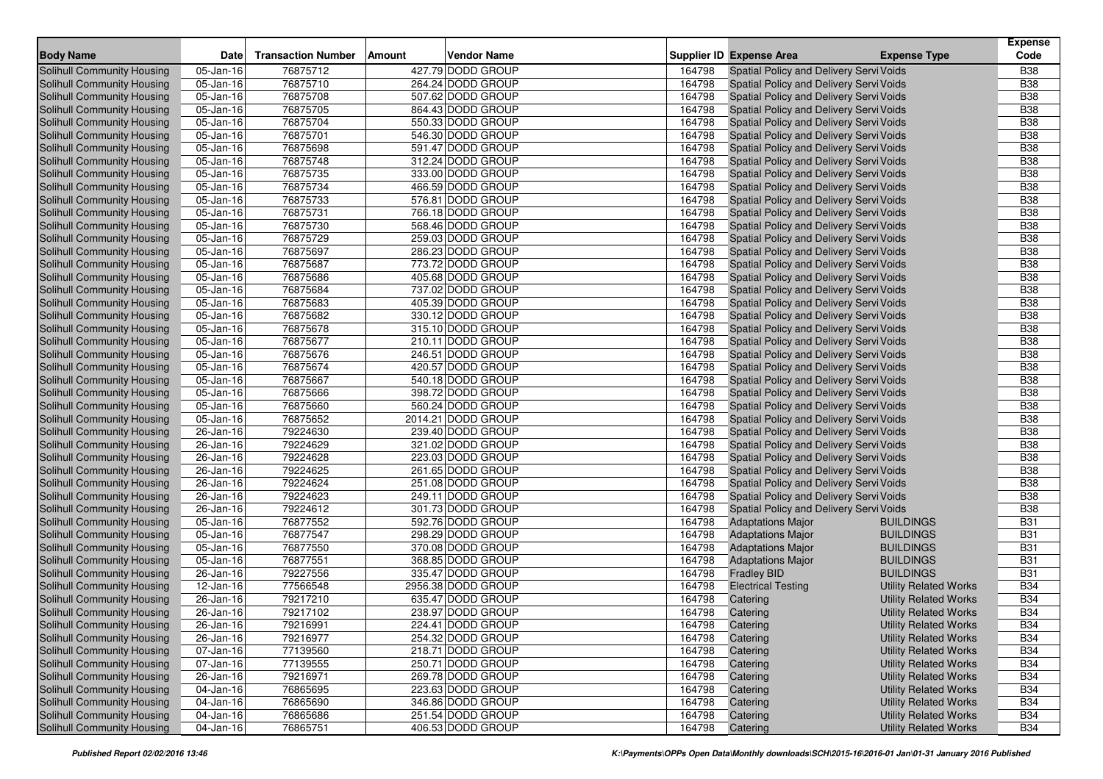|                                   |                         |                           |        |                    |        |                                         |                              | <b>Expense</b> |
|-----------------------------------|-------------------------|---------------------------|--------|--------------------|--------|-----------------------------------------|------------------------------|----------------|
| <b>Body Name</b>                  | Date                    | <b>Transaction Number</b> | Amount | <b>Vendor Name</b> |        | <b>Supplier ID Expense Area</b>         | <b>Expense Type</b>          | Code           |
| <b>Solihull Community Housing</b> | 05-Jan-16               | 76875712                  |        | 427.79 DODD GROUP  | 164798 | Spatial Policy and Delivery Servi Voids |                              | <b>B38</b>     |
| Solihull Community Housing        | 05-Jan-16               | 76875710                  |        | 264.24 DODD GROUP  | 164798 | Spatial Policy and Delivery Servi Voids |                              | <b>B</b> 38    |
| Solihull Community Housing        | 05-Jan-16               | 76875708                  |        | 507.62 DODD GROUP  | 164798 | Spatial Policy and Delivery Servi Voids |                              | <b>B38</b>     |
| Solihull Community Housing        | 05-Jan-16               | 76875705                  |        | 864.43 DODD GROUP  | 164798 | Spatial Policy and Delivery Servi Voids |                              | <b>B38</b>     |
| Solihull Community Housing        | 05-Jan-16               | 76875704                  |        | 550.33 DODD GROUP  | 164798 | Spatial Policy and Delivery Servi Voids |                              | <b>B38</b>     |
| Solihull Community Housing        | 05-Jan-16               | 76875701                  |        | 546.30 DODD GROUP  | 164798 | Spatial Policy and Delivery Servi Voids |                              | <b>B38</b>     |
| Solihull Community Housing        | 05-Jan-16               | 76875698                  |        | 591.47 DODD GROUP  | 164798 | Spatial Policy and Delivery Servi Voids |                              | <b>B38</b>     |
| Solihull Community Housing        | 05-Jan-16               | 76875748                  |        | 312.24 DODD GROUP  | 164798 | Spatial Policy and Delivery Servi Voids |                              | <b>B38</b>     |
| Solihull Community Housing        | 05-Jan-16               | 76875735                  |        | 333.00 DODD GROUP  | 164798 | Spatial Policy and Delivery Servi Voids |                              | <b>B38</b>     |
| <b>Solihull Community Housing</b> | 05-Jan-16               | 76875734                  |        | 466.59 DODD GROUP  | 164798 | Spatial Policy and Delivery Servi Voids |                              | <b>B38</b>     |
| Solihull Community Housing        | 05-Jan-16               | 76875733                  |        | 576.81 DODD GROUP  | 164798 | Spatial Policy and Delivery Servi Voids |                              | <b>B</b> 38    |
| Solihull Community Housing        | 05-Jan-16               | 76875731                  |        | 766.18 DODD GROUP  | 164798 | Spatial Policy and Delivery Servi Voids |                              | <b>B38</b>     |
| Solihull Community Housing        | 05-Jan-16               | 76875730                  |        | 568.46 DODD GROUP  | 164798 | Spatial Policy and Delivery Servi Voids |                              | <b>B38</b>     |
| Solihull Community Housing        | 05-Jan-16               | 76875729                  |        | 259.03 DODD GROUP  | 164798 | Spatial Policy and Delivery Servi Voids |                              | <b>B</b> 38    |
| Solihull Community Housing        | 05-Jan-16               | 76875697                  |        | 286.23 DODD GROUP  | 164798 | Spatial Policy and Delivery Servi Voids |                              | <b>B38</b>     |
| Solihull Community Housing        | 05-Jan-16               | 76875687                  |        | 773.72 DODD GROUP  | 164798 | Spatial Policy and Delivery Servi Voids |                              | <b>B38</b>     |
| Solihull Community Housing        | 05-Jan-16               | 76875686                  |        | 405.68 DODD GROUP  | 164798 | Spatial Policy and Delivery Servi Voids |                              | <b>B38</b>     |
| Solihull Community Housing        | 05-Jan-16               | 76875684                  |        | 737.02 DODD GROUP  | 164798 | Spatial Policy and Delivery Servi Voids |                              | <b>B38</b>     |
| Solihull Community Housing        | 05-Jan-16               | 76875683                  |        | 405.39 DODD GROUP  | 164798 | Spatial Policy and Delivery Servi Voids |                              | <b>B38</b>     |
| Solihull Community Housing        | 05-Jan-16               | 76875682                  |        | 330.12 DODD GROUP  | 164798 | Spatial Policy and Delivery Servi Voids |                              | <b>B</b> 38    |
| Solihull Community Housing        | 05-Jan-16               | 76875678                  |        | 315.10 DODD GROUP  | 164798 | Spatial Policy and Delivery Servi Voids |                              | <b>B38</b>     |
| Solihull Community Housing        | 05-Jan-16               | 76875677                  |        | 210.11 DODD GROUP  | 164798 | Spatial Policy and Delivery Servi Voids |                              | <b>B38</b>     |
| Solihull Community Housing        | 05-Jan-16               | 76875676                  |        | 246.51 DODD GROUP  | 164798 | Spatial Policy and Delivery Servi Voids |                              | <b>B38</b>     |
| Solihull Community Housing        | 05-Jan-16               | 76875674                  |        | 420.57 DODD GROUP  | 164798 | Spatial Policy and Delivery Servi Voids |                              | <b>B38</b>     |
| Solihull Community Housing        | 05-Jan-16               | 76875667                  |        | 540.18 DODD GROUP  | 164798 | Spatial Policy and Delivery Servi Voids |                              | <b>B</b> 38    |
| Solihull Community Housing        | 05-Jan-16               | 76875666                  |        | 398.72 DODD GROUP  | 164798 | Spatial Policy and Delivery Servi Voids |                              | <b>B38</b>     |
| Solihull Community Housing        | 05-Jan-16               | 76875660                  |        | 560.24 DODD GROUP  | 164798 | Spatial Policy and Delivery Servi Voids |                              | <b>B38</b>     |
| Solihull Community Housing        | 05-Jan-16               | 76875652                  |        | 2014.21 DODD GROUP | 164798 | Spatial Policy and Delivery Servi Voids |                              | <b>B38</b>     |
| Solihull Community Housing        | 26-Jan-16               | 79224630                  |        | 239.40 DODD GROUP  | 164798 | Spatial Policy and Delivery Servi Voids |                              | <b>B38</b>     |
| Solihull Community Housing        | 26-Jan-16               | 79224629                  |        | 321.02 DODD GROUP  | 164798 | Spatial Policy and Delivery Servi Voids |                              | <b>B38</b>     |
| Solihull Community Housing        | 26-Jan-16               | 79224628                  |        | 223.03 DODD GROUP  | 164798 | Spatial Policy and Delivery Servi Voids |                              | <b>B38</b>     |
| Solihull Community Housing        | 26-Jan-16               | 79224625                  |        | 261.65 DODD GROUP  | 164798 | Spatial Policy and Delivery Servi Voids |                              | <b>B38</b>     |
| Solihull Community Housing        | 26-Jan-16               | 79224624                  |        | 251.08 DODD GROUP  | 164798 | Spatial Policy and Delivery Servi Voids |                              | <b>B38</b>     |
| <b>Solihull Community Housing</b> | 26-Jan-16               | 79224623                  |        | 249.11 DODD GROUP  | 164798 | Spatial Policy and Delivery Servi Voids |                              | <b>B38</b>     |
| <b>Solihull Community Housing</b> | 26-Jan-16               | 79224612                  |        | 301.73 DODD GROUP  | 164798 | Spatial Policy and Delivery Servi Voids |                              | <b>B38</b>     |
| Solihull Community Housing        | 05-Jan-16               | 76877552                  |        | 592.76 DODD GROUP  | 164798 | <b>Adaptations Major</b>                | <b>BUILDINGS</b>             | <b>B31</b>     |
| <b>Solihull Community Housing</b> | 05-Jan-16               | 76877547                  |        | 298.29 DODD GROUP  | 164798 | <b>Adaptations Major</b>                | <b>BUILDINGS</b>             | <b>B31</b>     |
| Solihull Community Housing        | 05-Jan-16               | 76877550                  |        | 370.08 DODD GROUP  | 164798 | <b>Adaptations Major</b>                | <b>BUILDINGS</b>             | <b>B31</b>     |
| Solihull Community Housing        | 05-Jan-16               | 76877551                  |        | 368.85 DODD GROUP  | 164798 | <b>Adaptations Major</b>                | <b>BUILDINGS</b>             | <b>B31</b>     |
| Solihull Community Housing        | $\overline{26}$ -Jan-16 | 79227556                  |        | 335.47 DODD GROUP  | 164798 | <b>Fradley BID</b>                      | <b>BUILDINGS</b>             | <b>B31</b>     |
| Solihull Community Housing        | 12-Jan-16               | 77566548                  |        | 2956.38 DODD GROUP | 164798 | <b>Electrical Testing</b>               | <b>Utility Related Works</b> | <b>B34</b>     |
| Solihull Community Housing        | 26-Jan-16               | 79217210                  |        | 635.47 DODD GROUP  | 164798 | Catering                                | <b>Utility Related Works</b> | <b>B34</b>     |
| Solihull Community Housing        | 26-Jan-16               | 79217102                  |        | 238.97 DODD GROUP  | 164798 | Catering                                | <b>Utility Related Works</b> | <b>B34</b>     |
| Solihull Community Housing        | $26 - Jan - 16$         | 79216991                  |        | 224.41 DODD GROUP  | 164798 | Catering                                | <b>Utility Related Works</b> | <b>B34</b>     |
| Solihull Community Housing        | 26-Jan-16               | 79216977                  |        | 254.32 DODD GROUP  | 164798 | Catering                                | <b>Utility Related Works</b> | <b>B34</b>     |
| Solihull Community Housing        | $\overline{07}$ -Jan-16 | 77139560                  |        | 218.71 DODD GROUP  | 164798 | Catering                                | <b>Utility Related Works</b> | <b>B34</b>     |
| Solihull Community Housing        | 07-Jan-16               | 77139555                  |        | 250.71 DODD GROUP  | 164798 | Catering                                | <b>Utility Related Works</b> | <b>B34</b>     |
| Solihull Community Housing        | 26-Jan-16               | 79216971                  |        | 269.78 DODD GROUP  | 164798 | Catering                                | <b>Utility Related Works</b> | <b>B34</b>     |
| Solihull Community Housing        | 04-Jan-16               | 76865695                  |        | 223.63 DODD GROUP  | 164798 | Catering                                | <b>Utility Related Works</b> | <b>B34</b>     |
| Solihull Community Housing        | 04-Jan-16               | 76865690                  |        | 346.86 DODD GROUP  | 164798 | Catering                                | <b>Utility Related Works</b> | <b>B34</b>     |
| <b>Solihull Community Housing</b> | 04-Jan-16               | 76865686                  |        | 251.54 DODD GROUP  | 164798 | Catering                                | <b>Utility Related Works</b> | <b>B34</b>     |
| Solihull Community Housing        | 04-Jan-16               | 76865751                  |        | 406.53 DODD GROUP  | 164798 | Catering                                | <b>Utility Related Works</b> | <b>B34</b>     |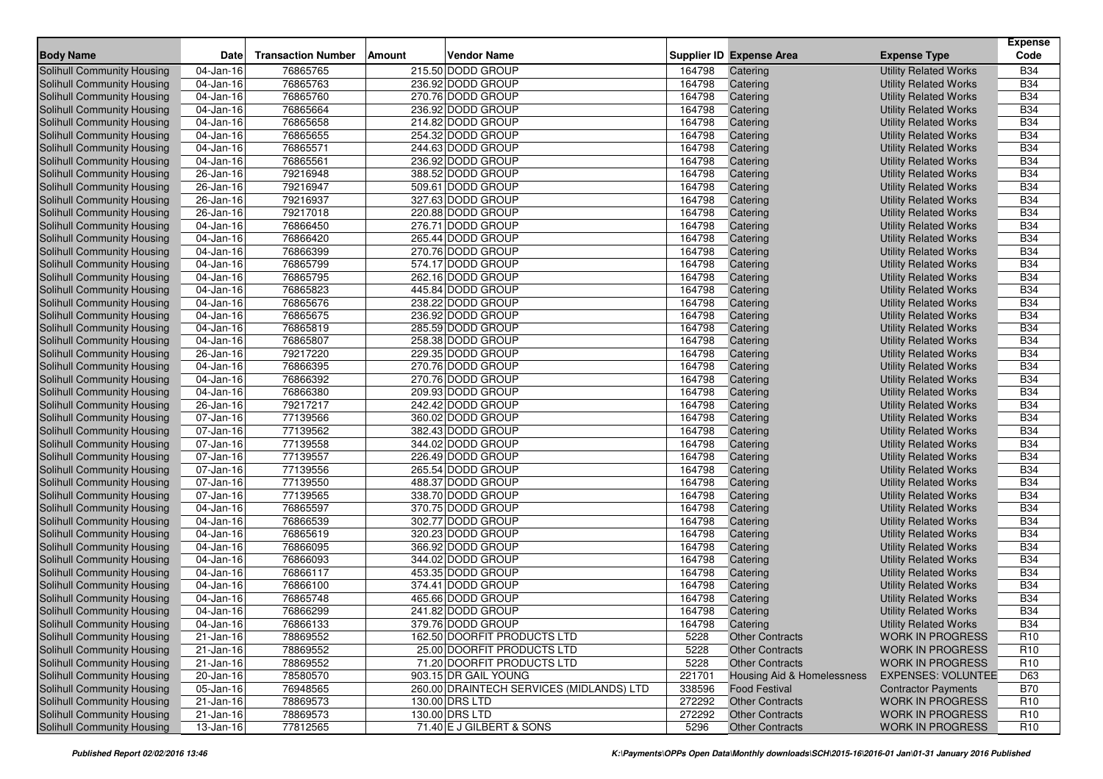|                                                                 |                         |                           |        |                                            |                |                                                  |                                                       | <b>Expense</b>                     |
|-----------------------------------------------------------------|-------------------------|---------------------------|--------|--------------------------------------------|----------------|--------------------------------------------------|-------------------------------------------------------|------------------------------------|
| <b>Body Name</b>                                                | Date                    | <b>Transaction Number</b> | Amount | <b>Vendor Name</b>                         |                | Supplier ID Expense Area                         | <b>Expense Type</b>                                   | Code                               |
| <b>Solihull Community Housing</b>                               | 04-Jan-16               | 76865765                  |        | 215.50 DODD GROUP                          | 164798         | Catering                                         | <b>Utility Related Works</b>                          | <b>B34</b>                         |
| Solihull Community Housing                                      | 04-Jan-16               | 76865763                  |        | 236.92 DODD GROUP                          | 164798         | Catering                                         | <b>Utility Related Works</b>                          | <b>B34</b>                         |
| Solihull Community Housing                                      | 04-Jan-16               | 76865760                  |        | 270.76 DODD GROUP                          | 164798         | Catering                                         | <b>Utility Related Works</b>                          | <b>B34</b>                         |
| Solihull Community Housing                                      | 04-Jan-16               | 76865664                  |        | 236.92 DODD GROUP                          | 164798         | Catering                                         | <b>Utility Related Works</b>                          | <b>B34</b>                         |
| Solihull Community Housing                                      | 04-Jan-16               | 76865658                  |        | 214.82 DODD GROUP                          | 164798         | Catering                                         | <b>Utility Related Works</b>                          | <b>B34</b>                         |
| Solihull Community Housing                                      | 04-Jan-16               | 76865655                  |        | 254.32 DODD GROUP                          | 164798         | Catering                                         | <b>Utility Related Works</b>                          | <b>B34</b>                         |
| Solihull Community Housing                                      | 04-Jan-16               | 76865571                  |        | 244.63 DODD GROUP                          | 164798         | Catering                                         | <b>Utility Related Works</b>                          | <b>B34</b>                         |
| Solihull Community Housing                                      | 04-Jan-16               | 76865561                  |        | 236.92 DODD GROUP                          | 164798         | Catering                                         | <b>Utility Related Works</b>                          | <b>B34</b>                         |
| Solihull Community Housing                                      | 26-Jan-16               | 79216948                  |        | 388.52 DODD GROUP                          | 164798         | Catering                                         | <b>Utility Related Works</b>                          | <b>B34</b>                         |
| Solihull Community Housing                                      | 26-Jan-16               | 79216947                  |        | 509.61 DODD GROUP                          | 164798         | Catering                                         | <b>Utility Related Works</b>                          | <b>B34</b>                         |
| Solihull Community Housing                                      | 26-Jan-16               | 79216937                  |        | 327.63 DODD GROUP                          | 164798         | Catering                                         | <b>Utility Related Works</b>                          | <b>B34</b>                         |
| Solihull Community Housing                                      | 26-Jan-16               | 79217018                  |        | 220.88 DODD GROUP                          | 164798         | Catering                                         | <b>Utility Related Works</b>                          | <b>B34</b>                         |
| Solihull Community Housing                                      | 04-Jan-16               | 76866450                  |        | 276.71 DODD GROUP                          | 164798         | Catering                                         | <b>Utility Related Works</b>                          | <b>B34</b>                         |
| Solihull Community Housing                                      | 04-Jan-16               | 76866420                  |        | 265.44 DODD GROUP                          | 164798         | Catering                                         | <b>Utility Related Works</b>                          | <b>B34</b>                         |
| Solihull Community Housing                                      | 04-Jan-16               | 76866399                  |        | 270.76 DODD GROUP                          | 164798         | Catering                                         | <b>Utility Related Works</b>                          | <b>B34</b>                         |
| Solihull Community Housing                                      | 04-Jan-16               | 76865799                  |        | 574.17 DODD GROUP                          | 164798         | Catering                                         | <b>Utility Related Works</b>                          | <b>B34</b>                         |
| Solihull Community Housing                                      | 04-Jan-16               | 76865795                  |        | 262.16 DODD GROUP                          | 164798         | Catering                                         | <b>Utility Related Works</b>                          | <b>B34</b>                         |
| Solihull Community Housing                                      | 04-Jan-16               | 76865823                  |        | 445.84 DODD GROUP                          | 164798         | Catering                                         | <b>Utility Related Works</b>                          | <b>B34</b>                         |
| Solihull Community Housing                                      | 04-Jan-16               | 76865676                  |        | 238.22 DODD GROUP                          | 164798         | Catering                                         | <b>Utility Related Works</b>                          | <b>B34</b>                         |
| Solihull Community Housing                                      | 04-Jan-16               | 76865675                  |        | 236.92 DODD GROUP                          | 164798         | Catering                                         | <b>Utility Related Works</b>                          | <b>B34</b>                         |
| Solihull Community Housing                                      | 04-Jan-16               | 76865819                  |        | 285.59 DODD GROUP                          | 164798         | Catering                                         | <b>Utility Related Works</b>                          | <b>B34</b>                         |
| Solihull Community Housing                                      | 04-Jan-16               | 76865807                  |        | 258.38 DODD GROUP                          | 164798         | Catering                                         | <b>Utility Related Works</b>                          | <b>B34</b>                         |
| Solihull Community Housing                                      | $26$ -Jan-16            | 79217220                  |        | 229.35 DODD GROUP                          | 164798         | Catering                                         | <b>Utility Related Works</b>                          | <b>B34</b>                         |
| Solihull Community Housing                                      | 04-Jan-16               | 76866395                  |        | 270.76 DODD GROUP                          | 164798         | Catering                                         | <b>Utility Related Works</b>                          | <b>B34</b>                         |
| Solihull Community Housing                                      | 04-Jan-16               | 76866392                  |        | 270.76 DODD GROUP                          | 164798         | Catering                                         | <b>Utility Related Works</b>                          | <b>B34</b>                         |
| Solihull Community Housing                                      | 04-Jan-16               | 76866380                  |        | 209.93 DODD GROUP                          | 164798         | Catering                                         | <b>Utility Related Works</b>                          | <b>B34</b>                         |
| Solihull Community Housing                                      | 26-Jan-16               | 79217217                  |        | 242.42 DODD GROUP                          | 164798         | Catering                                         | <b>Utility Related Works</b>                          | <b>B34</b>                         |
| Solihull Community Housing                                      | 07-Jan-16               | 77139566                  |        | 360.02 DODD GROUP                          | 164798         | Catering                                         | <b>Utility Related Works</b>                          | <b>B34</b>                         |
| Solihull Community Housing                                      | 07-Jan-16               | 77139562                  |        | 382.43 DODD GROUP                          | 164798         | Catering                                         | <b>Utility Related Works</b>                          | <b>B34</b>                         |
| Solihull Community Housing                                      | 07-Jan-16               | 77139558                  |        | 344.02 DODD GROUP                          | 164798         | Catering                                         | <b>Utility Related Works</b>                          | <b>B34</b>                         |
| Solihull Community Housing                                      | 07-Jan-16               | 77139557                  |        | 226.49 DODD GROUP                          | 164798         | Catering                                         | <b>Utility Related Works</b>                          | <b>B34</b>                         |
| Solihull Community Housing                                      | 07-Jan-16               | 77139556                  |        | 265.54 DODD GROUP                          | 164798         | Catering                                         | <b>Utility Related Works</b>                          | <b>B34</b>                         |
| Solihull Community Housing                                      | 07-Jan-16               | 77139550                  |        | 488.37 DODD GROUP                          | 164798         | Catering                                         | <b>Utility Related Works</b>                          | <b>B34</b>                         |
| Solihull Community Housing                                      | 07-Jan-16               | 77139565                  |        | 338.70 DODD GROUP                          | 164798         | Catering                                         | <b>Utility Related Works</b>                          | <b>B34</b>                         |
| Solihull Community Housing                                      | $\overline{0}$ 4-Jan-16 | 76865597                  |        | 370.75 DODD GROUP                          | 164798         | Catering                                         | <b>Utility Related Works</b>                          | <b>B34</b>                         |
| Solihull Community Housing                                      | 04-Jan-16               | 76866539                  |        | 302.77 DODD GROUP                          | 164798         | Catering                                         | <b>Utility Related Works</b>                          | <b>B34</b>                         |
| Solihull Community Housing                                      | 04-Jan-16               | 76865619                  |        | 320.23 DODD GROUP                          | 164798         | Catering                                         | <b>Utility Related Works</b>                          | <b>B34</b>                         |
| Solihull Community Housing                                      | 04-Jan-16               | 76866095                  |        | 366.92 DODD GROUP                          | 164798         | Catering                                         | <b>Utility Related Works</b>                          | <b>B34</b>                         |
| Solihull Community Housing                                      | 04-Jan-16               | 76866093                  |        | 344.02 DODD GROUP                          | 164798         | Catering                                         | <b>Utility Related Works</b>                          | <b>B34</b>                         |
| Solihull Community Housing                                      | $\overline{04}$ -Jan-16 | 76866117                  |        | 453.35 DODD GROUP                          | 164798         | Catering                                         | <b>Utility Related Works</b>                          | <b>B34</b>                         |
| Solihull Community Housing                                      | 04-Jan-16               | 76866100                  |        | 374.41 DODD GROUP                          | 164798         | Catering                                         | <b>Utility Related Works</b>                          | <b>B34</b>                         |
| Solihull Community Housing                                      | 04-Jan-16               | 76865748                  |        | 465.66 DODD GROUP                          | 164798         | Catering                                         | <b>Utility Related Works</b>                          | <b>B34</b>                         |
| Solihull Community Housing                                      | 04-Jan-16               | 76866299                  |        | 241.82 DODD GROUP                          | 164798         | Catering                                         | <b>Utility Related Works</b>                          | <b>B34</b>                         |
| Solihull Community Housing                                      | $04$ -Jan-16            | 76866133                  |        | 379.76 DODD GROUP                          | 164798         | Catering                                         | <b>Utility Related Works</b>                          | <b>B34</b>                         |
| Solihull Community Housing                                      | 21-Jan-16               | 78869552                  |        | 162.50 DOORFIT PRODUCTS LTD                | 5228           | <b>Other Contracts</b>                           | <b>WORK IN PROGRESS</b>                               | R <sub>10</sub>                    |
| Solihull Community Housing                                      | 21-Jan-16               | 78869552                  |        | 25.00 DOORFIT PRODUCTS LTD                 | 5228           | <b>Other Contracts</b>                           | <b>WORK IN PROGRESS</b>                               | R <sub>10</sub>                    |
| Solihull Community Housing                                      | 21-Jan-16               | 78869552                  |        | 71.20 DOORFIT PRODUCTS LTD                 | 5228<br>221701 | <b>Other Contracts</b>                           | <b>WORK IN PROGRESS</b>                               | R <sub>10</sub>                    |
| <b>Solihull Community Housing</b>                               | 20-Jan-16               | 78580570                  |        | 903.15 DR GAIL YOUNG                       |                | Housing Aid & Homelessness                       | <b>EXPENSES: VOLUNTEE</b>                             | D63                                |
| Solihull Community Housing                                      | 05-Jan-16               | 76948565                  |        | 260.00 DRAINTECH SERVICES (MIDLANDS) LTD   | 338596         | <b>Food Festival</b>                             | <b>Contractor Payments</b><br><b>WORK IN PROGRESS</b> | B70                                |
| Solihull Community Housing<br><b>Solihull Community Housing</b> | 21-Jan-16               | 78869573                  |        | 130.00 DRS LTD                             | 272292         | <b>Other Contracts</b><br><b>Other Contracts</b> |                                                       | R <sub>10</sub>                    |
| Solihull Community Housing                                      | $21 - Jan-16$           | 78869573                  |        | 130.00 DRS LTD<br>71.40 E J GILBERT & SONS | 272292<br>5296 | <b>Other Contracts</b>                           | <b>WORK IN PROGRESS</b><br><b>WORK IN PROGRESS</b>    | R <sub>10</sub><br>R <sub>10</sub> |
|                                                                 | $13$ -Jan-16            | 77812565                  |        |                                            |                |                                                  |                                                       |                                    |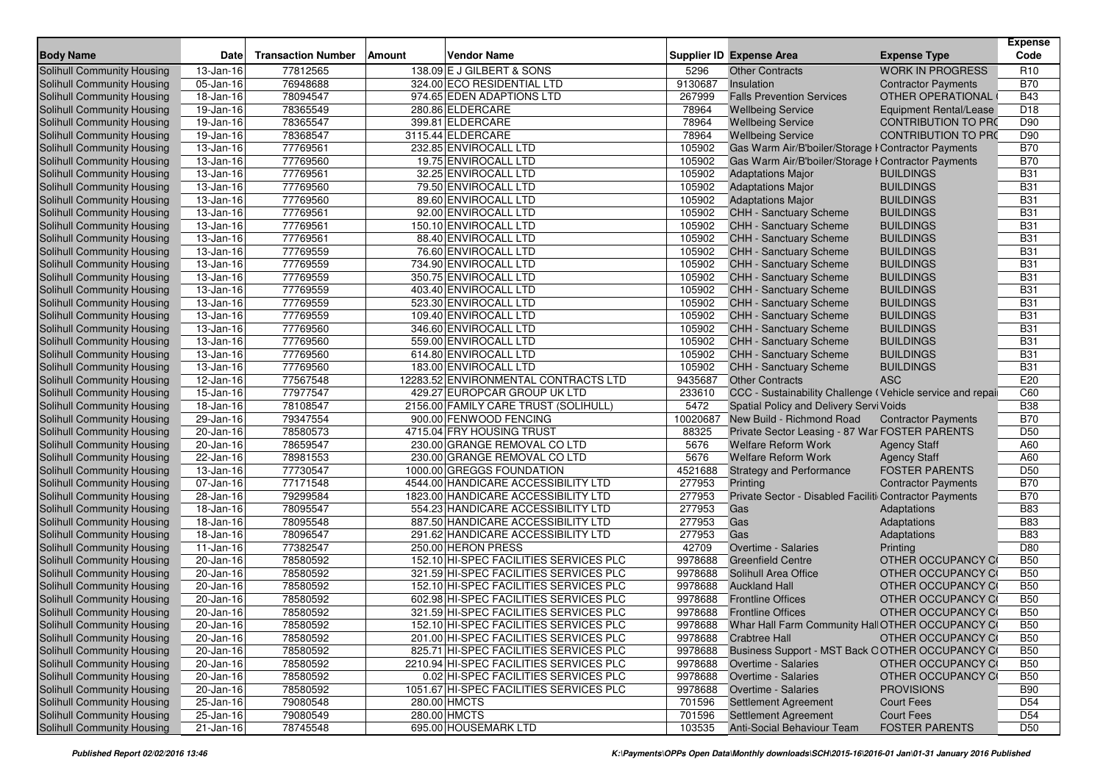| <b>Body Name</b>                  | <b>Date</b>             | <b>Transaction Number</b> | Amount | <b>Vendor Name</b>                      |          | <b>Supplier ID Expense Area</b>                           | <b>Expense Type</b>        | <b>Expense</b><br>Code |
|-----------------------------------|-------------------------|---------------------------|--------|-----------------------------------------|----------|-----------------------------------------------------------|----------------------------|------------------------|
| <b>Solihull Community Housing</b> | 13-Jan-16               | 77812565                  |        | 138.09 E J GILBERT & SONS               | 5296     | <b>Other Contracts</b>                                    | <b>WORK IN PROGRESS</b>    | R <sub>10</sub>        |
| Solihull Community Housing        | 05-Jan-16               | 76948688                  |        | 324.00 ECO RESIDENTIAL LTD              | 9130687  | Insulation                                                | <b>Contractor Payments</b> | <b>B70</b>             |
| <b>Solihull Community Housing</b> | 18-Jan-16               | 78094547                  |        | 974.65 EDEN ADAPTIONS LTD               | 267999   | <b>Falls Prevention Services</b>                          | OTHER OPERATIONAL          | <b>B43</b>             |
| Solihull Community Housing        | $19$ -Jan-16            | 78365549                  |        | 280.86 ELDERCARE                        | 78964    | <b>Wellbeing Service</b>                                  | Equipment Rental/Lease     | D <sub>18</sub>        |
| Solihull Community Housing        | 19-Jan-16               | 78365547                  |        | 399.81 ELDERCARE                        | 78964    | <b>Wellbeing Service</b>                                  | <b>CONTRIBUTION TO PRO</b> | D90                    |
| Solihull Community Housing        | 19-Jan-16               | 78368547                  |        | 3115.44 ELDERCARE                       | 78964    | <b>Wellbeing Service</b>                                  | <b>CONTRIBUTION TO PRO</b> | D90                    |
| Solihull Community Housing        | 13-Jan-16               | 77769561                  |        | 232.85 ENVIROCALL LTD                   | 105902   | Gas Warm Air/B'boiler/Storage I Contractor Payments       |                            | <b>B70</b>             |
| Solihull Community Housing        | 13-Jan-16               | 77769560                  |        | 19.75 ENVIROCALL LTD                    | 105902   | Gas Warm Air/B'boiler/Storage I Contractor Payments       |                            | <b>B70</b>             |
| Solihull Community Housing        | 13-Jan-16               | 77769561                  |        | 32.25 ENVIROCALL LTD                    | 105902   | <b>Adaptations Major</b>                                  | <b>BUILDINGS</b>           | <b>B31</b>             |
| Solihull Community Housing        | 13-Jan-16               | 77769560                  |        | 79.50 ENVIROCALL LTD                    | 105902   | <b>Adaptations Major</b>                                  | <b>BUILDINGS</b>           | <b>B31</b>             |
| Solihull Community Housing        | 13-Jan-16               | 77769560                  |        | 89.60 ENVIROCALL LTD                    | 105902   | <b>Adaptations Major</b>                                  | <b>BUILDINGS</b>           | <b>B31</b>             |
| Solihull Community Housing        | $13$ -Jan-16            | 77769561                  |        | 92.00 ENVIROCALL LTD                    | 105902   | <b>CHH - Sanctuary Scheme</b>                             | <b>BUILDINGS</b>           | <b>B31</b>             |
| <b>Solihull Community Housing</b> | 13-Jan-16               | 77769561                  |        | 150.10 ENVIROCALL LTD                   | 105902   | <b>CHH - Sanctuary Scheme</b>                             | <b>BUILDINGS</b>           | <b>B31</b>             |
| <b>Solihull Community Housing</b> | 13-Jan-16               | 77769561                  |        | 88.40 ENVIROCALL LTD                    | 105902   | <b>CHH - Sanctuary Scheme</b>                             | <b>BUILDINGS</b>           | <b>B31</b>             |
| Solihull Community Housing        | 13-Jan-16               | 77769559                  |        | 76.60 ENVIROCALL LTD                    | 105902   | <b>CHH - Sanctuary Scheme</b>                             | <b>BUILDINGS</b>           | <b>B31</b>             |
| Solihull Community Housing        | 13-Jan-16               | 77769559                  |        | 734.90 ENVIROCALL LTD                   | 105902   | CHH - Sanctuary Scheme                                    | <b>BUILDINGS</b>           | <b>B31</b>             |
| Solihull Community Housing        | 13-Jan-16               | 77769559                  |        | 350.75 ENVIROCALL LTD                   | 105902   | <b>CHH - Sanctuary Scheme</b>                             | <b>BUILDINGS</b>           | <b>B31</b>             |
| Solihull Community Housing        | 13-Jan-16               | 77769559                  |        | 403.40 ENVIROCALL LTD                   | 105902   | CHH - Sanctuary Scheme                                    | <b>BUILDINGS</b>           | <b>B31</b>             |
| Solihull Community Housing        | 13-Jan-16               | 77769559                  |        | 523.30 ENVIROCALL LTD                   | 105902   | <b>CHH - Sanctuary Scheme</b>                             | <b>BUILDINGS</b>           | <b>B31</b>             |
| Solihull Community Housing        | 13-Jan-16               | 77769559                  |        | 109.40 ENVIROCALL LTD                   | 105902   | <b>CHH - Sanctuary Scheme</b>                             | <b>BUILDINGS</b>           | <b>B31</b>             |
| Solihull Community Housing        | 13-Jan-16               | 77769560                  |        | 346.60 ENVIROCALL LTD                   | 105902   | CHH - Sanctuary Scheme                                    | <b>BUILDINGS</b>           | <b>B31</b>             |
| Solihull Community Housing        | 13-Jan-16               | 77769560                  |        | 559.00 ENVIROCALL LTD                   | 105902   | <b>CHH - Sanctuary Scheme</b>                             | <b>BUILDINGS</b>           | <b>B31</b>             |
| Solihull Community Housing        | 13-Jan-16               | 77769560                  |        | 614.80 ENVIROCALL LTD                   | 105902   | <b>CHH - Sanctuary Scheme</b>                             | <b>BUILDINGS</b>           | <b>B31</b>             |
| Solihull Community Housing        | 13-Jan-16               | 77769560                  |        | 183.00 ENVIROCALL LTD                   | 105902   | <b>CHH - Sanctuary Scheme</b>                             | <b>BUILDINGS</b>           | <b>B31</b>             |
| <b>Solihull Community Housing</b> | 12-Jan-16               | 77567548                  |        | 12283.52 ENVIRONMENTAL CONTRACTS LTD    | 9435687  | <b>Other Contracts</b>                                    | <b>ASC</b>                 | E20                    |
| Solihull Community Housing        | 15-Jan-16               | 77977547                  |        | 429.27 EUROPCAR GROUP UK LTD            | 233610   | CCC - Sustainability Challenge (Vehicle service and repai |                            | C60                    |
| Solihull Community Housing        | 18-Jan-16               | 78108547                  |        | 2156.00 FAMILY CARE TRUST (SOLIHULL)    | 5472     | Spatial Policy and Delivery Servi Voids                   |                            | <b>B38</b>             |
| Solihull Community Housing        | 29-Jan-16               | 79347554                  |        | 900.00 FENWOOD FENCING                  | 10020687 | New Build - Richmond Road                                 | <b>Contractor Payments</b> | <b>B70</b>             |
| Solihull Community Housing        | $\overline{20}$ -Jan-16 | 78580573                  |        | 4715.04 FRY HOUSING TRUST               | 88325    | Private Sector Leasing - 87 War FOSTER PARENTS            |                            | D <sub>50</sub>        |
| Solihull Community Housing        | 20-Jan-16               | 78659547                  |        | 230.00 GRANGE REMOVAL CO LTD            | 5676     | <b>Welfare Reform Work</b>                                | <b>Agency Staff</b>        | A60                    |
| Solihull Community Housing        | 22-Jan-16               | 78981553                  |        | 230.00 GRANGE REMOVAL CO LTD            | 5676     | <b>Welfare Reform Work</b>                                | <b>Agency Staff</b>        | A60                    |
| Solihull Community Housing        | 13-Jan-16               | 77730547                  |        | 1000.00 GREGGS FOUNDATION               | 4521688  | <b>Strategy and Performance</b>                           | <b>FOSTER PARENTS</b>      | D <sub>50</sub>        |
| Solihull Community Housing        | 07-Jan-16               | 77171548                  |        | 4544.00 HANDICARE ACCESSIBILITY LTD     | 277953   | Printing                                                  | <b>Contractor Payments</b> | <b>B70</b>             |
| Solihull Community Housing        | 28-Jan-16               | 79299584                  |        | 1823.00 HANDICARE ACCESSIBILITY LTD     | 277953   | Private Sector - Disabled Faciliti Contractor Payments    |                            | <b>B70</b>             |
| Solihull Community Housing        | 18-Jan-16               | 78095547                  |        | 554.23 HANDICARE ACCESSIBILITY LTD      | 277953   | Gas                                                       | Adaptations                | <b>B83</b>             |
| Solihull Community Housing        | 18-Jan-16               | 78095548                  |        | 887.50 HANDICARE ACCESSIBILITY LTD      | 277953   | Gas                                                       | Adaptations                | <b>B83</b>             |
| Solihull Community Housing        | 18-Jan-16               | 78096547                  |        | 291.62 HANDICARE ACCESSIBILITY LTD      | 277953   | Gas                                                       | Adaptations                | <b>B83</b>             |
| Solihull Community Housing        | 11-Jan-16               | 77382547                  |        | 250.00 HERON PRESS                      | 42709    | <b>Overtime - Salaries</b>                                | Printing                   | D80                    |
| Solihull Community Housing        | 20-Jan-16               | 78580592                  |        | 152.10 HI-SPEC FACILITIES SERVICES PLC  | 9978688  | <b>Greenfield Centre</b>                                  | OTHER OCCUPANCY CO         | <b>B50</b>             |
| Solihull Community Housing        | 20-Jan-16               | 78580592                  |        | 321.59 HI-SPEC FACILITIES SERVICES PLC  | 9978688  | Solihull Area Office                                      | OTHER OCCUPANCY CO         | <b>B50</b>             |
| Solihull Community Housing        | 20-Jan-16               | 78580592                  |        | 152.10 HI-SPEC FACILITIES SERVICES PLC  | 9978688  | <b>Auckland Hall</b>                                      | OTHER OCCUPANCY CO         | <b>B50</b>             |
| Solihull Community Housing        | 20-Jan-16               | 78580592                  |        | 602.98 HI-SPEC FACILITIES SERVICES PLC  | 9978688  | <b>Frontline Offices</b>                                  | OTHER OCCUPANCY CO         | <b>B50</b>             |
| Solihull Community Housing        | 20-Jan-16               | 78580592                  |        | 321.59 HI-SPEC FACILITIES SERVICES PLC  | 9978688  | <b>Frontline Offices</b>                                  | OTHER OCCUPANCY CO         | <b>B50</b>             |
| Solihull Community Housing        | $20 - Jan-16$           | 78580592                  |        | 152.10 HI-SPEC FACILITIES SERVICES PLC  |          | 9978688 Whar Hall Farm Community Hall OTHER OCCUPANCY CO  |                            | <b>B50</b>             |
| Solihull Community Housing        | 20-Jan-16               | 78580592                  |        | 201.00 HI-SPEC FACILITIES SERVICES PLC  |          | 9978688 Crabtree Hall                                     | OTHER OCCUPANCY CO         | <b>B50</b>             |
| Solihull Community Housing        | 20-Jan-16               | 78580592                  |        | 825.71 HI-SPEC FACILITIES SERVICES PLC  | 9978688  | Business Support - MST Back OOTHER OCCUPANCY CO           |                            | <b>B50</b>             |
| Solihull Community Housing        | 20-Jan-16               | 78580592                  |        | 2210.94 HI-SPEC FACILITIES SERVICES PLC | 9978688  | Overtime - Salaries                                       | OTHER OCCUPANCY CO         | <b>B50</b>             |
| Solihull Community Housing        | 20-Jan-16               | 78580592                  |        | 0.02 HI-SPEC FACILITIES SERVICES PLC    | 9978688  | Overtime - Salaries                                       | OTHER OCCUPANCY CO         | <b>B50</b>             |
| Solihull Community Housing        | 20-Jan-16               | 78580592                  |        | 1051.67 HI-SPEC FACILITIES SERVICES PLC | 9978688  | Overtime - Salaries                                       | <b>PROVISIONS</b>          | <b>B90</b>             |
| Solihull Community Housing        | 25-Jan-16               | 79080548                  |        | 280.00 HMCTS                            | 701596   | <b>Settlement Agreement</b>                               | <b>Court Fees</b>          | D <sub>54</sub>        |
| Solihull Community Housing        | 25-Jan-16               | 79080549                  |        | 280.00 HMCTS                            | 701596   | <b>Settlement Agreement</b>                               | <b>Court Fees</b>          | D <sub>54</sub>        |
| Solihull Community Housing        | $21$ -Jan-16            | 78745548                  |        | 695.00 HOUSEMARK LTD                    | 103535   | <b>Anti-Social Behaviour Team</b>                         | <b>FOSTER PARENTS</b>      | D <sub>50</sub>        |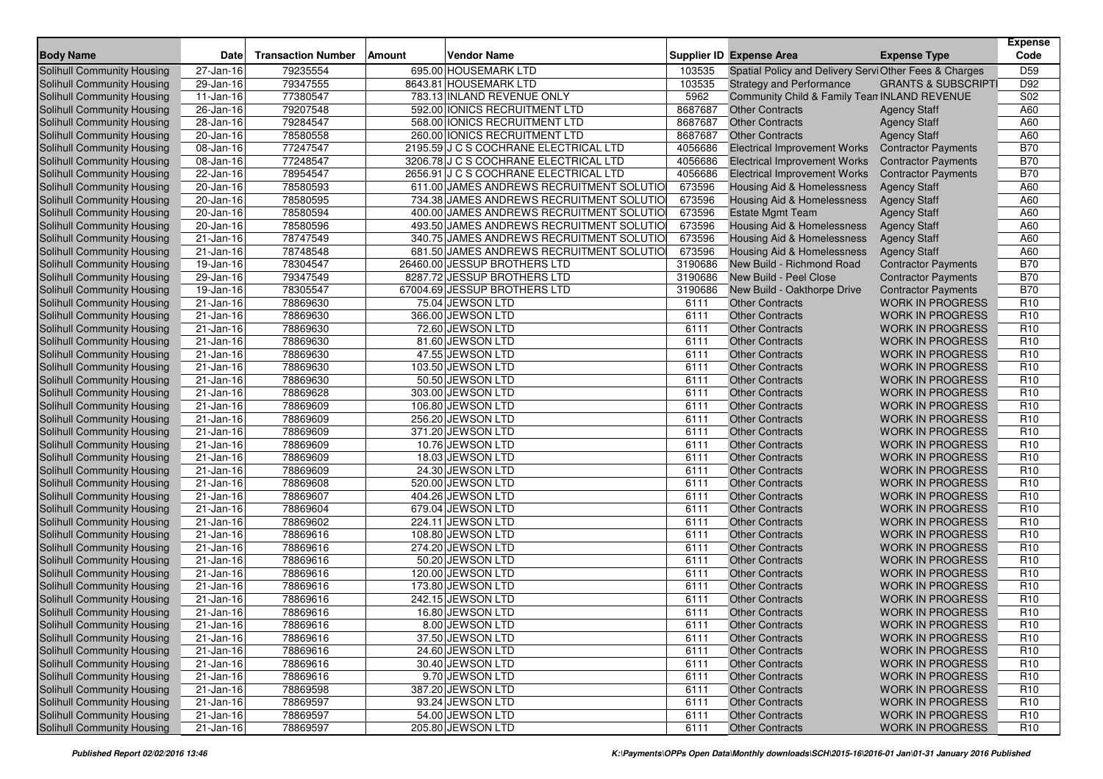| <b>Body Name</b>                                                | <b>Date</b>             | <b>Transaction Number</b> | <b>Amount</b> | <b>Vendor Name</b>                       |              | <b>Supplier ID Expense Area</b>                       | <b>Expense Type</b>                                | <b>Expense</b><br>Code             |
|-----------------------------------------------------------------|-------------------------|---------------------------|---------------|------------------------------------------|--------------|-------------------------------------------------------|----------------------------------------------------|------------------------------------|
| <b>Solihull Community Housing</b>                               | $\overline{27}$ -Jan-16 | 79235554                  |               | 695.00 HOUSEMARK LTD                     | 103535       | Spatial Policy and Delivery ServiOther Fees & Charges |                                                    | D <sub>59</sub>                    |
| Solihull Community Housing                                      | 29-Jan-16               | 79347555                  |               | 8643.81 HOUSEMARK LTD                    | 103535       | <b>Strategy and Performance</b>                       | <b>GRANTS &amp; SUBSCRIPTI</b>                     | D92                                |
| Solihull Community Housing                                      | 11-Jan-16               | 77380547                  |               | 783.13 INLAND REVENUE ONLY               | 5962         | Community Child & Family Tean INLAND REVENUE          |                                                    | S <sub>02</sub>                    |
| Solihull Community Housing                                      | $\overline{26}$ -Jan-16 | 79207548                  |               | 592.00 IONICS RECRUITMENT LTD            | 8687687      | <b>Other Contracts</b>                                | <b>Agency Staff</b>                                | A60                                |
| Solihull Community Housing                                      | 28-Jan-16               | 79284547                  |               | 568.00 IONICS RECRUITMENT LTD            | 8687687      | <b>Other Contracts</b>                                | <b>Agency Staff</b>                                | A60                                |
| Solihull Community Housing                                      | 20-Jan-16               | 78580558                  |               | 260.00 IONICS RECRUITMENT LTD            | 8687687      | <b>Other Contracts</b>                                | <b>Agency Staff</b>                                | A60                                |
| Solihull Community Housing                                      | 08-Jan-16               | 77247547                  |               | 2195.59 J C S COCHRANE ELECTRICAL LTD    | 4056686      | <b>Electrical Improvement Works</b>                   | <b>Contractor Payments</b>                         | <b>B70</b>                         |
| Solihull Community Housing                                      | 08-Jan-16               | 77248547                  |               | 3206.78 J C S COCHRANE ELECTRICAL LTD    | 4056686      | <b>Electrical Improvement Works</b>                   | <b>Contractor Payments</b>                         | <b>B70</b>                         |
| Solihull Community Housing                                      | 22-Jan-16               | 78954547                  |               | 2656.91 J C S COCHRANE ELECTRICAL LTD    | 4056686      | <b>Electrical Improvement Works</b>                   | <b>Contractor Payments</b>                         | <b>B70</b>                         |
| Solihull Community Housing                                      | 20-Jan-16               | 78580593                  |               | 611.00 JAMES ANDREWS RECRUITMENT SOLUTIO | 673596       | Housing Aid & Homelessness                            | <b>Agency Staff</b>                                | A60                                |
| Solihull Community Housing                                      | 20-Jan-16               | 78580595                  |               | 734.38 JAMES ANDREWS RECRUITMENT SOLUTIO | 673596       | Housing Aid & Homelessness                            | <b>Agency Staff</b>                                | A60                                |
| Solihull Community Housing                                      | 20-Jan-16               | 78580594                  |               | 400.00 JAMES ANDREWS RECRUITMENT SOLUTIO | 673596       | <b>Estate Mgmt Team</b>                               | <b>Agency Staff</b>                                | A60                                |
| Solihull Community Housing                                      | 20-Jan-16               | 78580596                  |               | 493.50 JAMES ANDREWS RECRUITMENT SOLUTIO | 673596       | Housing Aid & Homelessness                            | <b>Agency Staff</b>                                | A60                                |
| Solihull Community Housing                                      | 21-Jan-16               | 78747549                  |               | 340.75 JAMES ANDREWS RECRUITMENT SOLUTIO | 673596       | Housing Aid & Homelessness                            | <b>Agency Staff</b>                                | A60                                |
| Solihull Community Housing                                      | 21-Jan-16               | 78748548                  |               | 681.50 JAMES ANDREWS RECRUITMENT SOLUTIO | 673596       | Housing Aid & Homelessness                            | <b>Agency Staff</b>                                | A60                                |
| Solihull Community Housing                                      | 19-Jan-16               | 78304547                  |               | 26460.00 JESSUP BROTHERS LTD             | 3190686      | New Build - Richmond Road                             | <b>Contractor Payments</b>                         | <b>B70</b>                         |
| Solihull Community Housing                                      | 29-Jan-16               | 79347549                  |               | 8287.72 JESSUP BROTHERS LTD              | 3190686      | New Build - Peel Close                                | <b>Contractor Payments</b>                         | <b>B70</b>                         |
| Solihull Community Housing                                      | 19-Jan-16               | 78305547                  |               | 67004.69 JESSUP BROTHERS LTD             | 3190686      | New Build - Oakthorpe Drive                           | <b>Contractor Payments</b>                         | <b>B70</b>                         |
| Solihull Community Housing                                      | 21-Jan-16               | 78869630                  |               | 75.04 JEWSON LTD                         | 6111         | <b>Other Contracts</b>                                | <b>WORK IN PROGRESS</b>                            | R <sub>10</sub>                    |
| Solihull Community Housing                                      | $\overline{2}1$ -Jan-16 | 78869630                  |               | 366.00 JEWSON LTD                        | 6111         | <b>Other Contracts</b>                                | <b>WORK IN PROGRESS</b>                            | R <sub>10</sub>                    |
| Solihull Community Housing                                      | 21-Jan-16               | 78869630                  |               | 72.60 JEWSON LTD                         | 6111         | <b>Other Contracts</b>                                | <b>WORK IN PROGRESS</b>                            | R <sub>10</sub>                    |
| Solihull Community Housing                                      | 21-Jan-16               | 78869630                  |               | 81.60 JEWSON LTD                         | 6111         | <b>Other Contracts</b>                                | <b>WORK IN PROGRESS</b>                            | R <sub>10</sub>                    |
| Solihull Community Housing                                      | 21-Jan-16               | 78869630                  |               | 47.55 JEWSON LTD                         | 6111         | <b>Other Contracts</b>                                | <b>WORK IN PROGRESS</b>                            | R <sub>10</sub>                    |
| Solihull Community Housing                                      | 21-Jan-16               | 78869630                  |               | 103.50 JEWSON LTD                        | 6111         | <b>Other Contracts</b>                                | <b>WORK IN PROGRESS</b>                            | R <sub>10</sub>                    |
| Solihull Community Housing                                      | 21-Jan-16               | 78869630                  |               | 50.50 JEWSON LTD                         | 6111         | <b>Other Contracts</b>                                | <b>WORK IN PROGRESS</b>                            | R <sub>10</sub>                    |
| Solihull Community Housing                                      | 21-Jan-16               | 78869628                  |               | 303.00 JEWSON LTD                        | 6111         | <b>Other Contracts</b>                                | <b>WORK IN PROGRESS</b>                            | R <sub>10</sub>                    |
| Solihull Community Housing                                      | 21-Jan-16               | 78869609                  |               | 106.80 JEWSON LTD                        | 6111         | <b>Other Contracts</b>                                | <b>WORK IN PROGRESS</b>                            | R <sub>10</sub>                    |
| Solihull Community Housing                                      | 21-Jan-16               | 78869609                  |               | 256.20 JEWSON LTD                        | 6111         | <b>Other Contracts</b>                                | <b>WORK IN PROGRESS</b>                            | R <sub>10</sub>                    |
| Solihull Community Housing                                      | 21-Jan-16               | 78869609                  |               | 371.20 JEWSON LTD                        | 6111         | <b>Other Contracts</b>                                | <b>WORK IN PROGRESS</b>                            | R <sub>10</sub>                    |
| Solihull Community Housing                                      | 21-Jan-16               | 78869609                  |               | 10.76 JEWSON LTD                         | 6111         | <b>Other Contracts</b>                                | <b>WORK IN PROGRESS</b>                            | R <sub>10</sub>                    |
| Solihull Community Housing                                      | 21-Jan-16               | 78869609                  |               | 18.03 JEWSON LTD                         | 6111         | <b>Other Contracts</b>                                | <b>WORK IN PROGRESS</b>                            | R <sub>10</sub>                    |
| Solihull Community Housing                                      | 21-Jan-16               | 78869609                  |               | 24.30 JEWSON LTD                         | 6111         | <b>Other Contracts</b>                                | <b>WORK IN PROGRESS</b>                            | R <sub>10</sub>                    |
| Solihull Community Housing                                      | 21-Jan-16               | 78869608                  |               | 520.00 JEWSON LTD                        | 6111         | <b>Other Contracts</b>                                | <b>WORK IN PROGRESS</b>                            | R <sub>10</sub>                    |
| Solihull Community Housing                                      | 21-Jan-16               | 78869607                  |               | 404.26 JEWSON LTD                        | 6111         | <b>Other Contracts</b>                                | <b>WORK IN PROGRESS</b>                            | R <sub>10</sub>                    |
| Solihull Community Housing                                      | 21-Jan-16               | 78869604                  |               | 679.04 JEWSON LTD                        | 6111         | <b>Other Contracts</b>                                | <b>WORK IN PROGRESS</b>                            | R <sub>10</sub>                    |
| Solihull Community Housing                                      | 21-Jan-16               | 78869602                  |               | 224.11 JEWSON LTD                        | 6111         | <b>Other Contracts</b>                                | <b>WORK IN PROGRESS</b>                            | R <sub>10</sub>                    |
| Solihull Community Housing                                      | 21-Jan-16               | 78869616                  |               | 108.80 JEWSON LTD                        | 6111         | <b>Other Contracts</b>                                | <b>WORK IN PROGRESS</b>                            | R <sub>10</sub>                    |
| Solihull Community Housing                                      | 21-Jan-16               | 78869616                  |               | 274.20 JEWSON LTD                        | 6111         | <b>Other Contracts</b>                                | <b>WORK IN PROGRESS</b>                            | R <sub>10</sub>                    |
| Solihull Community Housing                                      | 21-Jan-16               | 78869616                  |               | 50.20 JEWSON LTD                         | 6111         | <b>Other Contracts</b>                                | <b>WORK IN PROGRESS</b>                            | R <sub>10</sub>                    |
| Solihull Community Housing                                      | 21-Jan-16               | 78869616                  |               | 120.00 JEWSON LTD                        | 6111         | <b>Other Contracts</b>                                | <b>WORK IN PROGRESS</b>                            | R <sub>10</sub>                    |
| Solihull Community Housing                                      | 21-Jan-16               | 78869616                  |               | 173.80 JEWSON LTD                        | 6111         | <b>Other Contracts</b>                                | <b>WORK IN PROGRESS</b>                            | R <sub>10</sub>                    |
| <b>Solihull Community Housing</b>                               | 21-Jan-16               | 78869616                  |               | 242.15 JEWSON LTD                        | 6111         | <b>Other Contracts</b>                                | <b>WORK IN PROGRESS</b>                            | R <sub>10</sub>                    |
| Solihull Community Housing                                      | 21-Jan-16               | 78869616                  |               | 16.80 JEWSON LTD                         | 6111         | <b>Other Contracts</b>                                | <b>WORK IN PROGRESS</b>                            | R <sub>10</sub>                    |
| Solihull Community Housing                                      | $21 - Jan-16$           | 78869616                  |               | 8.00 JEWSON LTD                          | 6111         | Other Contracts                                       | WORK IN PROGRESS                                   | R <sub>10</sub>                    |
| Solihull Community Housing<br>Solihull Community Housing        | $21 - Jan - 16$         | 78869616                  |               | 37.50 JEWSON LTD                         | 6111         | <b>Other Contracts</b>                                | <b>WORK IN PROGRESS</b><br><b>WORK IN PROGRESS</b> | R <sub>10</sub>                    |
|                                                                 | $21$ -Jan-16            | 78869616<br>78869616      |               | 24.60 JEWSON LTD                         | 6111         | <b>Other Contracts</b><br><b>Other Contracts</b>      |                                                    | R <sub>10</sub>                    |
| Solihull Community Housing<br><b>Solihull Community Housing</b> | 21-Jan-16               |                           |               | 30.40 JEWSON LTD<br>9.70 JEWSON LTD      | 6111         |                                                       | <b>WORK IN PROGRESS</b><br><b>WORK IN PROGRESS</b> | R <sub>10</sub>                    |
| Solihull Community Housing                                      | 21-Jan-16               | 78869616<br>78869598      |               | 387.20 JEWSON LTD                        | 6111         | <b>Other Contracts</b><br><b>Other Contracts</b>      | <b>WORK IN PROGRESS</b>                            | R <sub>10</sub><br>R <sub>10</sub> |
| Solihull Community Housing                                      | 21-Jan-16<br>21-Jan-16  | 78869597                  |               | 93.24 JEWSON LTD                         | 6111<br>6111 | <b>Other Contracts</b>                                | <b>WORK IN PROGRESS</b>                            | R <sub>10</sub>                    |
| Solihull Community Housing                                      |                         | 78869597                  |               | 54.00 JEWSON LTD                         | 6111         | <b>Other Contracts</b>                                | <b>WORK IN PROGRESS</b>                            | R <sub>10</sub>                    |
| Solihull Community Housing                                      | $21$ -Jan-16            | 78869597                  |               | 205.80 JEWSON LTD                        | 6111         |                                                       |                                                    | R <sub>10</sub>                    |
|                                                                 | $21 - Jan-16$           |                           |               |                                          |              | <b>Other Contracts</b>                                | WORK IN PROGRESS                                   |                                    |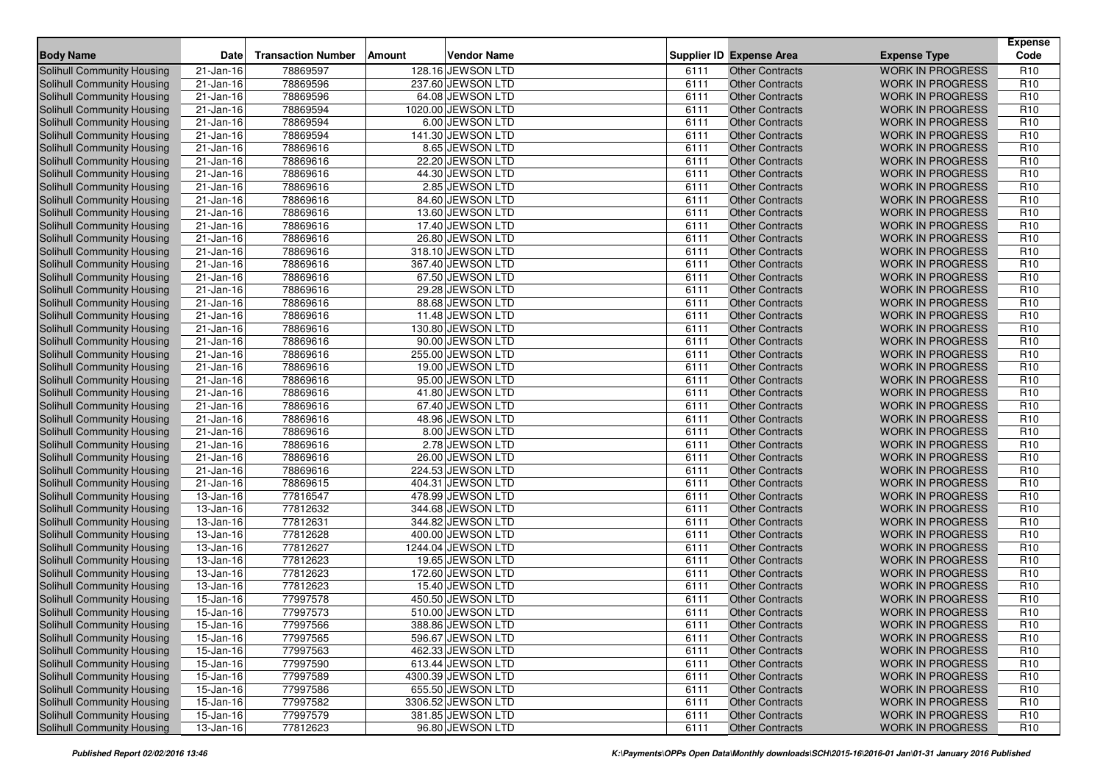| <b>Body Name</b>                  | <b>Date</b>             | <b>Transaction Number</b> | Amount | <b>Vendor Name</b> |      | <b>Supplier ID Expense Area</b> | <b>Expense Type</b>     | <b>Expense</b><br>Code |
|-----------------------------------|-------------------------|---------------------------|--------|--------------------|------|---------------------------------|-------------------------|------------------------|
| Solihull Community Housing        | 21-Jan-16               | 78869597                  |        | 128.16 JEWSON LTD  | 6111 | <b>Other Contracts</b>          | <b>WORK IN PROGRESS</b> | R <sub>10</sub>        |
| <b>Solihull Community Housing</b> | 21-Jan-16               | 78869596                  |        | 237.60 JEWSON LTD  | 6111 | <b>Other Contracts</b>          | <b>WORK IN PROGRESS</b> | R <sub>10</sub>        |
| <b>Solihull Community Housing</b> | 21-Jan-16               | 78869596                  |        | 64.08 JEWSON LTD   | 6111 | <b>Other Contracts</b>          | <b>WORK IN PROGRESS</b> | R <sub>10</sub>        |
| Solihull Community Housing        | $\overline{21}$ -Jan-16 | 78869594                  |        | 1020.00 JEWSON LTD | 6111 | <b>Other Contracts</b>          | <b>WORK IN PROGRESS</b> | R <sub>10</sub>        |
| Solihull Community Housing        | 21-Jan-16               | 78869594                  |        | 6.00 JEWSON LTD    | 6111 | <b>Other Contracts</b>          | <b>WORK IN PROGRESS</b> | R <sub>10</sub>        |
| <b>Solihull Community Housing</b> | $21 - Jan-16$           | 78869594                  |        | 141.30 JEWSON LTD  | 6111 | <b>Other Contracts</b>          | <b>WORK IN PROGRESS</b> | R <sub>10</sub>        |
| Solihull Community Housing        | 21-Jan-16               | 78869616                  |        | 8.65 JEWSON LTD    | 6111 | <b>Other Contracts</b>          | <b>WORK IN PROGRESS</b> | R <sub>10</sub>        |
| <b>Solihull Community Housing</b> | 21-Jan-16               | 78869616                  |        | 22.20 JEWSON LTD   | 6111 | <b>Other Contracts</b>          | <b>WORK IN PROGRESS</b> | R <sub>10</sub>        |
| Solihull Community Housing        | 21-Jan-16               | 78869616                  |        | 44.30 JEWSON LTD   | 6111 | <b>Other Contracts</b>          | <b>WORK IN PROGRESS</b> | R <sub>10</sub>        |
| <b>Solihull Community Housing</b> | 21-Jan-16               | 78869616                  |        | 2.85 JEWSON LTD    | 6111 | <b>Other Contracts</b>          | <b>WORK IN PROGRESS</b> | R <sub>10</sub>        |
| <b>Solihull Community Housing</b> | 21-Jan-16               | 78869616                  |        | 84.60 JEWSON LTD   | 6111 | <b>Other Contracts</b>          | <b>WORK IN PROGRESS</b> | R <sub>10</sub>        |
| Solihull Community Housing        | $21 - Jan-16$           | 78869616                  |        | 13.60 JEWSON LTD   | 6111 | <b>Other Contracts</b>          | <b>WORK IN PROGRESS</b> | R <sub>10</sub>        |
| <b>Solihull Community Housing</b> | 21-Jan-16               | 78869616                  |        | 17.40 JEWSON LTD   | 6111 | <b>Other Contracts</b>          | <b>WORK IN PROGRESS</b> | R <sub>10</sub>        |
| <b>Solihull Community Housing</b> | $21 - Jan-16$           | 78869616                  |        | 26.80 JEWSON LTD   | 6111 | <b>Other Contracts</b>          | <b>WORK IN PROGRESS</b> | R <sub>10</sub>        |
| Solihull Community Housing        | 21-Jan-16               | 78869616                  |        | 318.10 JEWSON LTD  | 6111 | <b>Other Contracts</b>          | <b>WORK IN PROGRESS</b> | R <sub>10</sub>        |
| <b>Solihull Community Housing</b> | 21-Jan-16               | 78869616                  |        | 367.40 JEWSON LTD  | 6111 | <b>Other Contracts</b>          | <b>WORK IN PROGRESS</b> | R <sub>10</sub>        |
| Solihull Community Housing        | 21-Jan-16               | 78869616                  |        | 67.50 JEWSON LTD   | 6111 | <b>Other Contracts</b>          | <b>WORK IN PROGRESS</b> | R <sub>10</sub>        |
| Solihull Community Housing        | $\overline{21}$ -Jan-16 | 78869616                  |        | 29.28 JEWSON LTD   | 6111 | <b>Other Contracts</b>          | <b>WORK IN PROGRESS</b> | R <sub>10</sub>        |
| <b>Solihull Community Housing</b> | 21-Jan-16               | 78869616                  |        | 88.68 JEWSON LTD   | 6111 | <b>Other Contracts</b>          | <b>WORK IN PROGRESS</b> | R <sub>10</sub>        |
| Solihull Community Housing        | 21-Jan-16               | 78869616                  |        | 11.48 JEWSON LTD   | 6111 | <b>Other Contracts</b>          | <b>WORK IN PROGRESS</b> | R <sub>10</sub>        |
| Solihull Community Housing        | 21-Jan-16               | 78869616                  |        | 130.80 JEWSON LTD  | 6111 | <b>Other Contracts</b>          | <b>WORK IN PROGRESS</b> | R <sub>10</sub>        |
| Solihull Community Housing        | $21 - Jan-16$           | 78869616                  |        | 90.00 JEWSON LTD   | 6111 | <b>Other Contracts</b>          | <b>WORK IN PROGRESS</b> | R <sub>10</sub>        |
| Solihull Community Housing        | $21 - Jan-16$           | 78869616                  |        | 255.00 JEWSON LTD  | 6111 | <b>Other Contracts</b>          | <b>WORK IN PROGRESS</b> | R <sub>10</sub>        |
| <b>Solihull Community Housing</b> | $\overline{2}$ 1-Jan-16 | 78869616                  |        | 19.00 JEWSON LTD   | 6111 | <b>Other Contracts</b>          | <b>WORK IN PROGRESS</b> | R <sub>10</sub>        |
| <b>Solihull Community Housing</b> | 21-Jan-16               | 78869616                  |        | 95.00 JEWSON LTD   | 6111 | <b>Other Contracts</b>          | <b>WORK IN PROGRESS</b> | R <sub>10</sub>        |
| Solihull Community Housing        | 21-Jan-16               | 78869616                  |        | 41.80 JEWSON LTD   | 6111 | <b>Other Contracts</b>          | <b>WORK IN PROGRESS</b> | R <sub>10</sub>        |
| Solihull Community Housing        | 21-Jan-16               | 78869616                  |        | 67.40 JEWSON LTD   | 6111 | <b>Other Contracts</b>          | <b>WORK IN PROGRESS</b> | R <sub>10</sub>        |
| Solihull Community Housing        | 21-Jan-16               | 78869616                  |        | 48.96 JEWSON LTD   | 6111 | <b>Other Contracts</b>          | <b>WORK IN PROGRESS</b> | R <sub>10</sub>        |
| Solihull Community Housing        | 21-Jan-16               | 78869616                  |        | 8.00 JEWSON LTD    | 6111 | <b>Other Contracts</b>          | <b>WORK IN PROGRESS</b> | R <sub>10</sub>        |
| <b>Solihull Community Housing</b> | 21-Jan-16               | 78869616                  |        | 2.78 JEWSON LTD    | 6111 | <b>Other Contracts</b>          | <b>WORK IN PROGRESS</b> | R <sub>10</sub>        |
| Solihull Community Housing        | $21 - Jan-16$           | 78869616                  |        | 26.00 JEWSON LTD   | 6111 | <b>Other Contracts</b>          | <b>WORK IN PROGRESS</b> | R <sub>10</sub>        |
| Solihull Community Housing        | 21-Jan-16               | 78869616                  |        | 224.53 JEWSON LTD  | 6111 | <b>Other Contracts</b>          | <b>WORK IN PROGRESS</b> | R <sub>10</sub>        |
| Solihull Community Housing        | 21-Jan-16               | 78869615                  |        | 404.31 JEWSON LTD  | 6111 | <b>Other Contracts</b>          | <b>WORK IN PROGRESS</b> | R <sub>10</sub>        |
| Solihull Community Housing        | $13 - Jan-16$           | 77816547                  |        | 478.99 JEWSON LTD  | 6111 | <b>Other Contracts</b>          | <b>WORK IN PROGRESS</b> | R <sub>10</sub>        |
| <b>Solihull Community Housing</b> | 13-Jan-16               | 77812632                  |        | 344.68 JEWSON LTD  | 6111 | <b>Other Contracts</b>          | <b>WORK IN PROGRESS</b> | R <sub>10</sub>        |
| <b>Solihull Community Housing</b> | 13-Jan-16               | 77812631                  |        | 344.82 JEWSON LTD  | 6111 | <b>Other Contracts</b>          | <b>WORK IN PROGRESS</b> | R <sub>10</sub>        |
| Solihull Community Housing        | 13-Jan-16               | 77812628                  |        | 400.00 JEWSON LTD  | 6111 | <b>Other Contracts</b>          | <b>WORK IN PROGRESS</b> | R <sub>10</sub>        |
| <b>Solihull Community Housing</b> | 13-Jan-16               | 77812627                  |        | 1244.04 JEWSON LTD | 6111 | <b>Other Contracts</b>          | <b>WORK IN PROGRESS</b> | R <sub>10</sub>        |
| <b>Solihull Community Housing</b> | 13-Jan-16               | 77812623                  |        | 19.65 JEWSON LTD   | 6111 | <b>Other Contracts</b>          | <b>WORK IN PROGRESS</b> | R <sub>10</sub>        |
| Solihull Community Housing        | 13-Jan-16               | 77812623                  |        | 172.60 JEWSON LTD  | 6111 | <b>Other Contracts</b>          | <b>WORK IN PROGRESS</b> | R <sub>10</sub>        |
| <b>Solihull Community Housing</b> | 13-Jan-16               | 77812623                  |        | 15.40 JEWSON LTD   | 6111 | <b>Other Contracts</b>          | <b>WORK IN PROGRESS</b> | R <sub>10</sub>        |
| Solihull Community Housing        | 15-Jan-16               | 77997578                  |        | 450.50 JEWSON LTD  | 6111 | <b>Other Contracts</b>          | <b>WORK IN PROGRESS</b> | R <sub>10</sub>        |
| Solihull Community Housing        | $\overline{15}$ -Jan-16 | 77997573                  |        | 510.00 JEWSON LTD  | 6111 | <b>Other Contracts</b>          | <b>WORK IN PROGRESS</b> | R <sub>10</sub>        |
| Solihull Community Housing        | $15 - Jan-16$           | 77997566                  |        | 388.86 JEWSON LTD  | 6111 | Other Contracts                 | <b>WORK IN PROGRESS</b> | R <sub>10</sub>        |
| Solihull Community Housing        | 15-Jan-16               | 77997565                  |        | 596.67 JEWSON LTD  | 6111 | <b>Other Contracts</b>          | <b>WORK IN PROGRESS</b> | R <sub>10</sub>        |
| Solihull Community Housing        | 15-Jan-16               | 77997563                  |        | 462.33 JEWSON LTD  | 6111 | <b>Other Contracts</b>          | <b>WORK IN PROGRESS</b> | R <sub>10</sub>        |
| Solihull Community Housing        | 15-Jan-16               | 77997590                  |        | 613.44 JEWSON LTD  | 6111 | <b>Other Contracts</b>          | <b>WORK IN PROGRESS</b> | R <sub>10</sub>        |
| Solihull Community Housing        | $15 - Jan-16$           | 77997589                  |        | 4300.39 JEWSON LTD | 6111 | <b>Other Contracts</b>          | <b>WORK IN PROGRESS</b> | R <sub>10</sub>        |
| Solihull Community Housing        | 15-Jan-16               | 77997586                  |        | 655.50 JEWSON LTD  | 6111 | <b>Other Contracts</b>          | <b>WORK IN PROGRESS</b> | R <sub>10</sub>        |
| Solihull Community Housing        | 15-Jan-16               | 77997582                  |        | 3306.52 JEWSON LTD | 6111 | <b>Other Contracts</b>          | <b>WORK IN PROGRESS</b> | R <sub>10</sub>        |
| Solihull Community Housing        | $15 - Jan-16$           | 77997579                  |        | 381.85 JEWSON LTD  | 6111 | <b>Other Contracts</b>          | <b>WORK IN PROGRESS</b> | R <sub>10</sub>        |
| Solihull Community Housing        | $13$ -Jan-16            | 77812623                  |        | 96.80 JEWSON LTD   | 6111 | <b>Other Contracts</b>          | <b>WORK IN PROGRESS</b> | R <sub>10</sub>        |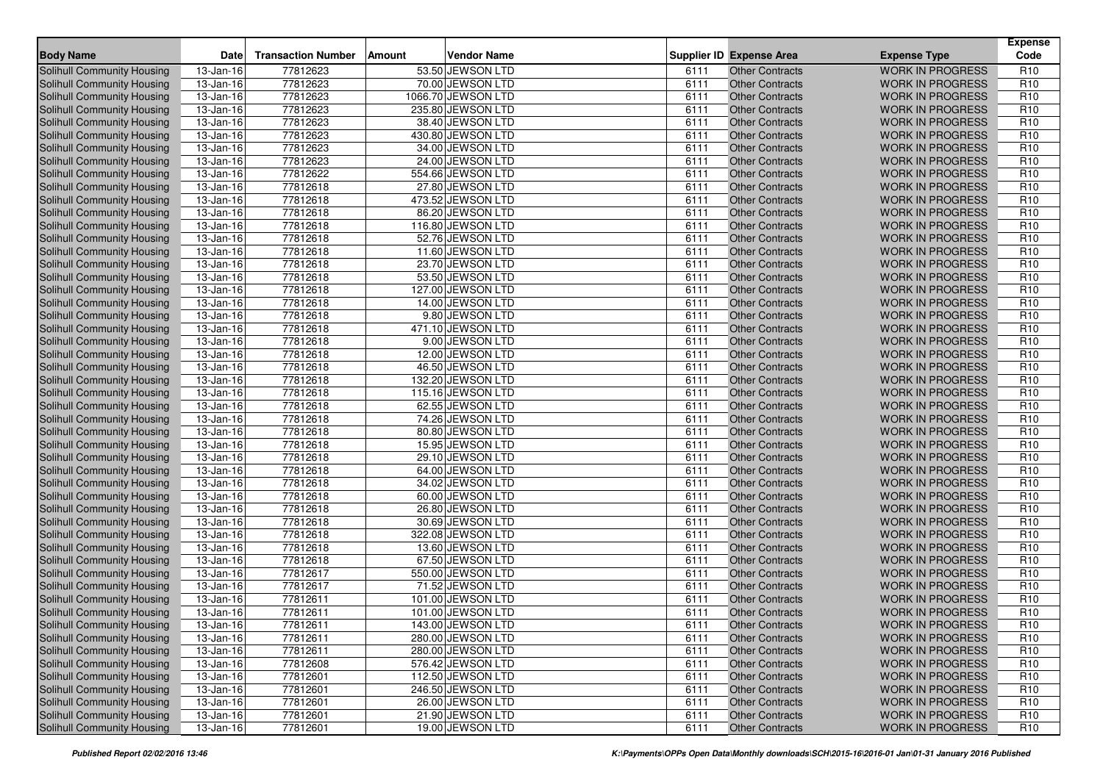| <b>Body Name</b>                                         | <b>Date</b>                | <b>Transaction Number</b> | Amount | <b>Vendor Name</b>                     |              | <b>Supplier ID Expense Area</b>                  | <b>Expense Type</b>                                | <b>Expense</b><br>Code             |
|----------------------------------------------------------|----------------------------|---------------------------|--------|----------------------------------------|--------------|--------------------------------------------------|----------------------------------------------------|------------------------------------|
| Solihull Community Housing                               | $\overline{13}$ -Jan-16    | 77812623                  |        | 53.50 JEWSON LTD                       | 6111         | <b>Other Contracts</b>                           | <b>WORK IN PROGRESS</b>                            | R <sub>10</sub>                    |
| <b>Solihull Community Housing</b>                        | $13$ -Jan-16               | 77812623                  |        | 70.00 JEWSON LTD                       | 6111         | <b>Other Contracts</b>                           | <b>WORK IN PROGRESS</b>                            | R <sub>10</sub>                    |
| <b>Solihull Community Housing</b>                        | $13$ -Jan-16               | 77812623                  |        | 1066.70 JEWSON LTD                     | 6111         | <b>Other Contracts</b>                           | <b>WORK IN PROGRESS</b>                            | R <sub>10</sub>                    |
| Solihull Community Housing                               | $\overline{13}$ -Jan-16    | 77812623                  |        | 235.80 JEWSON LTD                      | 6111         | <b>Other Contracts</b>                           | <b>WORK IN PROGRESS</b>                            | R <sub>10</sub>                    |
| Solihull Community Housing                               | 13-Jan-16                  | 77812623                  |        | 38.40 JEWSON LTD                       | 6111         | <b>Other Contracts</b>                           | <b>WORK IN PROGRESS</b>                            | R <sub>10</sub>                    |
| <b>Solihull Community Housing</b>                        | 13-Jan-16                  | 77812623                  |        | 430.80 JEWSON LTD                      | 6111         | <b>Other Contracts</b>                           | <b>WORK IN PROGRESS</b>                            | R <sub>10</sub>                    |
| Solihull Community Housing                               | $\overline{13}$ -Jan-16    | 77812623                  |        | 34.00 JEWSON LTD                       | 6111         | <b>Other Contracts</b>                           | <b>WORK IN PROGRESS</b>                            | R <sub>10</sub>                    |
| <b>Solihull Community Housing</b>                        | 13-Jan-16                  | 77812623                  |        | 24.00 JEWSON LTD                       | 6111         | <b>Other Contracts</b>                           | <b>WORK IN PROGRESS</b>                            | R <sub>10</sub>                    |
| Solihull Community Housing                               | 13-Jan-16                  | 77812622                  |        | 554.66 JEWSON LTD                      | 6111         | <b>Other Contracts</b>                           | <b>WORK IN PROGRESS</b>                            | R <sub>10</sub>                    |
| Solihull Community Housing                               | 13-Jan-16                  | 77812618                  |        | 27.80 JEWSON LTD                       | 6111         | <b>Other Contracts</b>                           | <b>WORK IN PROGRESS</b>                            | R <sub>10</sub>                    |
| <b>Solihull Community Housing</b>                        | 13-Jan-16                  | 77812618                  |        | 473.52 JEWSON LTD                      | 6111         | <b>Other Contracts</b>                           | <b>WORK IN PROGRESS</b>                            | R <sub>10</sub>                    |
| Solihull Community Housing                               | 13-Jan-16                  | 77812618                  |        | 86.20 JEWSON LTD                       | 6111         | <b>Other Contracts</b>                           | <b>WORK IN PROGRESS</b>                            | R <sub>10</sub>                    |
| <b>Solihull Community Housing</b>                        | 13-Jan-16                  | 77812618                  |        | 116.80 JEWSON LTD                      | 6111         | <b>Other Contracts</b>                           | <b>WORK IN PROGRESS</b>                            | R <sub>10</sub>                    |
| <b>Solihull Community Housing</b>                        | 13-Jan-16                  | 77812618                  |        | 52.76 JEWSON LTD                       | 6111         | <b>Other Contracts</b>                           | <b>WORK IN PROGRESS</b>                            | R <sub>10</sub>                    |
| Solihull Community Housing                               | 13-Jan-16                  | 77812618                  |        | 11.60 JEWSON LTD                       | 6111         | <b>Other Contracts</b>                           | <b>WORK IN PROGRESS</b>                            | R <sub>10</sub>                    |
| <b>Solihull Community Housing</b>                        | 13-Jan-16                  | 77812618                  |        | 23.70 JEWSON LTD                       | 6111         | <b>Other Contracts</b>                           | <b>WORK IN PROGRESS</b>                            | R <sub>10</sub>                    |
| Solihull Community Housing                               | 13-Jan-16                  | 77812618                  |        | 53.50 JEWSON LTD                       | 6111         | <b>Other Contracts</b>                           | <b>WORK IN PROGRESS</b>                            | R <sub>10</sub>                    |
| Solihull Community Housing                               | $\overline{13}$ -Jan-16    | 77812618                  |        | 127.00 JEWSON LTD                      | 6111         | <b>Other Contracts</b>                           | <b>WORK IN PROGRESS</b>                            | R <sub>10</sub>                    |
| Solihull Community Housing                               | 13-Jan-16                  | 77812618                  |        | 14.00 JEWSON LTD                       | 6111         | <b>Other Contracts</b>                           | <b>WORK IN PROGRESS</b>                            | R <sub>10</sub>                    |
| Solihull Community Housing                               | 13-Jan-16                  | 77812618                  |        | 9.80 JEWSON LTD                        | 6111         | <b>Other Contracts</b>                           | <b>WORK IN PROGRESS</b>                            | R <sub>10</sub>                    |
| Solihull Community Housing                               | 13-Jan-16                  | 77812618                  |        | 471.10 JEWSON LTD                      | 6111         | <b>Other Contracts</b>                           | <b>WORK IN PROGRESS</b>                            | R <sub>10</sub>                    |
| Solihull Community Housing                               | 13-Jan-16                  | 77812618                  |        | 9.00 JEWSON LTD                        | 6111         | <b>Other Contracts</b>                           | <b>WORK IN PROGRESS</b>                            | R <sub>10</sub>                    |
| Solihull Community Housing                               | 13-Jan-16                  | 77812618                  |        | 12.00 JEWSON LTD                       | 6111         | <b>Other Contracts</b>                           | <b>WORK IN PROGRESS</b>                            | R <sub>10</sub>                    |
| Solihull Community Housing                               | 13-Jan-16                  | 77812618                  |        | 46.50 JEWSON LTD                       | 6111         | <b>Other Contracts</b>                           | <b>WORK IN PROGRESS</b>                            | R <sub>10</sub>                    |
| <b>Solihull Community Housing</b>                        | $13$ -Jan-16               | 77812618                  |        | 132.20 JEWSON LTD                      | 6111         | <b>Other Contracts</b>                           | <b>WORK IN PROGRESS</b>                            | R <sub>10</sub>                    |
| Solihull Community Housing                               | 13-Jan-16                  | 77812618                  |        | 115.16 JEWSON LTD                      | 6111         | <b>Other Contracts</b>                           | <b>WORK IN PROGRESS</b>                            | R <sub>10</sub>                    |
| Solihull Community Housing                               | 13-Jan-16                  | 77812618                  |        | 62.55 JEWSON LTD                       | 6111         | <b>Other Contracts</b>                           | <b>WORK IN PROGRESS</b>                            | R <sub>10</sub>                    |
| <b>Solihull Community Housing</b>                        | 13-Jan-16                  | 77812618                  |        | 74.26 JEWSON LTD                       | 6111         | <b>Other Contracts</b>                           | <b>WORK IN PROGRESS</b>                            | R <sub>10</sub>                    |
| Solihull Community Housing                               | 13-Jan-16                  | 77812618                  |        | 80.80 JEWSON LTD                       | 6111         | <b>Other Contracts</b>                           | <b>WORK IN PROGRESS</b>                            | R <sub>10</sub>                    |
| <b>Solihull Community Housing</b>                        | 13-Jan-16                  | 77812618                  |        | 15.95 JEWSON LTD                       | 6111         | <b>Other Contracts</b>                           | <b>WORK IN PROGRESS</b>                            | R <sub>10</sub>                    |
| Solihull Community Housing                               | 13-Jan-16                  | 77812618                  |        | 29.10 JEWSON LTD                       | 6111         | <b>Other Contracts</b>                           | <b>WORK IN PROGRESS</b>                            | R <sub>10</sub>                    |
| Solihull Community Housing                               | 13-Jan-16                  | 77812618                  |        | 64.00 JEWSON LTD                       | 6111         | <b>Other Contracts</b>                           | <b>WORK IN PROGRESS</b>                            | R <sub>10</sub>                    |
| Solihull Community Housing                               | 13-Jan-16                  | 77812618                  |        | 34.02 JEWSON LTD                       | 6111         | <b>Other Contracts</b>                           | <b>WORK IN PROGRESS</b>                            | R <sub>10</sub>                    |
| Solihull Community Housing                               | $13 - Jan-16$              | 77812618                  |        | 60.00 JEWSON LTD                       | 6111         | <b>Other Contracts</b>                           | <b>WORK IN PROGRESS</b>                            | R <sub>10</sub>                    |
| Solihull Community Housing                               | 13-Jan-16                  | 77812618                  |        | 26.80 JEWSON LTD                       | 6111         | <b>Other Contracts</b>                           | <b>WORK IN PROGRESS</b>                            | R <sub>10</sub>                    |
| <b>Solihull Community Housing</b>                        | 13-Jan-16                  | 77812618                  |        | 30.69 JEWSON LTD                       | 6111         | <b>Other Contracts</b>                           | <b>WORK IN PROGRESS</b>                            | R <sub>10</sub>                    |
| Solihull Community Housing                               | 13-Jan-16                  | 77812618                  |        | 322.08 JEWSON LTD                      | 6111         | <b>Other Contracts</b>                           | <b>WORK IN PROGRESS</b>                            | R <sub>10</sub>                    |
| <b>Solihull Community Housing</b>                        | 13-Jan-16                  | 77812618                  |        | 13.60 JEWSON LTD                       | 6111         | <b>Other Contracts</b>                           | <b>WORK IN PROGRESS</b>                            | R <sub>10</sub>                    |
| <b>Solihull Community Housing</b>                        | 13-Jan-16                  | 77812618                  |        | 67.50 JEWSON LTD                       | 6111         | <b>Other Contracts</b>                           | <b>WORK IN PROGRESS</b>                            | R <sub>10</sub>                    |
| Solihull Community Housing                               | 13-Jan-16                  | 77812617                  |        | 550.00 JEWSON LTD                      | 6111         | <b>Other Contracts</b>                           | <b>WORK IN PROGRESS</b>                            | R <sub>10</sub>                    |
| <b>Solihull Community Housing</b>                        | 13-Jan-16                  | 77812617                  |        | 71.52 JEWSON LTD                       | 6111         | <b>Other Contracts</b>                           | <b>WORK IN PROGRESS</b>                            | R <sub>10</sub>                    |
| Solihull Community Housing                               | 13-Jan-16                  | 77812611                  |        | 101.00 JEWSON LTD                      | 6111         | <b>Other Contracts</b>                           | <b>WORK IN PROGRESS</b>                            | R <sub>10</sub>                    |
| Solihull Community Housing                               | $\overline{13}$ -Jan-16    | 77812611                  |        | 101.00 JEWSON LTD                      | 6111         | <b>Other Contracts</b>                           | <b>WORK IN PROGRESS</b>                            | R <sub>10</sub>                    |
| Solihull Community Housing                               | $13 - Jan-16$              | 77812611                  |        | 143.00 JEWSON LTD                      | 6111         | Other Contracts                                  | <b>WORK IN PROGRESS</b>                            | R <sub>10</sub>                    |
| Solihull Community Housing                               | 13-Jan-16                  | 77812611                  |        | 280.00 JEWSON LTD                      | 6111         | <b>Other Contracts</b>                           | <b>WORK IN PROGRESS</b>                            | R <sub>10</sub>                    |
| Solihull Community Housing                               | 13-Jan-16                  | 77812611                  |        | 280.00 JEWSON LTD                      | 6111         | <b>Other Contracts</b>                           | <b>WORK IN PROGRESS</b>                            | R <sub>10</sub>                    |
| Solihull Community Housing<br>Solihull Community Housing | 13-Jan-16<br>$13 - Jan-16$ | 77812608<br>77812601      |        | 576.42 JEWSON LTD<br>112.50 JEWSON LTD | 6111<br>6111 | <b>Other Contracts</b><br><b>Other Contracts</b> | <b>WORK IN PROGRESS</b><br><b>WORK IN PROGRESS</b> | R <sub>10</sub><br>R <sub>10</sub> |
| Solihull Community Housing                               |                            | 77812601                  |        | 246.50 JEWSON LTD                      | 6111         | <b>Other Contracts</b>                           | <b>WORK IN PROGRESS</b>                            | R <sub>10</sub>                    |
| Solihull Community Housing                               | 13-Jan-16<br>13-Jan-16     | 77812601                  |        | 26.00 JEWSON LTD                       | 6111         | <b>Other Contracts</b>                           | <b>WORK IN PROGRESS</b>                            | R <sub>10</sub>                    |
| Solihull Community Housing                               | $13$ -Jan-16               | 77812601                  |        | 21.90 JEWSON LTD                       | 6111         | <b>Other Contracts</b>                           | <b>WORK IN PROGRESS</b>                            | R <sub>10</sub>                    |
| Solihull Community Housing                               | $13$ -Jan-16               | 77812601                  |        | 19.00 JEWSON LTD                       | 6111         | <b>Other Contracts</b>                           | WORK IN PROGRESS                                   | R <sub>10</sub>                    |
|                                                          |                            |                           |        |                                        |              |                                                  |                                                    |                                    |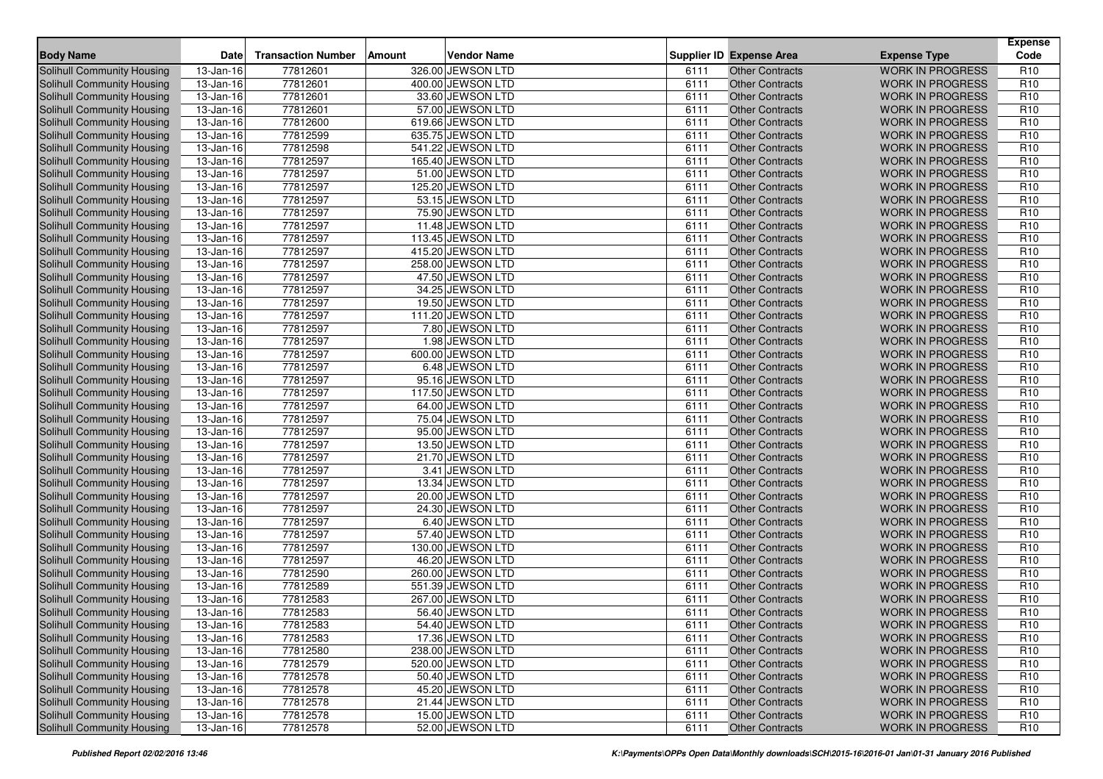| <b>Body Name</b>                                         | <b>Date</b>                | <b>Transaction Number</b> | Amount | <b>Vendor Name</b>                    |              | <b>Supplier ID Expense Area</b>                  | <b>Expense Type</b>                                | <b>Expense</b><br>Code             |
|----------------------------------------------------------|----------------------------|---------------------------|--------|---------------------------------------|--------------|--------------------------------------------------|----------------------------------------------------|------------------------------------|
| Solihull Community Housing                               | $\overline{13}$ -Jan-16    | 77812601                  |        | 326.00 JEWSON LTD                     | 6111         | <b>Other Contracts</b>                           | <b>WORK IN PROGRESS</b>                            | R <sub>10</sub>                    |
| <b>Solihull Community Housing</b>                        | $13$ -Jan-16               | 77812601                  |        | 400.00 JEWSON LTD                     | 6111         | <b>Other Contracts</b>                           | <b>WORK IN PROGRESS</b>                            | R <sub>10</sub>                    |
| <b>Solihull Community Housing</b>                        | $13$ -Jan-16               | 77812601                  |        | 33.60 JEWSON LTD                      | 6111         | <b>Other Contracts</b>                           | <b>WORK IN PROGRESS</b>                            | R <sub>10</sub>                    |
| Solihull Community Housing                               | $\overline{13}$ -Jan-16    | 77812601                  |        | 57.00 JEWSON LTD                      | 6111         | <b>Other Contracts</b>                           | <b>WORK IN PROGRESS</b>                            | R <sub>10</sub>                    |
| Solihull Community Housing                               | 13-Jan-16                  | 77812600                  |        | 619.66 JEWSON LTD                     | 6111         | <b>Other Contracts</b>                           | <b>WORK IN PROGRESS</b>                            | R <sub>10</sub>                    |
| Solihull Community Housing                               | 13-Jan-16                  | 77812599                  |        | 635.75 JEWSON LTD                     | 6111         | <b>Other Contracts</b>                           | <b>WORK IN PROGRESS</b>                            | R <sub>10</sub>                    |
| Solihull Community Housing                               | $\overline{13}$ -Jan-16    | 77812598                  |        | 541.22 JEWSON LTD                     | 6111         | <b>Other Contracts</b>                           | <b>WORK IN PROGRESS</b>                            | R <sub>10</sub>                    |
| <b>Solihull Community Housing</b>                        | 13-Jan-16                  | 77812597                  |        | 165.40 JEWSON LTD                     | 6111         | <b>Other Contracts</b>                           | <b>WORK IN PROGRESS</b>                            | R <sub>10</sub>                    |
| Solihull Community Housing                               | 13-Jan-16                  | 77812597                  |        | 51.00 JEWSON LTD                      | 6111         | <b>Other Contracts</b>                           | <b>WORK IN PROGRESS</b>                            | R <sub>10</sub>                    |
| Solihull Community Housing                               | 13-Jan-16                  | 77812597                  |        | 125.20 JEWSON LTD                     | 6111         | <b>Other Contracts</b>                           | <b>WORK IN PROGRESS</b>                            | R <sub>10</sub>                    |
| <b>Solihull Community Housing</b>                        | 13-Jan-16                  | 77812597                  |        | 53.15 JEWSON LTD                      | 6111         | <b>Other Contracts</b>                           | <b>WORK IN PROGRESS</b>                            | R <sub>10</sub>                    |
| Solihull Community Housing                               | 13-Jan-16                  | 77812597                  |        | 75.90 JEWSON LTD                      | 6111         | <b>Other Contracts</b>                           | <b>WORK IN PROGRESS</b>                            | R <sub>10</sub>                    |
| <b>Solihull Community Housing</b>                        | 13-Jan-16                  | 77812597                  |        | 11.48 JEWSON LTD                      | 6111         | <b>Other Contracts</b>                           | <b>WORK IN PROGRESS</b>                            | R <sub>10</sub>                    |
| <b>Solihull Community Housing</b>                        | 13-Jan-16                  | 77812597                  |        | 113.45 JEWSON LTD                     | 6111         | <b>Other Contracts</b>                           | <b>WORK IN PROGRESS</b>                            | R <sub>10</sub>                    |
| Solihull Community Housing                               | 13-Jan-16                  | 77812597                  |        | 415.20 JEWSON LTD                     | 6111         | <b>Other Contracts</b>                           | <b>WORK IN PROGRESS</b>                            | R <sub>10</sub>                    |
| <b>Solihull Community Housing</b>                        | 13-Jan-16                  | 77812597                  |        | 258.00 JEWSON LTD                     | 6111         | <b>Other Contracts</b>                           | <b>WORK IN PROGRESS</b>                            | R <sub>10</sub>                    |
| Solihull Community Housing                               | 13-Jan-16                  | 77812597                  |        | 47.50 JEWSON LTD                      | 6111         | <b>Other Contracts</b>                           | <b>WORK IN PROGRESS</b>                            | R <sub>10</sub>                    |
| Solihull Community Housing                               | $\overline{13}$ -Jan-16    | 77812597                  |        | 34.25 JEWSON LTD                      | 6111         | <b>Other Contracts</b>                           | <b>WORK IN PROGRESS</b>                            | R <sub>10</sub>                    |
| <b>Solihull Community Housing</b>                        | 13-Jan-16                  | 77812597                  |        | 19.50 JEWSON LTD                      | 6111         | <b>Other Contracts</b>                           | <b>WORK IN PROGRESS</b>                            | R <sub>10</sub>                    |
| Solihull Community Housing                               | 13-Jan-16                  | 77812597                  |        | 111.20 JEWSON LTD                     | 6111         | <b>Other Contracts</b>                           | <b>WORK IN PROGRESS</b>                            | R <sub>10</sub>                    |
| Solihull Community Housing                               | 13-Jan-16                  | 77812597                  |        | 7.80 JEWSON LTD                       | 6111         | <b>Other Contracts</b>                           | <b>WORK IN PROGRESS</b>                            | R <sub>10</sub>                    |
| Solihull Community Housing                               | 13-Jan-16                  | 77812597                  |        | 1.98 JEWSON LTD                       | 6111         | <b>Other Contracts</b>                           | <b>WORK IN PROGRESS</b>                            | R <sub>10</sub>                    |
| Solihull Community Housing                               | 13-Jan-16                  | 77812597                  |        | 600.00 JEWSON LTD                     | 6111         | <b>Other Contracts</b>                           | <b>WORK IN PROGRESS</b>                            | R <sub>10</sub>                    |
| Solihull Community Housing                               | 13-Jan-16                  | 77812597                  |        | 6.48 JEWSON LTD                       | 6111         | <b>Other Contracts</b>                           | <b>WORK IN PROGRESS</b>                            | R <sub>10</sub>                    |
| <b>Solihull Community Housing</b>                        | 13-Jan-16                  | 77812597                  |        | 95.16 JEWSON LTD                      | 6111         | <b>Other Contracts</b>                           | <b>WORK IN PROGRESS</b>                            | R <sub>10</sub>                    |
| Solihull Community Housing                               | 13-Jan-16                  | 77812597                  |        | 117.50 JEWSON LTD                     | 6111         | <b>Other Contracts</b>                           | <b>WORK IN PROGRESS</b>                            | R <sub>10</sub>                    |
| Solihull Community Housing                               | 13-Jan-16                  | 77812597                  |        | 64.00 JEWSON LTD                      | 6111         | <b>Other Contracts</b>                           | <b>WORK IN PROGRESS</b>                            | R <sub>10</sub>                    |
| Solihull Community Housing                               | 13-Jan-16                  | 77812597                  |        | 75.04 JEWSON LTD                      | 6111         | <b>Other Contracts</b>                           | <b>WORK IN PROGRESS</b>                            | R <sub>10</sub>                    |
| Solihull Community Housing                               | $\overline{13}$ -Jan-16    | 77812597                  |        | 95.00 JEWSON LTD                      | 6111         | <b>Other Contracts</b>                           | <b>WORK IN PROGRESS</b>                            | R <sub>10</sub>                    |
| <b>Solihull Community Housing</b>                        | $13 - Jan-16$              | 77812597                  |        | 13.50 JEWSON LTD                      | 6111         | <b>Other Contracts</b>                           | <b>WORK IN PROGRESS</b>                            | R <sub>10</sub>                    |
| Solihull Community Housing                               | 13-Jan-16                  | 77812597                  |        | 21.70 JEWSON LTD                      | 6111         | <b>Other Contracts</b>                           | <b>WORK IN PROGRESS</b>                            | R <sub>10</sub>                    |
| Solihull Community Housing                               | 13-Jan-16                  | 77812597                  |        | 3.41 JEWSON LTD                       | 6111         | <b>Other Contracts</b>                           | <b>WORK IN PROGRESS</b>                            | R <sub>10</sub>                    |
| Solihull Community Housing                               | 13-Jan-16                  | 77812597                  |        | 13.34 JEWSON LTD                      | 6111         | <b>Other Contracts</b>                           | <b>WORK IN PROGRESS</b>                            | R <sub>10</sub>                    |
| Solihull Community Housing                               | $13 - Jan-16$              | 77812597                  |        | 20.00 JEWSON LTD                      | 6111         | <b>Other Contracts</b>                           | <b>WORK IN PROGRESS</b>                            | R <sub>10</sub>                    |
| Solihull Community Housing                               | 13-Jan-16                  | 77812597                  |        | 24.30 JEWSON LTD                      | 6111         | <b>Other Contracts</b>                           | <b>WORK IN PROGRESS</b>                            | R <sub>10</sub>                    |
| <b>Solihull Community Housing</b>                        | 13-Jan-16                  | 77812597                  |        | 6.40 JEWSON LTD                       | 6111         | <b>Other Contracts</b>                           | <b>WORK IN PROGRESS</b>                            | R <sub>10</sub>                    |
| Solihull Community Housing                               | 13-Jan-16                  | 77812597                  |        | 57.40 JEWSON LTD                      | 6111         | <b>Other Contracts</b>                           | <b>WORK IN PROGRESS</b>                            | R <sub>10</sub>                    |
| <b>Solihull Community Housing</b>                        | 13-Jan-16                  | 77812597                  |        | 130.00 JEWSON LTD                     | 6111         | <b>Other Contracts</b>                           | <b>WORK IN PROGRESS</b>                            | R <sub>10</sub>                    |
| <b>Solihull Community Housing</b>                        | 13-Jan-16                  | 77812597                  |        | 46.20 JEWSON LTD                      | 6111         | <b>Other Contracts</b>                           | <b>WORK IN PROGRESS</b>                            | R <sub>10</sub>                    |
| Solihull Community Housing                               | 13-Jan-16                  | 77812590                  |        | 260.00 JEWSON LTD                     | 6111         | <b>Other Contracts</b>                           | <b>WORK IN PROGRESS</b>                            | R <sub>10</sub>                    |
| <b>Solihull Community Housing</b>                        | 13-Jan-16                  | 77812589                  |        | 551.39 JEWSON LTD                     | 6111         | <b>Other Contracts</b>                           | <b>WORK IN PROGRESS</b>                            | R <sub>10</sub>                    |
| Solihull Community Housing                               | 13-Jan-16                  | 77812583                  |        | 267.00 JEWSON LTD                     | 6111         | <b>Other Contracts</b>                           | <b>WORK IN PROGRESS</b>                            | R <sub>10</sub>                    |
| Solihull Community Housing                               | $\overline{13}$ -Jan-16    | 77812583                  |        | 56.40 JEWSON LTD                      | 6111         | <b>Other Contracts</b>                           | <b>WORK IN PROGRESS</b>                            | R <sub>10</sub>                    |
| Solihull Community Housing                               | $13 - Jan-16$              | 77812583                  |        | 54.40 JEWSON LTD                      | 6111         | Other Contracts                                  | <b>WORK IN PROGRESS</b>                            | R <sub>10</sub>                    |
| Solihull Community Housing<br>Solihull Community Housing | 13-Jan-16                  | 77812583                  |        | 17.36 JEWSON LTD                      | 6111         | <b>Other Contracts</b>                           | <b>WORK IN PROGRESS</b>                            | R <sub>10</sub>                    |
|                                                          | 13-Jan-16                  | 77812580                  |        | 238.00 JEWSON LTD                     | 6111         | <b>Other Contracts</b>                           | <b>WORK IN PROGRESS</b>                            | R <sub>10</sub>                    |
| Solihull Community Housing                               | 13-Jan-16<br>$13 - Jan-16$ | 77812579                  |        | 520.00 JEWSON LTD<br>50.40 JEWSON LTD | 6111         | <b>Other Contracts</b>                           | <b>WORK IN PROGRESS</b>                            | R <sub>10</sub>                    |
| Solihull Community Housing<br>Solihull Community Housing |                            | 77812578<br>77812578      |        | 45.20 JEWSON LTD                      | 6111<br>6111 | <b>Other Contracts</b><br><b>Other Contracts</b> | <b>WORK IN PROGRESS</b><br><b>WORK IN PROGRESS</b> | R <sub>10</sub><br>R <sub>10</sub> |
| Solihull Community Housing                               | 13-Jan-16<br>13-Jan-16     | 77812578                  |        | 21.44 JEWSON LTD                      | 6111         | <b>Other Contracts</b>                           | <b>WORK IN PROGRESS</b>                            | R <sub>10</sub>                    |
| Solihull Community Housing                               | $13$ -Jan-16               | 77812578                  |        | 15.00 JEWSON LTD                      | 6111         | <b>Other Contracts</b>                           | <b>WORK IN PROGRESS</b>                            | R <sub>10</sub>                    |
| Solihull Community Housing                               | $13$ -Jan-16               | 77812578                  |        | 52.00 JEWSON LTD                      | 6111         | <b>Other Contracts</b>                           | WORK IN PROGRESS                                   | R <sub>10</sub>                    |
|                                                          |                            |                           |        |                                       |              |                                                  |                                                    |                                    |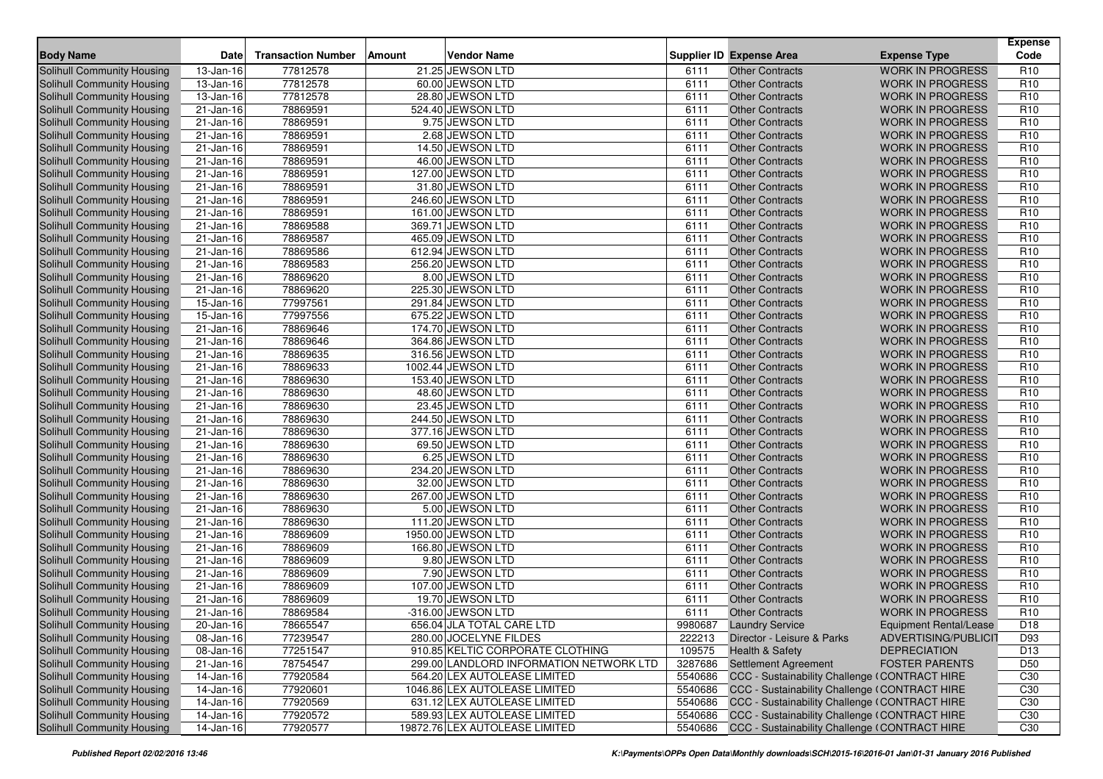| <b>Body Name</b>                                         | <b>Date</b>             | <b>Transaction Number</b> | Amount | <b>Vendor Name</b>                                            |         | <b>Supplier ID Expense Area</b>                                                                | <b>Expense Type</b>     | <b>Expense</b><br>Code |
|----------------------------------------------------------|-------------------------|---------------------------|--------|---------------------------------------------------------------|---------|------------------------------------------------------------------------------------------------|-------------------------|------------------------|
| Solihull Community Housing                               | 13-Jan-16               | 77812578                  |        | 21.25 JEWSON LTD                                              | 6111    | <b>Other Contracts</b>                                                                         | <b>WORK IN PROGRESS</b> | R <sub>10</sub>        |
| <b>Solihull Community Housing</b>                        | $13$ -Jan-16            | 77812578                  |        | 60.00 JEWSON LTD                                              | 6111    | <b>Other Contracts</b>                                                                         | <b>WORK IN PROGRESS</b> | R <sub>10</sub>        |
| <b>Solihull Community Housing</b>                        | $\overline{13}$ -Jan-16 | 77812578                  |        | 28.80 JEWSON LTD                                              | 6111    | <b>Other Contracts</b>                                                                         | <b>WORK IN PROGRESS</b> | R <sub>10</sub>        |
| Solihull Community Housing                               | $\overline{21}$ -Jan-16 | 78869591                  |        | 524.40 JEWSON LTD                                             | 6111    | <b>Other Contracts</b>                                                                         | <b>WORK IN PROGRESS</b> | R <sub>10</sub>        |
| Solihull Community Housing                               | 21-Jan-16               | 78869591                  |        | 9.75 JEWSON LTD                                               | 6111    | <b>Other Contracts</b>                                                                         | <b>WORK IN PROGRESS</b> | R <sub>10</sub>        |
| Solihull Community Housing                               | $21 - Jan-16$           | 78869591                  |        | 2.68 JEWSON LTD                                               | 6111    | <b>Other Contracts</b>                                                                         | <b>WORK IN PROGRESS</b> | R <sub>10</sub>        |
| Solihull Community Housing                               | 21-Jan-16               | 78869591                  |        | 14.50 JEWSON LTD                                              | 6111    | <b>Other Contracts</b>                                                                         | <b>WORK IN PROGRESS</b> | R <sub>10</sub>        |
| <b>Solihull Community Housing</b>                        | 21-Jan-16               | 78869591                  |        | 46.00 JEWSON LTD                                              | 6111    | <b>Other Contracts</b>                                                                         | <b>WORK IN PROGRESS</b> | R <sub>10</sub>        |
| Solihull Community Housing                               | 21-Jan-16               | 78869591                  |        | 127.00 JEWSON LTD                                             | 6111    | <b>Other Contracts</b>                                                                         | <b>WORK IN PROGRESS</b> | R <sub>10</sub>        |
| Solihull Community Housing                               | 21-Jan-16               | 78869591                  |        | 31.80 JEWSON LTD                                              | 6111    | <b>Other Contracts</b>                                                                         | <b>WORK IN PROGRESS</b> | R <sub>10</sub>        |
| <b>Solihull Community Housing</b>                        | 21-Jan-16               | 78869591                  |        | 246.60 JEWSON LTD                                             | 6111    | <b>Other Contracts</b>                                                                         | <b>WORK IN PROGRESS</b> | R <sub>10</sub>        |
| Solihull Community Housing                               | $21 - Jan-16$           | 78869591                  |        | 161.00 JEWSON LTD                                             | 6111    | <b>Other Contracts</b>                                                                         | <b>WORK IN PROGRESS</b> | R <sub>10</sub>        |
| <b>Solihull Community Housing</b>                        | 21-Jan-16               | 78869588                  |        | 369.71 JEWSON LTD                                             | 6111    | <b>Other Contracts</b>                                                                         | <b>WORK IN PROGRESS</b> | R <sub>10</sub>        |
| <b>Solihull Community Housing</b>                        | 21-Jan-16               | 78869587                  |        | 465.09 JEWSON LTD                                             | 6111    | <b>Other Contracts</b>                                                                         | <b>WORK IN PROGRESS</b> | R <sub>10</sub>        |
| Solihull Community Housing                               | 21-Jan-16               | 78869586                  |        | 612.94 JEWSON LTD                                             | 6111    | <b>Other Contracts</b>                                                                         | <b>WORK IN PROGRESS</b> | R <sub>10</sub>        |
| <b>Solihull Community Housing</b>                        | 21-Jan-16               | 78869583                  |        | 256.20 JEWSON LTD                                             | 6111    | <b>Other Contracts</b>                                                                         | <b>WORK IN PROGRESS</b> | R <sub>10</sub>        |
| Solihull Community Housing                               | 21-Jan-16               | 78869620                  |        | 8.00 JEWSON LTD                                               | 6111    | <b>Other Contracts</b>                                                                         | <b>WORK IN PROGRESS</b> | R <sub>10</sub>        |
| Solihull Community Housing                               | $\overline{21}$ -Jan-16 | 78869620                  |        | 225.30 JEWSON LTD                                             | 6111    | <b>Other Contracts</b>                                                                         | <b>WORK IN PROGRESS</b> | R <sub>10</sub>        |
| Solihull Community Housing                               | 15-Jan-16               | 77997561                  |        | 291.84 JEWSON LTD                                             | 6111    | <b>Other Contracts</b>                                                                         | <b>WORK IN PROGRESS</b> | R <sub>10</sub>        |
| Solihull Community Housing                               | 15-Jan-16               | 77997556                  |        | 675.22 JEWSON LTD                                             | 6111    | <b>Other Contracts</b>                                                                         | <b>WORK IN PROGRESS</b> | R <sub>10</sub>        |
| Solihull Community Housing                               | 21-Jan-16               | 78869646                  |        | 174.70 JEWSON LTD                                             | 6111    | <b>Other Contracts</b>                                                                         | <b>WORK IN PROGRESS</b> | R <sub>10</sub>        |
| Solihull Community Housing                               | $21 - Jan-16$           | 78869646                  |        | 364.86 JEWSON LTD                                             | 6111    | <b>Other Contracts</b>                                                                         | <b>WORK IN PROGRESS</b> | R <sub>10</sub>        |
| Solihull Community Housing                               | $21 - Jan-16$           | 78869635                  |        | 316.56 JEWSON LTD                                             | 6111    | <b>Other Contracts</b>                                                                         | <b>WORK IN PROGRESS</b> | R <sub>10</sub>        |
| <b>Solihull Community Housing</b>                        | $\overline{2}$ 1-Jan-16 | 78869633                  |        | 1002.44 JEWSON LTD                                            | 6111    | <b>Other Contracts</b>                                                                         | <b>WORK IN PROGRESS</b> | R <sub>10</sub>        |
| <b>Solihull Community Housing</b>                        | 21-Jan-16               | 78869630                  |        | 153.40 JEWSON LTD                                             | 6111    | <b>Other Contracts</b>                                                                         | <b>WORK IN PROGRESS</b> | R <sub>10</sub>        |
| Solihull Community Housing                               | 21-Jan-16               | 78869630                  |        | 48.60 JEWSON LTD                                              | 6111    | <b>Other Contracts</b>                                                                         | <b>WORK IN PROGRESS</b> | R <sub>10</sub>        |
| Solihull Community Housing                               | 21-Jan-16               | 78869630                  |        | 23.45 JEWSON LTD                                              | 6111    | <b>Other Contracts</b>                                                                         | <b>WORK IN PROGRESS</b> | R <sub>10</sub>        |
| Solihull Community Housing                               | 21-Jan-16               | 78869630                  |        | 244.50 JEWSON LTD                                             | 6111    | <b>Other Contracts</b>                                                                         | <b>WORK IN PROGRESS</b> | R <sub>10</sub>        |
| Solihull Community Housing                               | 21-Jan-16               | 78869630                  |        | 377.16 JEWSON LTD                                             | 6111    | <b>Other Contracts</b>                                                                         | <b>WORK IN PROGRESS</b> | R <sub>10</sub>        |
| Solihull Community Housing                               | 21-Jan-16               | 78869630                  |        | 69.50 JEWSON LTD                                              | 6111    | <b>Other Contracts</b>                                                                         | <b>WORK IN PROGRESS</b> | R <sub>10</sub>        |
| Solihull Community Housing                               | $21 - Jan-16$           | 78869630                  |        | 6.25 JEWSON LTD                                               | 6111    | <b>Other Contracts</b>                                                                         | <b>WORK IN PROGRESS</b> | R <sub>10</sub>        |
| Solihull Community Housing                               | 21-Jan-16               | 78869630                  |        | 234.20 JEWSON LTD                                             | 6111    | <b>Other Contracts</b>                                                                         | <b>WORK IN PROGRESS</b> | R <sub>10</sub>        |
| Solihull Community Housing                               | 21-Jan-16               | 78869630                  |        | 32.00 JEWSON LTD                                              | 6111    | <b>Other Contracts</b>                                                                         | <b>WORK IN PROGRESS</b> | R <sub>10</sub>        |
| Solihull Community Housing                               | $21 - Jan-16$           | 78869630                  |        | 267.00 JEWSON LTD                                             | 6111    | <b>Other Contracts</b>                                                                         | <b>WORK IN PROGRESS</b> | R <sub>10</sub>        |
| <b>Solihull Community Housing</b>                        | 21-Jan-16               | 78869630                  |        | 5.00 JEWSON LTD                                               | 6111    | <b>Other Contracts</b>                                                                         | <b>WORK IN PROGRESS</b> | R <sub>10</sub>        |
| <b>Solihull Community Housing</b>                        | 21-Jan-16               | 78869630                  |        | 111.20 JEWSON LTD                                             | 6111    | <b>Other Contracts</b>                                                                         | <b>WORK IN PROGRESS</b> | R <sub>10</sub>        |
| Solihull Community Housing                               | 21-Jan-16               | 78869609                  |        | 1950.00 JEWSON LTD                                            | 6111    | <b>Other Contracts</b>                                                                         | <b>WORK IN PROGRESS</b> | R <sub>10</sub>        |
| <b>Solihull Community Housing</b>                        | 21-Jan-16               | 78869609                  |        | 166.80 JEWSON LTD                                             | 6111    | <b>Other Contracts</b>                                                                         | <b>WORK IN PROGRESS</b> | R <sub>10</sub>        |
| Solihull Community Housing                               | 21-Jan-16               | 78869609                  |        | 9.80 JEWSON LTD                                               | 6111    | <b>Other Contracts</b>                                                                         | <b>WORK IN PROGRESS</b> | R <sub>10</sub>        |
| Solihull Community Housing                               | $21 - Jan-16$           | 78869609                  |        | 7.90 JEWSON LTD                                               | 6111    | <b>Other Contracts</b>                                                                         | <b>WORK IN PROGRESS</b> | R <sub>10</sub>        |
| Solihull Community Housing                               | 21-Jan-16               | 78869609                  |        | 107.00 JEWSON LTD                                             | 6111    | <b>Other Contracts</b>                                                                         | <b>WORK IN PROGRESS</b> | R <sub>10</sub>        |
| Solihull Community Housing                               | 21-Jan-16               | 78869609                  |        | 19.70 JEWSON LTD                                              | 6111    | <b>Other Contracts</b>                                                                         | <b>WORK IN PROGRESS</b> | R <sub>10</sub>        |
| Solihull Community Housing                               | $\overline{21}$ -Jan-16 | 78869584                  |        | -316.00 JEWSON LTD                                            | 6111    | <b>Other Contracts</b>                                                                         | <b>WORK IN PROGRESS</b> | R <sub>10</sub>        |
| Solihull Community Housing                               | 20-Jan-16               | 78665547                  |        | 656.04 JLA TOTAL CARE LTD                                     |         | 9980687 Laundry Service                                                                        | Equipment Rental/Lease  | D18                    |
| Solihull Community Housing                               | 08-Jan-16               | 77239547                  |        | 280.00 JOCELYNE FILDES                                        | 222213  | Director - Leisure & Parks                                                                     | ADVERTISING/PUBLICIT    | D93                    |
| Solihull Community Housing                               | 08-Jan-16               | 77251547                  |        | 910.85 KELTIC CORPORATE CLOTHING                              | 109575  | <b>Health &amp; Safety</b>                                                                     | <b>DEPRECIATION</b>     | D <sub>13</sub>        |
| Solihull Community Housing<br>Solihull Community Housing | 21-Jan-16               | 78754547<br>77920584      |        | 299.00 LANDLORD INFORMATION NETWORK LTD                       | 3287686 | <b>Settlement Agreement</b>                                                                    | <b>FOSTER PARENTS</b>   | D <sub>50</sub>        |
| Solihull Community Housing                               | $14$ -Jan-16            |                           |        | 564.20 LEX AUTOLEASE LIMITED<br>1046.86 LEX AUTOLEASE LIMITED | 5540686 | CCC - Sustainability Challenge (CONTRACT HIRE                                                  |                         | C30                    |
|                                                          | $\overline{1}$ 4-Jan-16 | 77920601                  |        |                                                               | 5540686 | CCC - Sustainability Challenge (CONTRACT HIRE                                                  |                         | C30                    |
| Solihull Community Housing                               | 14-Jan-16               | 77920569<br>77920572      |        | 631.12 LEX AUTOLEASE LIMITED                                  | 5540686 | CCC - Sustainability Challenge (CONTRACT HIRE<br>CCC - Sustainability Challenge (CONTRACT HIRE |                         | C <sub>30</sub>        |
| Solihull Community Housing                               | $14$ -Jan-16            |                           |        | 589.93 LEX AUTOLEASE LIMITED                                  | 5540686 |                                                                                                |                         | C30                    |
| Solihull Community Housing                               | 14-Jan-16               | 77920577                  |        | 19872.76 LEX AUTOLEASE LIMITED                                | 5540686 | CCC - Sustainability Challenge (CONTRACT HIRE                                                  |                         | C <sub>30</sub>        |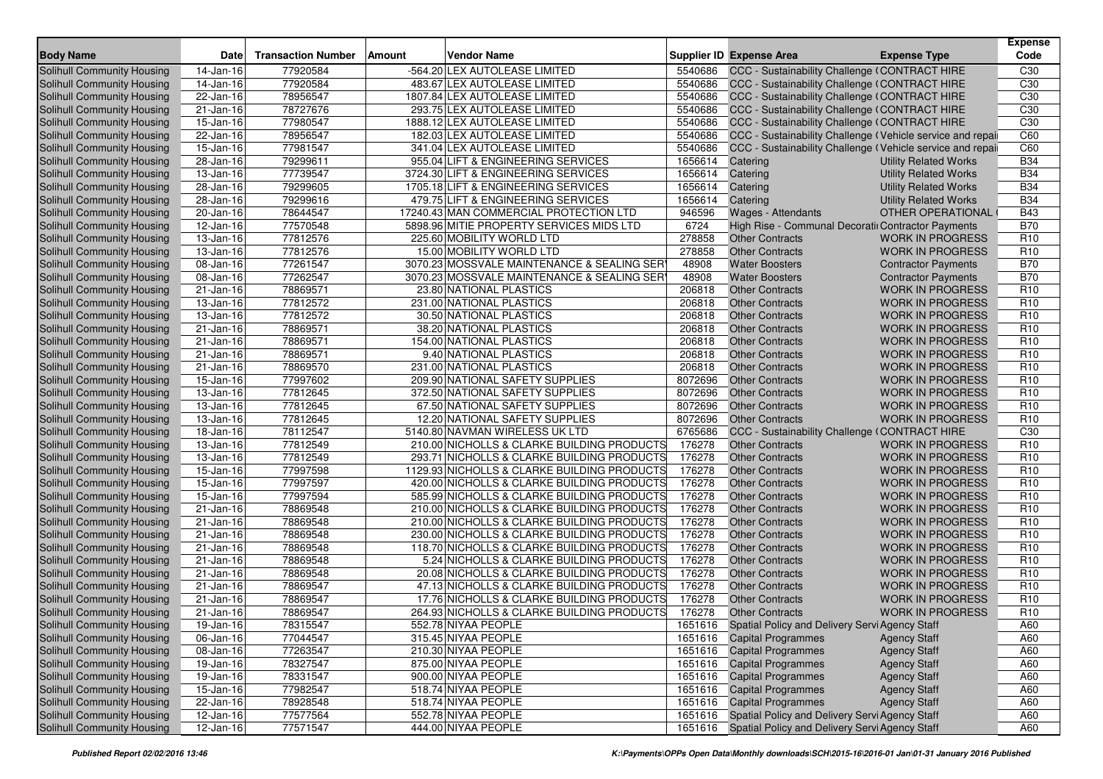| <b>Body Name</b>                  | <b>Date</b>             | <b>Transaction Number</b> | Vendor Name<br><b>Amount</b>                |         | Supplier ID Expense Area                                   | <b>Expense Type</b>          | <b>Expense</b><br>Code |
|-----------------------------------|-------------------------|---------------------------|---------------------------------------------|---------|------------------------------------------------------------|------------------------------|------------------------|
| Solihull Community Housing        | 14-Jan-16               | 77920584                  | -564.20 LEX AUTOLEASE LIMITED               | 5540686 | CCC - Sustainability Challenge (CONTRACT HIRE              |                              | C30                    |
| <b>Solihull Community Housing</b> | 14-Jan-16               | 77920584                  | 483.67 LEX AUTOLEASE LIMITED                | 5540686 | CCC - Sustainability Challenge (CONTRACT HIRE              |                              | C <sub>30</sub>        |
| Solihull Community Housing        | 22-Jan-16               | 78956547                  | 1807.84 LEX AUTOLEASE LIMITED               | 5540686 | CCC - Sustainability Challenge (CONTRACT HIRE              |                              | C <sub>30</sub>        |
| Solihull Community Housing        | 21-Jan-16               | 78727676                  | 293.75 LEX AUTOLEASE LIMITED                | 5540686 | CCC - Sustainability Challenge (CONTRACT HIRE              |                              | C30                    |
| Solihull Community Housing        | 15-Jan-16               | 77980547                  | 1888.12 LEX AUTOLEASE LIMITED               | 5540686 | CCC - Sustainability Challenge (CONTRACT HIRE              |                              | C30                    |
| Solihull Community Housing        | $22-Jan-16$             | 78956547                  | 182.03 LEX AUTOLEASE LIMITED                | 5540686 | CCC - Sustainability Challenge (Vehicle service and repail |                              | C60                    |
| Solihull Community Housing        | $\overline{15}$ -Jan-16 | 77981547                  | 341.04 LEX AUTOLEASE LIMITED                | 5540686 | CCC - Sustainability Challenge (Vehicle service and repai  |                              | C60                    |
| Solihull Community Housing        | 28-Jan-16               | 79299611                  | 955.04 LIFT & ENGINEERING SERVICES          | 1656614 | Catering                                                   | <b>Utility Related Works</b> | <b>B34</b>             |
| Solihull Community Housing        | 13-Jan-16               | 77739547                  | 3724.30 LIFT & ENGINEERING SERVICES         | 1656614 | Catering                                                   | <b>Utility Related Works</b> | <b>B34</b>             |
| Solihull Community Housing        | 28-Jan-16               | 79299605                  | 1705.18 LIFT & ENGINEERING SERVICES         | 1656614 | Catering                                                   | <b>Utility Related Works</b> | <b>B34</b>             |
| Solihull Community Housing        | 28-Jan-16               | 79299616                  | 479.75 LIFT & ENGINEERING SERVICES          | 1656614 | Catering                                                   | <b>Utility Related Works</b> | <b>B34</b>             |
| Solihull Community Housing        | $20$ -Jan-16            | 78644547                  | 17240.43 MAN COMMERCIAL PROTECTION LTD      | 946596  | Wages - Attendants                                         | <b>OTHER OPERATIONAL</b>     | <b>B43</b>             |
| Solihull Community Housing        | 12-Jan-16               | 77570548                  | 5898.96 MITIE PROPERTY SERVICES MIDS LTD    | 6724    | High Rise - Communal Decoratii Contractor Payments         |                              | <b>B70</b>             |
| Solihull Community Housing        | 13-Jan-16               | 77812576                  | 225.60 MOBILITY WORLD LTD                   | 278858  | <b>Other Contracts</b>                                     | <b>WORK IN PROGRESS</b>      | R <sub>10</sub>        |
| Solihull Community Housing        | 13-Jan-16               | 77812576                  | 15.00 MOBILITY WORLD LTD                    | 278858  | <b>Other Contracts</b>                                     | <b>WORK IN PROGRESS</b>      | R <sub>10</sub>        |
| Solihull Community Housing        | 08-Jan-16               | 77261547                  | 3070.23 MOSSVALE MAINTENANCE & SEALING SER  | 48908   | <b>Water Boosters</b>                                      | <b>Contractor Payments</b>   | <b>B70</b>             |
| Solihull Community Housing        | 08-Jan-16               | 77262547                  | 3070.23 MOSSVALE MAINTENANCE & SEALING SER  | 48908   | <b>Water Boosters</b>                                      | <b>Contractor Payments</b>   | <b>B70</b>             |
| Solihull Community Housing        | $\overline{21}$ -Jan-16 | 78869571                  | 23.80 NATIONAL PLASTICS                     | 206818  | <b>Other Contracts</b>                                     | <b>WORK IN PROGRESS</b>      | R <sub>10</sub>        |
| Solihull Community Housing        | 13-Jan-16               | 77812572                  | 231.00 NATIONAL PLASTICS                    | 206818  | <b>Other Contracts</b>                                     | <b>WORK IN PROGRESS</b>      | R <sub>10</sub>        |
| Solihull Community Housing        | 13-Jan-16               | 77812572                  | 30.50 NATIONAL PLASTICS                     | 206818  | <b>Other Contracts</b>                                     | <b>WORK IN PROGRESS</b>      | R <sub>10</sub>        |
| Solihull Community Housing        | $21 - Jan-16$           | 78869571                  | 38.20 NATIONAL PLASTICS                     | 206818  | <b>Other Contracts</b>                                     | <b>WORK IN PROGRESS</b>      | R <sub>10</sub>        |
| Solihull Community Housing        | 21-Jan-16               | 78869571                  | 154.00 NATIONAL PLASTICS                    | 206818  | <b>Other Contracts</b>                                     | <b>WORK IN PROGRESS</b>      | R <sub>10</sub>        |
| Solihull Community Housing        | 21-Jan-16               | 78869571                  | 9.40 NATIONAL PLASTICS                      | 206818  | <b>Other Contracts</b>                                     | <b>WORK IN PROGRESS</b>      | R <sub>10</sub>        |
| Solihull Community Housing        | 21-Jan-16               | 78869570                  | 231.00 NATIONAL PLASTICS                    | 206818  | <b>Other Contracts</b>                                     | <b>WORK IN PROGRESS</b>      | R <sub>10</sub>        |
| Solihull Community Housing        | 15-Jan-16               | 77997602                  | 209.90 NATIONAL SAFETY SUPPLIES             | 8072696 | <b>Other Contracts</b>                                     | <b>WORK IN PROGRESS</b>      | R <sub>10</sub>        |
| Solihull Community Housing        | 13-Jan-16               | 77812645                  | 372.50 NATIONAL SAFETY SUPPLIES             | 8072696 | <b>Other Contracts</b>                                     | <b>WORK IN PROGRESS</b>      | R <sub>10</sub>        |
| Solihull Community Housing        | 13-Jan-16               | 77812645                  | 67.50 NATIONAL SAFETY SUPPLIES              | 8072696 | <b>Other Contracts</b>                                     | <b>WORK IN PROGRESS</b>      | R <sub>10</sub>        |
| Solihull Community Housing        | 13-Jan-16               | 77812645                  | 12.20 NATIONAL SAFETY SUPPLIES              | 8072696 | <b>Other Contracts</b>                                     | <b>WORK IN PROGRESS</b>      | R <sub>10</sub>        |
| Solihull Community Housing        | 18-Jan-16               | 78112547                  | 5140.80 NAVMAN WIRELESS UK LTD              | 6765686 | CCC - Sustainability Challenge (CONTRACT HIRE              |                              | C <sub>30</sub>        |
| Solihull Community Housing        | 13-Jan-16               | 77812549                  | 210.00 NICHOLLS & CLARKE BUILDING PRODUCTS  | 176278  | <b>Other Contracts</b>                                     | <b>WORK IN PROGRESS</b>      | R <sub>10</sub>        |
| Solihull Community Housing        | 13-Jan-16               | 77812549                  | 293.71 NICHOLLS & CLARKE BUILDING PRODUCTS  | 176278  | <b>Other Contracts</b>                                     | <b>WORK IN PROGRESS</b>      | R <sub>10</sub>        |
| Solihull Community Housing        | $15 - Jan-16$           | 77997598                  | 1129.93 NICHOLLS & CLARKE BUILDING PRODUCTS | 176278  | <b>Other Contracts</b>                                     | <b>WORK IN PROGRESS</b>      | R <sub>10</sub>        |
| Solihull Community Housing        | 15-Jan-16               | 77997597                  | 420.00 NICHOLLS & CLARKE BUILDING PRODUCTS  | 176278  | <b>Other Contracts</b>                                     | <b>WORK IN PROGRESS</b>      | R <sub>10</sub>        |
| Solihull Community Housing        | 15-Jan-16               | 77997594                  | 585.99 NICHOLLS & CLARKE BUILDING PRODUCTS  | 176278  | <b>Other Contracts</b>                                     | <b>WORK IN PROGRESS</b>      | R <sub>10</sub>        |
| Solihull Community Housing        | 21-Jan-16               | 78869548                  | 210.00 NICHOLLS & CLARKE BUILDING PRODUCTS  | 176278  | <b>Other Contracts</b>                                     | <b>WORK IN PROGRESS</b>      | R <sub>10</sub>        |
| Solihull Community Housing        | 21-Jan-16               | 78869548                  | 210.00 NICHOLLS & CLARKE BUILDING PRODUCTS  | 176278  | <b>Other Contracts</b>                                     | <b>WORK IN PROGRESS</b>      | R <sub>10</sub>        |
| Solihull Community Housing        | 21-Jan-16               | 78869548                  | 230.00 NICHOLLS & CLARKE BUILDING PRODUCTS  | 176278  | <b>Other Contracts</b>                                     | <b>WORK IN PROGRESS</b>      | R <sub>10</sub>        |
| Solihull Community Housing        | 21-Jan-16               | 78869548                  | 118.70 NICHOLLS & CLARKE BUILDING PRODUCTS  | 176278  | <b>Other Contracts</b>                                     | <b>WORK IN PROGRESS</b>      | R <sub>10</sub>        |
| Solihull Community Housing        | 21-Jan-16               | 78869548                  | 5.24 NICHOLLS & CLARKE BUILDING PRODUCTS    | 176278  | <b>Other Contracts</b>                                     | <b>WORK IN PROGRESS</b>      | R <sub>10</sub>        |
| Solihull Community Housing        | 21-Jan-16               | 78869548                  | 20.08 NICHOLLS & CLARKE BUILDING PRODUCTS   | 176278  | <b>Other Contracts</b>                                     | <b>WORK IN PROGRESS</b>      | R <sub>10</sub>        |
| Solihull Community Housing        | 21-Jan-16               | 78869547                  | 47.13 NICHOLLS & CLARKE BUILDING PRODUCTS   | 176278  | <b>Other Contracts</b>                                     | <b>WORK IN PROGRESS</b>      | R <sub>10</sub>        |
| <b>Solihull Community Housing</b> | 21-Jan-16               | 78869547                  | 17.76 NICHOLLS & CLARKE BUILDING PRODUCTS   | 176278  | <b>Other Contracts</b>                                     | <b>WORK IN PROGRESS</b>      | R <sub>10</sub>        |
| Solihull Community Housing        | 21-Jan-16               | 78869547                  | 264.93 NICHOLLS & CLARKE BUILDING PRODUCTS  | 176278  | <b>Other Contracts</b>                                     | <b>WORK IN PROGRESS</b>      | R <sub>10</sub>        |
| Solihull Community Housing        | 19-Jan-16               | 78315547                  | 552.78 NIYAA PEOPLE                         |         | 1651616 Spatial Policy and Delivery Servi Agency Staff     |                              | A60                    |
| Solihull Community Housing        | 06-Jan-16               | 77044547                  | 315.45 NIYAA PEOPLE                         |         | 1651616 Capital Programmes                                 | <b>Agency Staff</b>          | A60                    |
| Solihull Community Housing        | 08-Jan-16               | 77263547                  | 210.30 NIYAA PEOPLE                         |         | 1651616 Capital Programmes                                 | <b>Agency Staff</b>          | A60                    |
| Solihull Community Housing        | 19-Jan-16               | 78327547                  | 875.00 NIYAA PEOPLE                         |         | 1651616 Capital Programmes                                 | <b>Agency Staff</b>          | A60                    |
| Solihull Community Housing        | 19-Jan-16               | 78331547                  | 900.00 NIYAA PEOPLE                         |         | 1651616 Capital Programmes                                 | <b>Agency Staff</b>          | A60                    |
| Solihull Community Housing        | 15-Jan-16               | 77982547                  | 518.74 NIYAA PEOPLE                         |         | 1651616 Capital Programmes                                 | <b>Agency Staff</b>          | A60                    |
| Solihull Community Housing        | 22-Jan-16               | 78928548                  | 518.74 NIYAA PEOPLE                         |         | 1651616 Capital Programmes                                 | <b>Agency Staff</b>          | A60                    |
| Solihull Community Housing        | $12$ -Jan-16            | 77577564                  | 552.78 NIYAA PEOPLE                         | 1651616 | Spatial Policy and Delivery Servi Agency Staff             |                              | A60                    |
| Solihull Community Housing        | $12$ -Jan-16            | 77571547                  | 444.00 NIYAA PEOPLE                         | 1651616 | Spatial Policy and Delivery Servi Agency Staff             |                              | A60                    |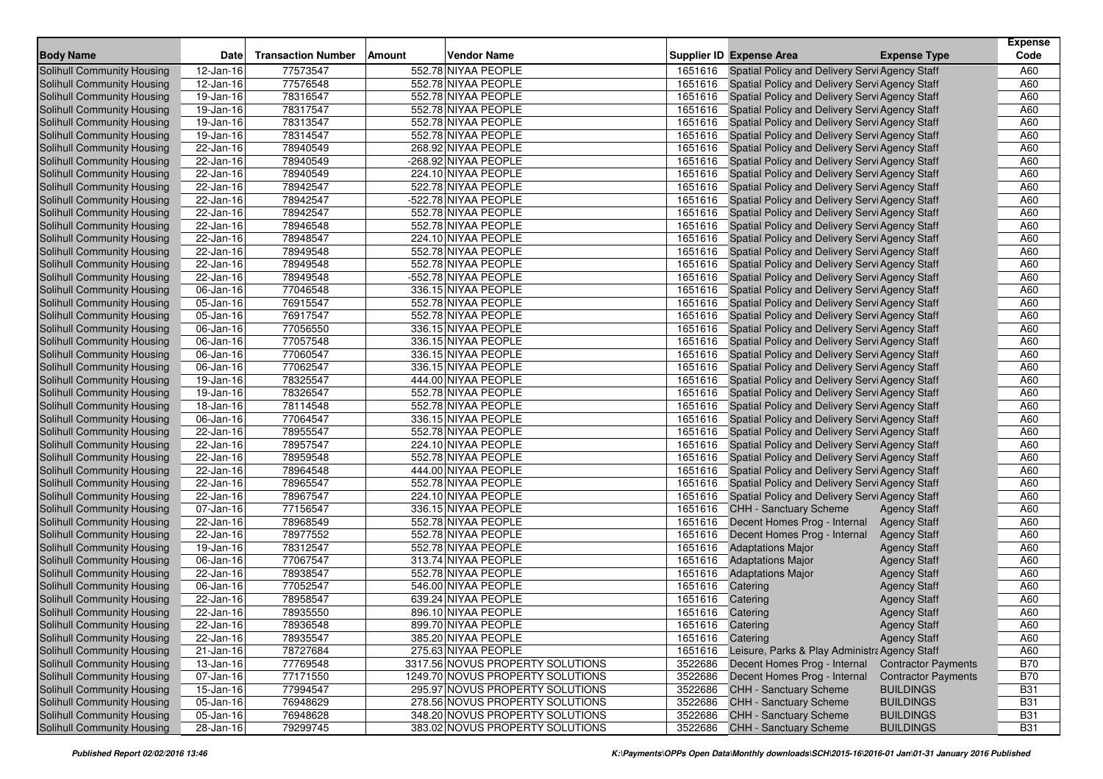| <b>Body Name</b>                                         | Date                    | <b>Transaction Number</b> | Amount | <b>Vendor Name</b>                         |                    | <b>Supplier ID Expense Area</b>                | <b>Expense Type</b>        | <b>Expense</b><br>Code |
|----------------------------------------------------------|-------------------------|---------------------------|--------|--------------------------------------------|--------------------|------------------------------------------------|----------------------------|------------------------|
| Solihull Community Housing                               | 12-Jan-16               | 77573547                  |        | 552.78 NIYAA PEOPLE                        | 1651616            | Spatial Policy and Delivery Servi Agency Staff |                            | A60                    |
| Solihull Community Housing                               |                         | 77576548                  |        |                                            |                    |                                                |                            | A60                    |
|                                                          | 12-Jan-16               | 78316547                  |        | 552.78 NIYAA PEOPLE<br>552.78 NIYAA PEOPLE | 1651616<br>1651616 | Spatial Policy and Delivery Servi Agency Staff |                            | A60                    |
| Solihull Community Housing<br>Solihull Community Housing | 19-Jan-16               |                           |        |                                            |                    | Spatial Policy and Delivery Servi Agency Staff |                            |                        |
|                                                          | 19-Jan-16               | 78317547                  |        | 552.78 NIYAA PEOPLE                        | 1651616            | Spatial Policy and Delivery Servi Agency Staff |                            | A60                    |
| Solihull Community Housing                               | 19-Jan-16               | 78313547                  |        | 552.78 NIYAA PEOPLE                        | 1651616            | Spatial Policy and Delivery Servi Agency Staff |                            | A60                    |
| Solihull Community Housing                               | $19$ -Jan-16            | 78314547                  |        | 552.78 NIYAA PEOPLE                        | 1651616            | Spatial Policy and Delivery Servi Agency Staff |                            | A60                    |
| Solihull Community Housing                               | 22-Jan-16               | 78940549                  |        | 268.92 NIYAA PEOPLE                        | 1651616            | Spatial Policy and Delivery Servi Agency Staff |                            | A60                    |
| <b>Solihull Community Housing</b>                        | 22-Jan-16               | 78940549                  |        | -268.92 NIYAA PEOPLE                       | 1651616            | Spatial Policy and Delivery Servi Agency Staff |                            | A60                    |
| Solihull Community Housing                               | 22-Jan-16               | 78940549                  |        | 224.10 NIYAA PEOPLE                        | 1651616            | Spatial Policy and Delivery Servi Agency Staff |                            | A60                    |
| <b>Solihull Community Housing</b>                        | 22-Jan-16               | 78942547                  |        | 522.78 NIYAA PEOPLE                        | 1651616            | Spatial Policy and Delivery Servi Agency Staff |                            | A60                    |
| Solihull Community Housing                               | 22-Jan-16               | 78942547                  |        | -522.78 NIYAA PEOPLE                       | 1651616            | Spatial Policy and Delivery Servi Agency Staff |                            | A60                    |
| <b>Solihull Community Housing</b>                        | 22-Jan-16               | 78942547                  |        | 552.78 NIYAA PEOPLE                        | 1651616            | Spatial Policy and Delivery Servi Agency Staff |                            | A60                    |
| <b>Solihull Community Housing</b>                        | 22-Jan-16               | 78946548                  |        | 552.78 NIYAA PEOPLE                        | 1651616            | Spatial Policy and Delivery Servi Agency Staff |                            | A60                    |
| Solihull Community Housing                               | 22-Jan-16               | 78948547                  |        | 224.10 NIYAA PEOPLE                        | 1651616            | Spatial Policy and Delivery Servi Agency Staff |                            | A60                    |
| Solihull Community Housing                               | 22-Jan-16               | 78949548                  |        | 552.78 NIYAA PEOPLE                        | 1651616            | Spatial Policy and Delivery Servi Agency Staff |                            | A60                    |
| Solihull Community Housing                               | 22-Jan-16               | 78949548                  |        | 552.78 NIYAA PEOPLE                        | 1651616            | Spatial Policy and Delivery Servi Agency Staff |                            | A60                    |
| Solihull Community Housing                               | 22-Jan-16               | 78949548                  |        | -552.78 NIYAA PEOPLE                       | 1651616            | Spatial Policy and Delivery Servi Agency Staff |                            | A60                    |
| <b>Solihull Community Housing</b>                        | 06-Jan-16               | 77046548                  |        | 336.15 NIYAA PEOPLE                        | 1651616            | Spatial Policy and Delivery Servi Agency Staff |                            | A60                    |
| Solihull Community Housing                               | 05-Jan-16               | 76915547                  |        | 552.78 NIYAA PEOPLE                        | 1651616            | Spatial Policy and Delivery Servi Agency Staff |                            | A60                    |
| <b>Solihull Community Housing</b>                        | 05-Jan-16               | 76917547                  |        | 552.78 NIYAA PEOPLE                        | 1651616            | Spatial Policy and Delivery Servi Agency Staff |                            | A60                    |
| Solihull Community Housing                               | 06-Jan-16               | 77056550                  |        | 336.15 NIYAA PEOPLE                        | 1651616            | Spatial Policy and Delivery Servi Agency Staff |                            | A60                    |
| Solihull Community Housing                               | 06-Jan-16               | 77057548                  |        | 336.15 NIYAA PEOPLE                        | 1651616            | Spatial Policy and Delivery Servi Agency Staff |                            | A60                    |
| Solihull Community Housing                               | 06-Jan-16               | 77060547                  |        | 336.15 NIYAA PEOPLE                        | 1651616            | Spatial Policy and Delivery Servi Agency Staff |                            | A60                    |
| Solihull Community Housing                               | 06-Jan-16               | 77062547                  |        | 336.15 NIYAA PEOPLE                        | 1651616            | Spatial Policy and Delivery Servi Agency Staff |                            | A60                    |
| Solihull Community Housing                               | 19-Jan-16               | 78325547                  |        | 444.00 NIYAA PEOPLE                        | 1651616            | Spatial Policy and Delivery Servi Agency Staff |                            | A60                    |
| <b>Solihull Community Housing</b>                        | 19-Jan-16               | 78326547                  |        | 552.78 NIYAA PEOPLE                        | 1651616            | Spatial Policy and Delivery Servi Agency Staff |                            | A60                    |
| Solihull Community Housing                               | 18-Jan-16               | 78114548                  |        | 552.78 NIYAA PEOPLE                        | 1651616            | Spatial Policy and Delivery Servi Agency Staff |                            | A60                    |
| <b>Solihull Community Housing</b>                        | $\overline{06}$ -Jan-16 | 77064547                  |        | 336.15 NIYAA PEOPLE                        | 1651616            | Spatial Policy and Delivery Servi Agency Staff |                            | A60                    |
| <b>Solihull Community Housing</b>                        | 22-Jan-16               | 78955547                  |        | 552.78 NIYAA PEOPLE                        | 1651616            | Spatial Policy and Delivery Servi Agency Staff |                            | A60                    |
| Solihull Community Housing                               | 22-Jan-16               | 78957547                  |        | 224.10 NIYAA PEOPLE                        | 1651616            | Spatial Policy and Delivery Servi Agency Staff |                            | A60                    |
| Solihull Community Housing                               | $22$ -Jan-16            | 78959548                  |        | 552.78 NIYAA PEOPLE                        | 1651616            | Spatial Policy and Delivery Servi Agency Staff |                            | A60                    |
| <b>Solihull Community Housing</b>                        | $\overline{22}$ -Jan-16 | 78964548                  |        | 444.00 NIYAA PEOPLE                        | 1651616            | Spatial Policy and Delivery Servi Agency Staff |                            | A60                    |
| Solihull Community Housing                               | 22-Jan-16               | 78965547                  |        | 552.78 NIYAA PEOPLE                        | 1651616            | Spatial Policy and Delivery Servi Agency Staff |                            | A60                    |
| Solihull Community Housing                               | 22-Jan-16               | 78967547                  |        | 224.10 NIYAA PEOPLE                        | 1651616            | Spatial Policy and Delivery Servi Agency Staff |                            | A60                    |
| <b>Solihull Community Housing</b>                        | 07-Jan-16               | 77156547                  |        | 336.15 NIYAA PEOPLE                        | 1651616            | CHH - Sanctuary Scheme                         | <b>Agency Staff</b>        | A60                    |
| Solihull Community Housing                               | 22-Jan-16               | 78968549                  |        | 552.78 NIYAA PEOPLE                        | 1651616            | Decent Homes Prog - Internal                   | <b>Agency Staff</b>        | A60                    |
| <b>Solihull Community Housing</b>                        | 22-Jan-16               | 78977552                  |        | 552.78 NIYAA PEOPLE                        | 1651616            | Decent Homes Prog - Internal                   | <b>Agency Staff</b>        | A60                    |
| Solihull Community Housing                               | 19-Jan-16               | 78312547                  |        | 552.78 NIYAA PEOPLE                        | 1651616            | <b>Adaptations Major</b>                       | <b>Agency Staff</b>        | A60                    |
| Solihull Community Housing                               | 06-Jan-16               | 77067547                  |        | 313.74 NIYAA PEOPLE                        | 1651616            | <b>Adaptations Major</b>                       | <b>Agency Staff</b>        | A60                    |
| <b>Solihull Community Housing</b>                        | 22-Jan-16               | 78938547                  |        | 552.78 NIYAA PEOPLE                        | 1651616            | <b>Adaptations Major</b>                       | <b>Agency Staff</b>        | A60                    |
| Solihull Community Housing                               | 06-Jan-16               | 77052547                  |        | 546.00 NIYAA PEOPLE                        | 1651616            | Catering                                       | <b>Agency Staff</b>        | A60                    |
| Solihull Community Housing                               | 22-Jan-16               | 78958547                  |        | 639.24 NIYAA PEOPLE                        | 1651616            | Catering                                       | <b>Agency Staff</b>        | A60                    |
| Solihull Community Housing                               | 22-Jan-16               | 78935550                  |        | 896.10 NIYAA PEOPLE                        | 1651616 Catering   |                                                | <b>Agency Staff</b>        | A60                    |
| Solihull Community Housing                               | $22-Jan-16$             | 78936548                  |        | 899.70 NIYAA PEOPLE                        | 1651616 Catering   |                                                | <b>Agency Staff</b>        | A60                    |
| <b>Solihull Community Housing</b>                        | 22-Jan-16               | 78935547                  |        | 385.20 NIYAA PEOPLE                        | 1651616 Catering   |                                                | <b>Agency Staff</b>        | A60                    |
| <b>Solihull Community Housing</b>                        | $\overline{21}$ -Jan-16 | 78727684                  |        | 275.63 NIYAA PEOPLE                        | 1651616            | Leisure, Parks & Play Administra Agency Staff  |                            | A60                    |
| <b>Solihull Community Housing</b>                        | 13-Jan-16               | 77769548                  |        | 3317.56 NOVUS PROPERTY SOLUTIONS           | 3522686            | Decent Homes Prog - Internal                   | <b>Contractor Payments</b> | <b>B70</b>             |
| Solihull Community Housing                               | 07-Jan-16               | 77171550                  |        | 1249.70 NOVUS PROPERTY SOLUTIONS           | 3522686            | Decent Homes Prog - Internal                   | <b>Contractor Payments</b> | <b>B70</b>             |
| <b>Solihull Community Housing</b>                        | 15-Jan-16               | 77994547                  |        | 295.97 NOVUS PROPERTY SOLUTIONS            | 3522686            | <b>CHH - Sanctuary Scheme</b>                  | <b>BUILDINGS</b>           | <b>B31</b>             |
| Solihull Community Housing                               | 05-Jan-16               | 76948629                  |        | 278.56 NOVUS PROPERTY SOLUTIONS            | 3522686            | <b>CHH - Sanctuary Scheme</b>                  | <b>BUILDINGS</b>           | <b>B31</b>             |
| <b>Solihull Community Housing</b>                        | $\overline{05}$ -Jan-16 | 76948628                  |        | 348.20 NOVUS PROPERTY SOLUTIONS            | 3522686            | CHH - Sanctuary Scheme                         | <b>BUILDINGS</b>           | <b>B31</b>             |
| Solihull Community Housing                               | 28-Jan-16               | 79299745                  |        | 383.02 NOVUS PROPERTY SOLUTIONS            | 3522686            | <b>CHH - Sanctuary Scheme</b>                  | <b>BUILDINGS</b>           | <b>B31</b>             |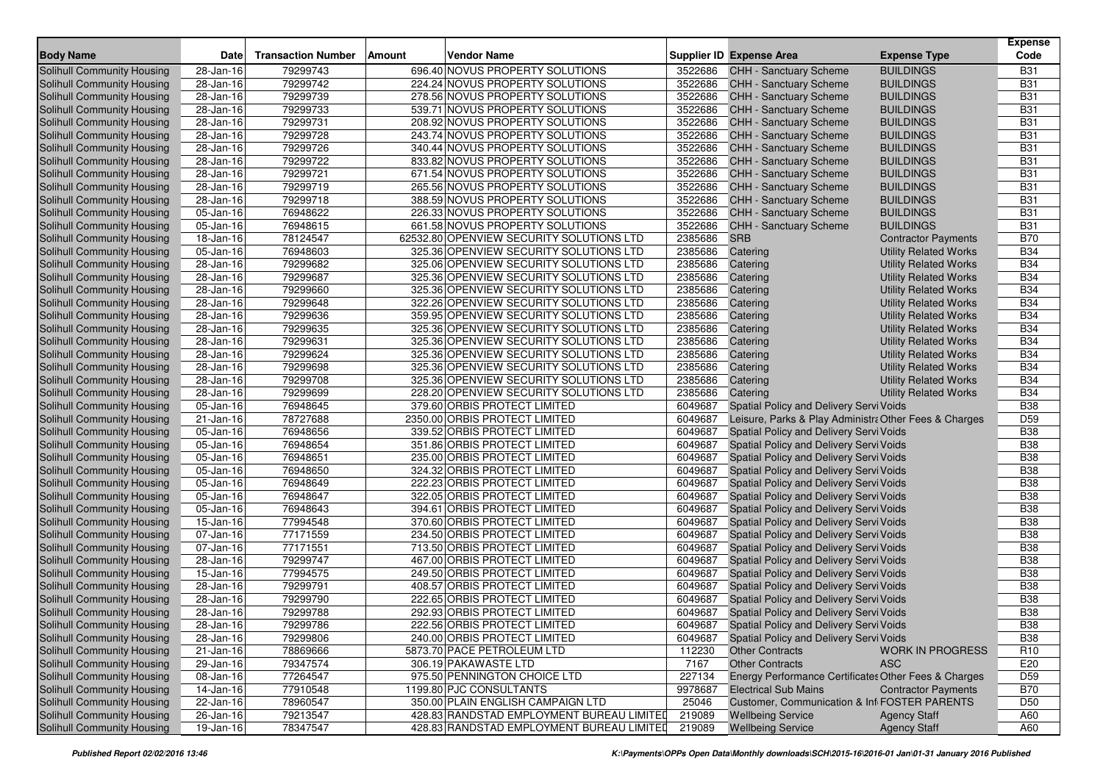| <b>Body Name</b>                  | <b>Date</b>             | <b>Transaction Number</b> | Amount<br><b>Vendor Name</b>              |         | Supplier ID Expense Area                              | <b>Expense Type</b>          | <b>Expense</b><br>Code |
|-----------------------------------|-------------------------|---------------------------|-------------------------------------------|---------|-------------------------------------------------------|------------------------------|------------------------|
| Solihull Community Housing        | 28-Jan-16               | 79299743                  | 696.40 NOVUS PROPERTY SOLUTIONS           | 3522686 | CHH - Sanctuary Scheme                                | <b>BUILDINGS</b>             | <b>B31</b>             |
| Solihull Community Housing        | 28-Jan-16               | 79299742                  | 224.24 NOVUS PROPERTY SOLUTIONS           | 3522686 | <b>CHH - Sanctuary Scheme</b>                         | <b>BUILDINGS</b>             | <b>B31</b>             |
| Solihull Community Housing        | $\overline{28}$ -Jan-16 | 79299739                  | 278.56 NOVUS PROPERTY SOLUTIONS           | 3522686 | <b>CHH - Sanctuary Scheme</b>                         | <b>BUILDINGS</b>             | <b>B31</b>             |
| Solihull Community Housing        | 28-Jan-16               | 79299733                  | 539.71 NOVUS PROPERTY SOLUTIONS           | 3522686 | CHH - Sanctuary Scheme                                | <b>BUILDINGS</b>             | <b>B31</b>             |
| Solihull Community Housing        | 28-Jan-16               | 79299731                  | 208.92 NOVUS PROPERTY SOLUTIONS           | 3522686 | CHH - Sanctuary Scheme                                | <b>BUILDINGS</b>             | <b>B31</b>             |
| Solihull Community Housing        | 28-Jan-16               | 79299728                  | 243.74 NOVUS PROPERTY SOLUTIONS           | 3522686 | CHH - Sanctuary Scheme                                | <b>BUILDINGS</b>             | <b>B31</b>             |
| Solihull Community Housing        | 28-Jan-16               | 79299726                  | 340.44 NOVUS PROPERTY SOLUTIONS           | 3522686 | <b>CHH - Sanctuary Scheme</b>                         | <b>BUILDINGS</b>             | <b>B31</b>             |
| Solihull Community Housing        | 28-Jan-16               | 79299722                  | 833.82 NOVUS PROPERTY SOLUTIONS           | 3522686 | CHH - Sanctuary Scheme                                | <b>BUILDINGS</b>             | <b>B31</b>             |
| Solihull Community Housing        | 28-Jan-16               | 79299721                  | 671.54 NOVUS PROPERTY SOLUTIONS           | 3522686 | CHH - Sanctuary Scheme                                | <b>BUILDINGS</b>             | <b>B31</b>             |
| Solihull Community Housing        | 28-Jan-16               | 79299719                  | 265.56 NOVUS PROPERTY SOLUTIONS           | 3522686 | <b>CHH - Sanctuary Scheme</b>                         | <b>BUILDINGS</b>             | <b>B31</b>             |
| Solihull Community Housing        | 28-Jan-16               | 79299718                  | 388.59 NOVUS PROPERTY SOLUTIONS           | 3522686 | CHH - Sanctuary Scheme                                | <b>BUILDINGS</b>             | <b>B31</b>             |
| Solihull Community Housing        | 05-Jan-16               | 76948622                  | 226.33 NOVUS PROPERTY SOLUTIONS           | 3522686 | CHH - Sanctuary Scheme                                | <b>BUILDINGS</b>             | <b>B31</b>             |
| Solihull Community Housing        | 05-Jan-16               | 76948615                  | 661.58 NOVUS PROPERTY SOLUTIONS           | 3522686 | CHH - Sanctuary Scheme                                | <b>BUILDINGS</b>             | <b>B31</b>             |
| Solihull Community Housing        | 18-Jan-16               | 78124547                  | 62532.80 OPENVIEW SECURITY SOLUTIONS LTD  | 2385686 | <b>SRB</b>                                            | <b>Contractor Payments</b>   | <b>B70</b>             |
| Solihull Community Housing        | 05-Jan-16               | 76948603                  | 325.36 OPENVIEW SECURITY SOLUTIONS LTD    | 2385686 | Catering                                              | <b>Utility Related Works</b> | <b>B34</b>             |
| Solihull Community Housing        | 28-Jan-16               | 79299682                  | 325.06 OPENVIEW SECURITY SOLUTIONS LTD    | 2385686 | Catering                                              | <b>Utility Related Works</b> | <b>B34</b>             |
| Solihull Community Housing        | 28-Jan-16               | 79299687                  | 325.36 OPENVIEW SECURITY SOLUTIONS LTD    | 2385686 | Catering                                              | <b>Utility Related Works</b> | <b>B34</b>             |
| Solihull Community Housing        | 28-Jan-16               | 79299660                  | 325.36 OPENVIEW SECURITY SOLUTIONS LTD    | 2385686 | Catering                                              | <b>Utility Related Works</b> | <b>B34</b>             |
| Solihull Community Housing        | 28-Jan-16               | 79299648                  | 322.26 OPENVIEW SECURITY SOLUTIONS LTD    | 2385686 | Catering                                              | <b>Utility Related Works</b> | <b>B34</b>             |
| Solihull Community Housing        | 28-Jan-16               | 79299636                  | 359.95 OPENVIEW SECURITY SOLUTIONS LTD    | 2385686 | Catering                                              | <b>Utility Related Works</b> | <b>B34</b>             |
| Solihull Community Housing        | 28-Jan-16               | 79299635                  | 325.36 OPENVIEW SECURITY SOLUTIONS LTD    | 2385686 | Catering                                              | <b>Utility Related Works</b> | <b>B34</b>             |
| Solihull Community Housing        | 28-Jan-16               | 79299631                  | 325.36 OPENVIEW SECURITY SOLUTIONS LTD    | 2385686 | Catering                                              | <b>Utility Related Works</b> | <b>B34</b>             |
| Solihull Community Housing        | 28-Jan-16               | 79299624                  | 325.36 OPENVIEW SECURITY SOLUTIONS LTD    | 2385686 | Catering                                              | <b>Utility Related Works</b> | <b>B34</b>             |
| Solihull Community Housing        | 28-Jan-16               | 79299698                  | 325.36 OPENVIEW SECURITY SOLUTIONS LTD    | 2385686 | Catering                                              | <b>Utility Related Works</b> | <b>B34</b>             |
| Solihull Community Housing        | 28-Jan-16               | 79299708                  | 325.36 OPENVIEW SECURITY SOLUTIONS LTD    | 2385686 | Catering                                              | <b>Utility Related Works</b> | <b>B34</b>             |
| Solihull Community Housing        | 28-Jan-16               | 79299699                  | 228.20 OPENVIEW SECURITY SOLUTIONS LTD    | 2385686 | Catering                                              | <b>Utility Related Works</b> | <b>B34</b>             |
| Solihull Community Housing        | 05-Jan-16               | 76948645                  | 379.60 ORBIS PROTECT LIMITED              | 6049687 | Spatial Policy and Delivery Servi Voids               |                              | <b>B38</b>             |
| Solihull Community Housing        | 21-Jan-16               | 78727688                  | 2350.00 ORBIS PROTECT LIMITED             | 6049687 | Leisure, Parks & Play Administra Other Fees & Charges |                              | D <sub>59</sub>        |
| Solihull Community Housing        | $\overline{0}$ 5-Jan-16 | 76948656                  | 339.52 ORBIS PROTECT LIMITED              | 6049687 | Spatial Policy and Delivery Servi Voids               |                              | <b>B38</b>             |
| Solihull Community Housing        | 05-Jan-16               | 76948654                  | 351.86 ORBIS PROTECT LIMITED              | 6049687 | Spatial Policy and Delivery Servi Voids               |                              | <b>B38</b>             |
| Solihull Community Housing        | 05-Jan-16               | 76948651                  | 235.00 ORBIS PROTECT LIMITED              | 6049687 | Spatial Policy and Delivery Servi Voids               |                              | <b>B38</b>             |
| Solihull Community Housing        | 05-Jan-16               | 76948650                  | 324.32 ORBIS PROTECT LIMITED              | 6049687 | Spatial Policy and Delivery Servi Voids               |                              | <b>B38</b>             |
| Solihull Community Housing        | 05-Jan-16               | 76948649                  | 222.23 ORBIS PROTECT LIMITED              | 6049687 | Spatial Policy and Delivery Servi Voids               |                              | <b>B38</b>             |
| Solihull Community Housing        | 05-Jan-16               | 76948647                  | 322.05 ORBIS PROTECT LIMITED              | 6049687 | Spatial Policy and Delivery Servi Voids               |                              | <b>B38</b>             |
| Solihull Community Housing        | 05-Jan-16               | 76948643                  | 394.61 ORBIS PROTECT LIMITED              | 6049687 | Spatial Policy and Delivery Servi Voids               |                              | <b>B38</b>             |
| Solihull Community Housing        | 15-Jan-16               | 77994548                  | 370.60 ORBIS PROTECT LIMITED              | 6049687 | Spatial Policy and Delivery Servi Voids               |                              | <b>B38</b>             |
| Solihull Community Housing        | 07-Jan-16               | 77171559                  | 234.50 ORBIS PROTECT LIMITED              | 6049687 | Spatial Policy and Delivery Servi Voids               |                              | <b>B38</b>             |
| Solihull Community Housing        | 07-Jan-16               | 77171551                  | 713.50 ORBIS PROTECT LIMITED              | 6049687 | Spatial Policy and Delivery Servi Voids               |                              | <b>B38</b>             |
| Solihull Community Housing        | 28-Jan-16               | 79299747                  | 467.00 ORBIS PROTECT LIMITED              | 6049687 | Spatial Policy and Delivery Servi Voids               |                              | <b>B38</b>             |
| Solihull Community Housing        | 15-Jan-16               | 77994575                  | 249.50 ORBIS PROTECT LIMITED              | 6049687 | Spatial Policy and Delivery Servi Voids               |                              | <b>B38</b>             |
| Solihull Community Housing        | 28-Jan-16               | 79299791                  | 408.57 ORBIS PROTECT LIMITED              | 6049687 | Spatial Policy and Delivery Servi Voids               |                              | <b>B38</b>             |
| <b>Solihull Community Housing</b> | 28-Jan-16               | 79299790                  | 222.65 ORBIS PROTECT LIMITED              | 6049687 | Spatial Policy and Delivery Servi Voids               |                              | <b>B38</b>             |
| Solihull Community Housing        | 28-Jan-16               | 79299788                  | 292.93 ORBIS PROTECT LIMITED              | 6049687 | Spatial Policy and Delivery Servi Voids               |                              | <b>B38</b>             |
| Solihull Community Housing        | 28-Jan-16               | 79299786                  | 222.56 ORBIS PROTECT LIMITED              | 6049687 | Spatial Policy and Delivery Servi Voids               |                              | <b>B38</b>             |
| Solihull Community Housing        | 28-Jan-16               | 79299806                  | 240.00 ORBIS PROTECT LIMITED              | 6049687 | Spatial Policy and Delivery Servi Voids               |                              | <b>B38</b>             |
| Solihull Community Housing        | 21-Jan-16               | 78869666                  | 5873.70 PACE PETROLEUM LTD                | 112230  | <b>Other Contracts</b>                                | <b>WORK IN PROGRESS</b>      | R <sub>10</sub>        |
| Solihull Community Housing        | 29-Jan-16               | 79347574                  | 306.19 PAKAWASTE LTD                      | 7167    | <b>Other Contracts</b>                                | <b>ASC</b>                   | E20                    |
| Solihull Community Housing        | 08-Jan-16               | 77264547                  | 975.50 PENNINGTON CHOICE LTD              | 227134  | Energy Performance Certificates Other Fees & Charges  |                              | D <sub>59</sub>        |
| Solihull Community Housing        | 14-Jan-16               | 77910548                  | 1199.80 PJC CONSULTANTS                   | 9978687 | <b>Electrical Sub Mains</b>                           | <b>Contractor Payments</b>   | <b>B70</b>             |
| Solihull Community Housing        | 22-Jan-16               | 78960547                  | 350.00 PLAIN ENGLISH CAMPAIGN LTD         | 25046   | Customer, Communication & Inf FOSTER PARENTS          |                              | D <sub>50</sub>        |
| Solihull Community Housing        | 26-Jan-16               | 79213547                  | 428.83 RANDSTAD EMPLOYMENT BUREAU LIMITED | 219089  | <b>Wellbeing Service</b>                              | <b>Agency Staff</b>          | A60                    |
| Solihull Community Housing        | $19$ -Jan-16            | 78347547                  | 428.83 RANDSTAD EMPLOYMENT BUREAU LIMITED | 219089  | <b>Wellbeing Service</b>                              | <b>Agency Staff</b>          | A60                    |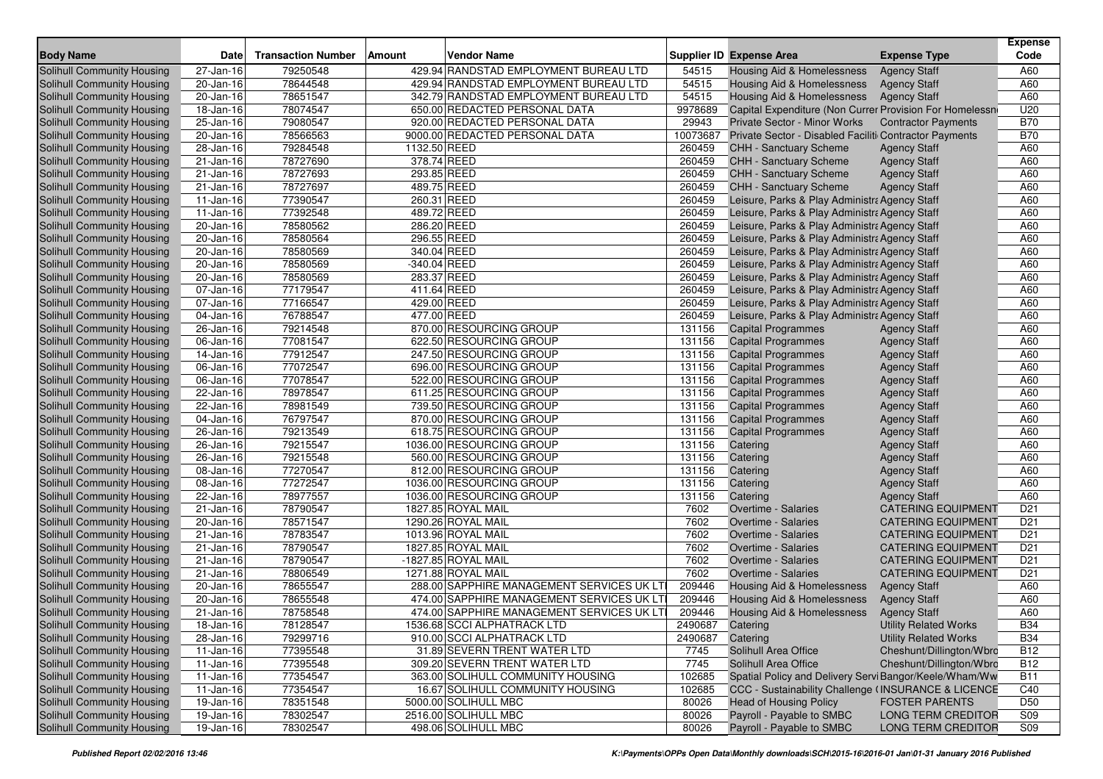| <b>Body Name</b>                  | <b>Date</b>             | <b>Transaction Number</b> | Amount<br>Vendor Name                     |          | <b>Supplier ID Expense Area</b>                         | <b>Expense Type</b>          | <b>Expense</b><br>Code |
|-----------------------------------|-------------------------|---------------------------|-------------------------------------------|----------|---------------------------------------------------------|------------------------------|------------------------|
| Solihull Community Housing        | 27-Jan-16               | 79250548                  | 429.94 RANDSTAD EMPLOYMENT BUREAU LTD     | 54515    | Housing Aid & Homelessness                              | <b>Agency Staff</b>          | A60                    |
| <b>Solihull Community Housing</b> | 20-Jan-16               | 78644548                  | 429.94 RANDSTAD EMPLOYMENT BUREAU LTD     | 54515    | <b>Housing Aid &amp; Homelessness</b>                   | <b>Agency Staff</b>          | A60                    |
| Solihull Community Housing        | $\overline{20}$ -Jan-16 | 78651547                  | 342.79 RANDSTAD EMPLOYMENT BUREAU LTD     | 54515    | Housing Aid & Homelessness                              | <b>Agency Staff</b>          | A60                    |
| Solihull Community Housing        | 18-Jan-16               | 78074547                  | 650.00 REDACTED PERSONAL DATA             | 9978689  | Capital Expenditure (Non Currer Provision For Homelessn |                              | U20                    |
| Solihull Community Housing        | 25-Jan-16               | 79080547                  | 920.00 REDACTED PERSONAL DATA             | 29943    | Private Sector - Minor Works                            | <b>Contractor Payments</b>   | <b>B70</b>             |
| Solihull Community Housing        | 20-Jan-16               | 78566563                  | 9000.00 REDACTED PERSONAL DATA            | 10073687 | Private Sector - Disabled Faciliti Contractor Payments  |                              | <b>B70</b>             |
| Solihull Community Housing        | 28-Jan-16               | 79284548                  | 1132.50 REED                              | 260459   | CHH - Sanctuary Scheme                                  | <b>Agency Staff</b>          | A60                    |
| Solihull Community Housing        | 21-Jan-16               | 78727690                  | 378.74 REED                               | 260459   | <b>CHH - Sanctuary Scheme</b>                           | <b>Agency Staff</b>          | A60                    |
| Solihull Community Housing        | 21-Jan-16               | 78727693                  | 293.85 REED                               | 260459   | CHH - Sanctuary Scheme                                  | <b>Agency Staff</b>          | A60                    |
| Solihull Community Housing        | 21-Jan-16               | 78727697                  | 489.75 REED                               | 260459   | CHH - Sanctuary Scheme                                  | <b>Agency Staff</b>          | A60                    |
| Solihull Community Housing        | 11-Jan-16               | 77390547                  | 260.31 REED                               | 260459   | Leisure, Parks & Play Administra Agency Staff           |                              | A60                    |
| Solihull Community Housing        | 11-Jan-16               | 77392548                  | 489.72 REED                               | 260459   | Leisure, Parks & Play Administra Agency Staff           |                              | A60                    |
| Solihull Community Housing        | 20-Jan-16               | 78580562                  | 286.20 REED                               | 260459   | Leisure, Parks & Play Administra Agency Staff           |                              | A60                    |
| Solihull Community Housing        | 20-Jan-16               | 78580564                  | 296.55 REED                               | 260459   | Leisure, Parks & Play Administra Agency Staff           |                              | A60                    |
| Solihull Community Housing        | 20-Jan-16               | 78580569                  | 340.04 REED                               | 260459   | Leisure, Parks & Play Administra Agency Staff           |                              | A60                    |
| Solihull Community Housing        | 20-Jan-16               | 78580569                  | -340.04 REED                              | 260459   | Leisure, Parks & Play Administra Agency Staff           |                              | A60                    |
| Solihull Community Housing        | 20-Jan-16               | 78580569                  | 283.37 REED                               | 260459   | Leisure, Parks & Play Administra Agency Staff           |                              | A60                    |
| Solihull Community Housing        | $\overline{07}$ -Jan-16 | 77179547                  | 411.64 REED                               | 260459   | Leisure, Parks & Play Administra Agency Staff           |                              | A60                    |
| Solihull Community Housing        | 07-Jan-16               | 77166547                  | 429.00 REED                               | 260459   | Leisure, Parks & Play Administra Agency Staff           |                              | A60                    |
| Solihull Community Housing        | 04-Jan-16               | 76788547                  | 477.00 REED                               | 260459   | Leisure, Parks & Play Administra Agency Staff           |                              | A60                    |
| Solihull Community Housing        | 26-Jan-16               | 79214548                  | 870.00 RESOURCING GROUP                   | 131156   | <b>Capital Programmes</b>                               | <b>Agency Staff</b>          | A60                    |
| Solihull Community Housing        | 06-Jan-16               | 77081547                  | 622.50 RESOURCING GROUP                   | 131156   | <b>Capital Programmes</b>                               | <b>Agency Staff</b>          | A60                    |
| Solihull Community Housing        | 14-Jan-16               | 77912547                  | 247.50 RESOURCING GROUP                   | 131156   | <b>Capital Programmes</b>                               | <b>Agency Staff</b>          | A60                    |
| Solihull Community Housing        | 06-Jan-16               | 77072547                  | 696.00 RESOURCING GROUP                   | 131156   | <b>Capital Programmes</b>                               | <b>Agency Staff</b>          | A60                    |
| Solihull Community Housing        | 06-Jan-16               | 77078547                  | 522.00 RESOURCING GROUP                   | 131156   | <b>Capital Programmes</b>                               | <b>Agency Staff</b>          | A60                    |
| Solihull Community Housing        | 22-Jan-16               | 78978547                  | 611.25 RESOURCING GROUP                   | 131156   | <b>Capital Programmes</b>                               | <b>Agency Staff</b>          | A60                    |
| Solihull Community Housing        | 22-Jan-16               | 78981549                  | 739.50 RESOURCING GROUP                   | 131156   | <b>Capital Programmes</b>                               | <b>Agency Staff</b>          | A60                    |
| Solihull Community Housing        | $\overline{04}$ -Jan-16 | 76797547                  | 870.00 RESOURCING GROUP                   | 131156   | <b>Capital Programmes</b>                               | <b>Agency Staff</b>          | A60                    |
| Solihull Community Housing        | $\overline{26}$ -Jan-16 | 79213549                  | 618.75 RESOURCING GROUP                   | 131156   | <b>Capital Programmes</b>                               | <b>Agency Staff</b>          | A60                    |
| Solihull Community Housing        | 26-Jan-16               | 79215547                  | 1036.00 RESOURCING GROUP                  | 131156   | Catering                                                | <b>Agency Staff</b>          | A60                    |
| Solihull Community Housing        | 26-Jan-16               | 79215548                  | 560.00 RESOURCING GROUP                   | 131156   | Catering                                                | <b>Agency Staff</b>          | A60                    |
| Solihull Community Housing        | $\overline{08}$ -Jan-16 | 77270547                  | 812.00 RESOURCING GROUP                   | 131156   | Catering                                                | <b>Agency Staff</b>          | A60                    |
| Solihull Community Housing        | 08-Jan-16               | 77272547                  | 1036.00 RESOURCING GROUP                  | 131156   | Catering                                                | <b>Agency Staff</b>          | A60                    |
| Solihull Community Housing        | 22-Jan-16               | 78977557                  | 1036.00 RESOURCING GROUP                  | 131156   | Catering                                                | <b>Agency Staff</b>          | A60                    |
| Solihull Community Housing        | 21-Jan-16               | 78790547                  | 1827.85 ROYAL MAIL                        | 7602     | Overtime - Salaries                                     | <b>CATERING EQUIPMENT</b>    | D <sub>21</sub>        |
| Solihull Community Housing        | 20-Jan-16               | 78571547                  | 1290.26 ROYAL MAIL                        | 7602     | <b>Overtime - Salaries</b>                              | <b>CATERING EQUIPMENT</b>    | D <sub>21</sub>        |
| Solihull Community Housing        | 21-Jan-16               | 78783547                  | 1013.96 ROYAL MAIL                        | 7602     | <b>Overtime - Salaries</b>                              | <b>CATERING EQUIPMENT</b>    | D <sub>21</sub>        |
| Solihull Community Housing        | 21-Jan-16               | 78790547                  | 1827.85 ROYAL MAIL                        | 7602     | Overtime - Salaries                                     | <b>CATERING EQUIPMENT</b>    | D <sub>21</sub>        |
| Solihull Community Housing        | 21-Jan-16               | 78790547                  | -1827.85 ROYAL MAIL                       | 7602     | <b>Overtime - Salaries</b>                              | <b>CATERING EQUIPMENT</b>    | D <sub>21</sub>        |
| Solihull Community Housing        | 21-Jan-16               | 78806549                  | 1271.88 ROYAL MAIL                        | 7602     | <b>Overtime - Salaries</b>                              | <b>CATERING EQUIPMENT</b>    | D <sub>21</sub>        |
| Solihull Community Housing        | 20-Jan-16               | 78655547                  | 288.00 SAPPHIRE MANAGEMENT SERVICES UK LT | 209446   | Housing Aid & Homelessness                              | <b>Agency Staff</b>          | A60                    |
| Solihull Community Housing        | 20-Jan-16               | 78655548                  | 474.00 SAPPHIRE MANAGEMENT SERVICES UK LT | 209446   | Housing Aid & Homelessness                              | <b>Agency Staff</b>          | A60                    |
| Solihull Community Housing        | $\overline{21}$ -Jan-16 | 78758548                  | 474.00 SAPPHIRE MANAGEMENT SERVICES UK LT | 209446   | Housing Aid & Homelessness                              | <b>Agency Staff</b>          | A60                    |
| Solihull Community Housing        | $18 - Jan - 16$         | 78128547                  | 1536.68 SCCI ALPHATRACK LTD               | 2490687  | Catering                                                | <b>Utility Related Works</b> | <b>B34</b>             |
| Solihull Community Housing        | 28-Jan-16               | 79299716                  | 910.00 SCCI ALPHATRACK LTD                | 2490687  | Catering                                                | <b>Utility Related Works</b> | <b>B34</b>             |
| Solihull Community Housing        | 11-Jan-16               | 77395548                  | 31.89 SEVERN TRENT WATER LTD              | 7745     | Solihull Area Office                                    | Cheshunt/Dillington/Wbrc     | <b>B12</b>             |
| Solihull Community Housing        | 11-Jan-16               | 77395548                  | 309.20 SEVERN TRENT WATER LTD             | 7745     | Solihull Area Office                                    | Cheshunt/Dillington/Wbrc     | <b>B12</b>             |
| Solihull Community Housing        | 11-Jan-16               | 77354547                  | 363.00 SOLIHULL COMMUNITY HOUSING         | 102685   | Spatial Policy and Delivery Servi Bangor/Keele/Wham/Ww  |                              | <b>B11</b>             |
| Solihull Community Housing        | 11-Jan-16               | 77354547                  | 16.67 SOLIHULL COMMUNITY HOUSING          | 102685   | CCC - Sustainability Challenge (INSURANCE & LICENCE     |                              | C40                    |
| Solihull Community Housing        | 19-Jan-16               | 78351548                  | 5000.00 SOLIHULL MBC                      | 80026    | <b>Head of Housing Policy</b>                           | <b>FOSTER PARENTS</b>        | D <sub>50</sub>        |
| Solihull Community Housing        | 19-Jan-16               | 78302547                  | 2516.00 SOLIHULL MBC                      | 80026    | Payroll - Payable to SMBC                               | <b>LONG TERM CREDITOR</b>    | S09                    |
| Solihull Community Housing        | $19$ -Jan-16            | 78302547                  | 498.06 SOLIHULL MBC                       | 80026    | Payroll - Payable to SMBC                               | LONG TERM CREDITOR           | S09                    |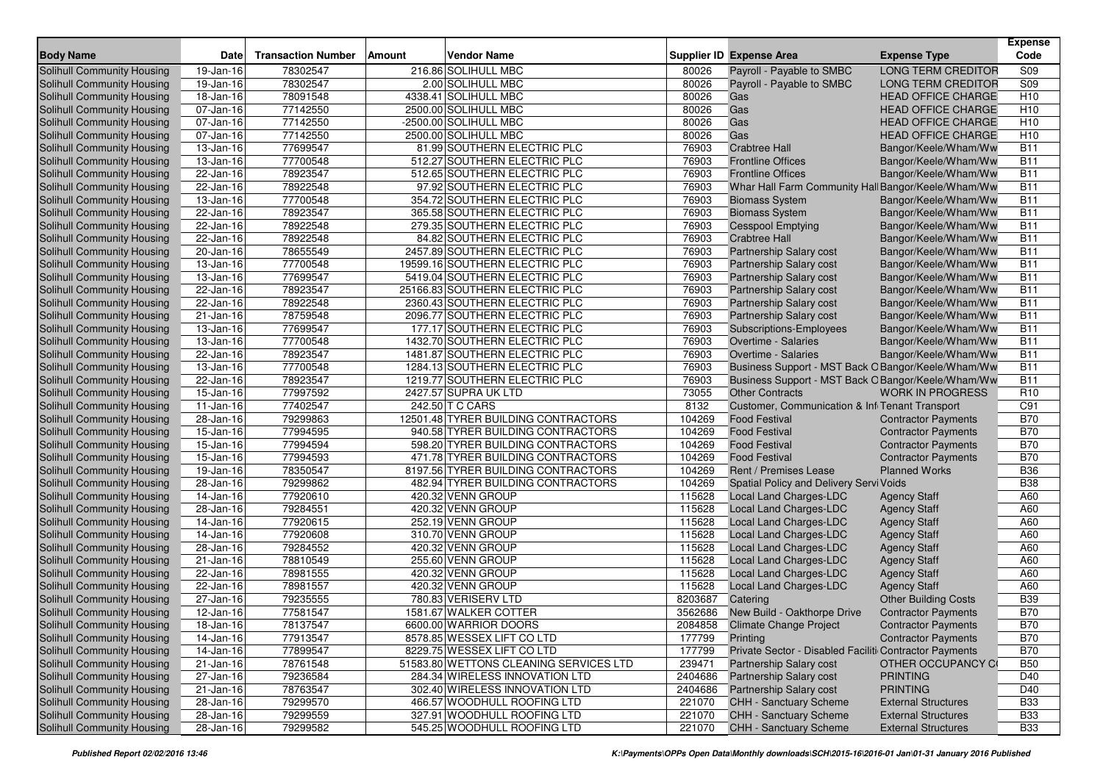| <b>Body Name</b>                  | <b>Date</b>             | <b>Transaction Number</b> | Amount | <b>Vendor Name</b>                     |         | <b>Supplier ID Expense Area</b>                             | <b>Expense Type</b>         | <b>Expense</b><br>Code |
|-----------------------------------|-------------------------|---------------------------|--------|----------------------------------------|---------|-------------------------------------------------------------|-----------------------------|------------------------|
| Solihull Community Housing        | 19-Jan-16               | 78302547                  |        | 216.86 SOLIHULL MBC                    | 80026   | Payroll - Payable to SMBC                                   | <b>LONG TERM CREDITOR</b>   | S09                    |
| Solihull Community Housing        | 19-Jan-16               | 78302547                  |        | 2.00 SOLIHULL MBC                      | 80026   | Payroll - Payable to SMBC                                   | <b>LONG TERM CREDITOR</b>   | S <sub>09</sub>        |
| Solihull Community Housing        | 18-Jan-16               | 78091548                  |        | 4338.41 SOLIHULL MBC                   | 80026   | Gas                                                         | <b>HEAD OFFICE CHARGE</b>   | H <sub>10</sub>        |
| Solihull Community Housing        | 07-Jan-16               | 77142550                  |        | 2500.00 SOLIHULL MBC                   | 80026   | Gas                                                         | <b>HEAD OFFICE CHARGE</b>   | H <sub>10</sub>        |
| Solihull Community Housing        | 07-Jan-16               | 77142550                  |        | -2500.00 SOLIHULL MBC                  | 80026   | Gas                                                         | <b>HEAD OFFICE CHARGE</b>   | H10                    |
| Solihull Community Housing        | 07-Jan-16               | 77142550                  |        | 2500.00 SOLIHULL MBC                   | 80026   | Gas                                                         | HEAD OFFICE CHARGE          | H <sub>10</sub>        |
| Solihull Community Housing        | 13-Jan-16               | 77699547                  |        | 81.99 SOUTHERN ELECTRIC PLC            | 76903   | <b>Crabtree Hall</b>                                        | Bangor/Keele/Wham/Ww        | <b>B11</b>             |
| Solihull Community Housing        | 13-Jan-16               | 77700548                  |        | 512.27 SOUTHERN ELECTRIC PLC           | 76903   | <b>Frontline Offices</b>                                    | Bangor/Keele/Wham/Ww        | <b>B11</b>             |
| Solihull Community Housing        | 22-Jan-16               | 78923547                  |        | 512.65 SOUTHERN ELECTRIC PLC           | 76903   | <b>Frontline Offices</b>                                    | Bangor/Keele/Wham/Ww        | <b>B11</b>             |
| Solihull Community Housing        | 22-Jan-16               | 78922548                  |        | 97.92 SOUTHERN ELECTRIC PLC            | 76903   | Whar Hall Farm Community Hall Bangor/Keele/Wham/Ww          |                             | <b>B11</b>             |
| Solihull Community Housing        | 13-Jan-16               | 77700548                  |        | 354.72 SOUTHERN ELECTRIC PLC           | 76903   | <b>Biomass System</b>                                       | Bangor/Keele/Wham/Ww        | <b>B11</b>             |
| Solihull Community Housing        | 22-Jan-16               | 78923547                  |        | 365.58 SOUTHERN ELECTRIC PLC           | 76903   | <b>Biomass System</b>                                       | Bangor/Keele/Wham/Ww        | <b>B11</b>             |
| Solihull Community Housing        | 22-Jan-16               | 78922548                  |        | 279.35 SOUTHERN ELECTRIC PLC           | 76903   | <b>Cesspool Emptying</b>                                    | Bangor/Keele/Wham/Ww        | <b>B11</b>             |
| Solihull Community Housing        | 22-Jan-16               | 78922548                  |        | 84.82 SOUTHERN ELECTRIC PLC            | 76903   | <b>Crabtree Hall</b>                                        | Bangor/Keele/Wham/Ww        | <b>B11</b>             |
| Solihull Community Housing        | 20-Jan-16               | 78655549                  |        | 2457.89 SOUTHERN ELECTRIC PLC          | 76903   | Partnership Salary cost                                     | Bangor/Keele/Wham/Ww        | <b>B11</b>             |
| Solihull Community Housing        | 13-Jan-16               | 77700548                  |        | 19599.16 SOUTHERN ELECTRIC PLC         | 76903   | Partnership Salary cost                                     | Bangor/Keele/Wham/Ww        | <b>B11</b>             |
| Solihull Community Housing        | 13-Jan-16               | 77699547                  |        | 5419.04 SOUTHERN ELECTRIC PLC          | 76903   | Partnership Salary cost                                     | Bangor/Keele/Wham/Ww        | <b>B11</b>             |
| Solihull Community Housing        | 22-Jan-16               | 78923547                  |        | 25166.83 SOUTHERN ELECTRIC PLC         | 76903   | <b>Partnership Salary cost</b>                              | Bangor/Keele/Wham/Ww        | <b>B11</b>             |
| Solihull Community Housing        | 22-Jan-16               | 78922548                  |        | 2360.43 SOUTHERN ELECTRIC PLC          | 76903   | <b>Partnership Salary cost</b>                              | Bangor/Keele/Wham/Ww        | <b>B11</b>             |
| Solihull Community Housing        | 21-Jan-16               | 78759548                  |        | 2096.77 SOUTHERN ELECTRIC PLC          | 76903   | Partnership Salary cost                                     | Bangor/Keele/Wham/Ww        | <b>B11</b>             |
| Solihull Community Housing        | 13-Jan-16               | 77699547                  |        | 177.17 SOUTHERN ELECTRIC PLC           | 76903   | Subscriptions-Employees                                     | Bangor/Keele/Wham/Ww        | <b>B11</b>             |
| Solihull Community Housing        | 13-Jan-16               | 77700548                  |        | 1432.70 SOUTHERN ELECTRIC PLC          | 76903   | Overtime - Salaries                                         | Bangor/Keele/Wham/Ww        | <b>B11</b>             |
| Solihull Community Housing        | 22-Jan-16               | 78923547                  |        | 1481.87 SOUTHERN ELECTRIC PLC          | 76903   | Overtime - Salaries                                         | Bangor/Keele/Wham/Ww        | <b>B11</b>             |
| <b>Solihull Community Housing</b> | 13-Jan-16               | 77700548                  |        | 1284.13 SOUTHERN ELECTRIC PLC          | 76903   | Business Support - MST Back O Bangor/Keele/Wham/Ww          |                             | <b>B11</b>             |
| Solihull Community Housing        | 22-Jan-16               | 78923547                  |        | 1219.77 SOUTHERN ELECTRIC PLC          | 76903   | Business Support - MST Back O Bangor/Keele/Wham/Ww          |                             | <b>B11</b>             |
| Solihull Community Housing        | 15-Jan-16               | 77997592                  |        | 2427.57 SUPRA UK LTD                   | 73055   | <b>Other Contracts</b>                                      | <b>WORK IN PROGRESS</b>     | R <sub>10</sub>        |
| Solihull Community Housing        | 11-Jan-16               | 77402547                  |        | 242.50 T C CARS                        | 8132    | Customer, Communication & Inf <sub>1</sub> Tenant Transport |                             | C91                    |
| Solihull Community Housing        | 28-Jan-16               | 79299863                  |        | 12501.48 TYRER BUILDING CONTRACTORS    | 104269  | <b>Food Festival</b>                                        | <b>Contractor Payments</b>  | <b>B70</b>             |
| Solihull Community Housing        | $\overline{15}$ -Jan-16 | 77994595                  |        | 940.58 TYRER BUILDING CONTRACTORS      | 104269  | <b>Food Festival</b>                                        | <b>Contractor Payments</b>  | <b>B70</b>             |
| Solihull Community Housing        | 15-Jan-16               | 77994594                  |        | 598.20 TYRER BUILDING CONTRACTORS      | 104269  | <b>Food Festival</b>                                        | <b>Contractor Payments</b>  | <b>B70</b>             |
| Solihull Community Housing        | 15-Jan-16               | 77994593                  |        | 471.78 TYRER BUILDING CONTRACTORS      | 104269  | <b>Food Festival</b>                                        | <b>Contractor Payments</b>  | <b>B70</b>             |
| Solihull Community Housing        | 19-Jan-16               | 78350547                  |        | 8197.56 TYRER BUILDING CONTRACTORS     | 104269  | Rent / Premises Lease                                       | <b>Planned Works</b>        | <b>B36</b>             |
| Solihull Community Housing        | 28-Jan-16               | 79299862                  |        | 482.94 TYRER BUILDING CONTRACTORS      | 104269  | Spatial Policy and Delivery Servi Voids                     |                             | <b>B38</b>             |
| Solihull Community Housing        | 14-Jan-16               | 77920610                  |        | 420.32 VENN GROUP                      | 115628  | Local Land Charges-LDC                                      | <b>Agency Staff</b>         | A60                    |
| Solihull Community Housing        | 28-Jan-16               | 79284551                  |        | 420.32 VENN GROUP                      | 115628  | Local Land Charges-LDC                                      | <b>Agency Staff</b>         | A60                    |
| Solihull Community Housing        | 14-Jan-16               | 77920615                  |        | 252.19 VENN GROUP                      | 115628  | Local Land Charges-LDC                                      | <b>Agency Staff</b>         | A60                    |
| Solihull Community Housing        | 14-Jan-16               | 77920608                  |        | 310.70 VENN GROUP                      | 115628  | Local Land Charges-LDC                                      | <b>Agency Staff</b>         | A60                    |
| Solihull Community Housing        | 28-Jan-16               | 79284552                  |        | 420.32 VENN GROUP                      | 115628  | Local Land Charges-LDC                                      | <b>Agency Staff</b>         | A60                    |
| Solihull Community Housing        | 21-Jan-16               | 78810549                  |        | 255.60 VENN GROUP                      | 115628  | <b>Local Land Charges-LDC</b>                               | <b>Agency Staff</b>         | A60                    |
| Solihull Community Housing        | 22-Jan-16               | 78981555                  |        | 420.32 VENN GROUP                      | 115628  | Local Land Charges-LDC                                      | <b>Agency Staff</b>         | A60                    |
| Solihull Community Housing        | 22-Jan-16               | 78981557                  |        | 420.32 VENN GROUP                      | 115628  | Local Land Charges-LDC                                      | <b>Agency Staff</b>         | A60                    |
| Solihull Community Housing        | 27-Jan-16               | 79235555                  |        | 780.83 VERISERV LTD                    | 8203687 | Catering                                                    | <b>Other Building Costs</b> | <b>B39</b>             |
| Solihull Community Housing        | 12-Jan-16               | 77581547                  |        | 1581.67 WALKER COTTER                  | 3562686 | New Build - Oakthorpe Drive                                 | <b>Contractor Payments</b>  | <b>B70</b>             |
| Solihull Community Housing        | $18 - Jan - 16$         | 78137547                  |        | 6600.00 WARRIOR DOORS                  | 2084858 | <b>Climate Change Project</b>                               | <b>Contractor Payments</b>  | <b>B70</b>             |
| Solihull Community Housing        | 14-Jan-16               | 77913547                  |        | 8578.85 WESSEX LIFT CO LTD             | 177799  | Printing                                                    | <b>Contractor Payments</b>  | <b>B70</b>             |
| Solihull Community Housing        | 14-Jan-16               | 77899547                  |        | 8229.75 WESSEX LIFT CO LTD             | 177799  | Private Sector - Disabled Faciliti Contractor Payments      |                             | <b>B70</b>             |
| Solihull Community Housing        | 21-Jan-16               | 78761548                  |        | 51583.80 WETTONS CLEANING SERVICES LTD | 239471  | Partnership Salary cost                                     | OTHER OCCUPANCY CO          | <b>B50</b>             |
| Solihull Community Housing        | 27-Jan-16               | 79236584                  |        | 284.34 WIRELESS INNOVATION LTD         | 2404686 | <b>Partnership Salary cost</b>                              | <b>PRINTING</b>             | D40                    |
| Solihull Community Housing        | 21-Jan-16               | 78763547                  |        | 302.40 WIRELESS INNOVATION LTD         | 2404686 | <b>Partnership Salary cost</b>                              | <b>PRINTING</b>             | D40                    |
| Solihull Community Housing        | 28-Jan-16               | 79299570                  |        | 466.57 WOODHULL ROOFING LTD            | 221070  | <b>CHH - Sanctuary Scheme</b>                               | <b>External Structures</b>  | <b>B33</b>             |
| Solihull Community Housing        | 28-Jan-16               | 79299559                  |        | 327.91 WOODHULL ROOFING LTD            | 221070  | CHH - Sanctuary Scheme                                      | <b>External Structures</b>  | <b>B33</b>             |
| Solihull Community Housing        | 28-Jan-16               | 79299582                  |        | 545.25 WOODHULL ROOFING LTD            | 221070  | CHH - Sanctuary Scheme                                      | <b>External Structures</b>  | <b>B33</b>             |